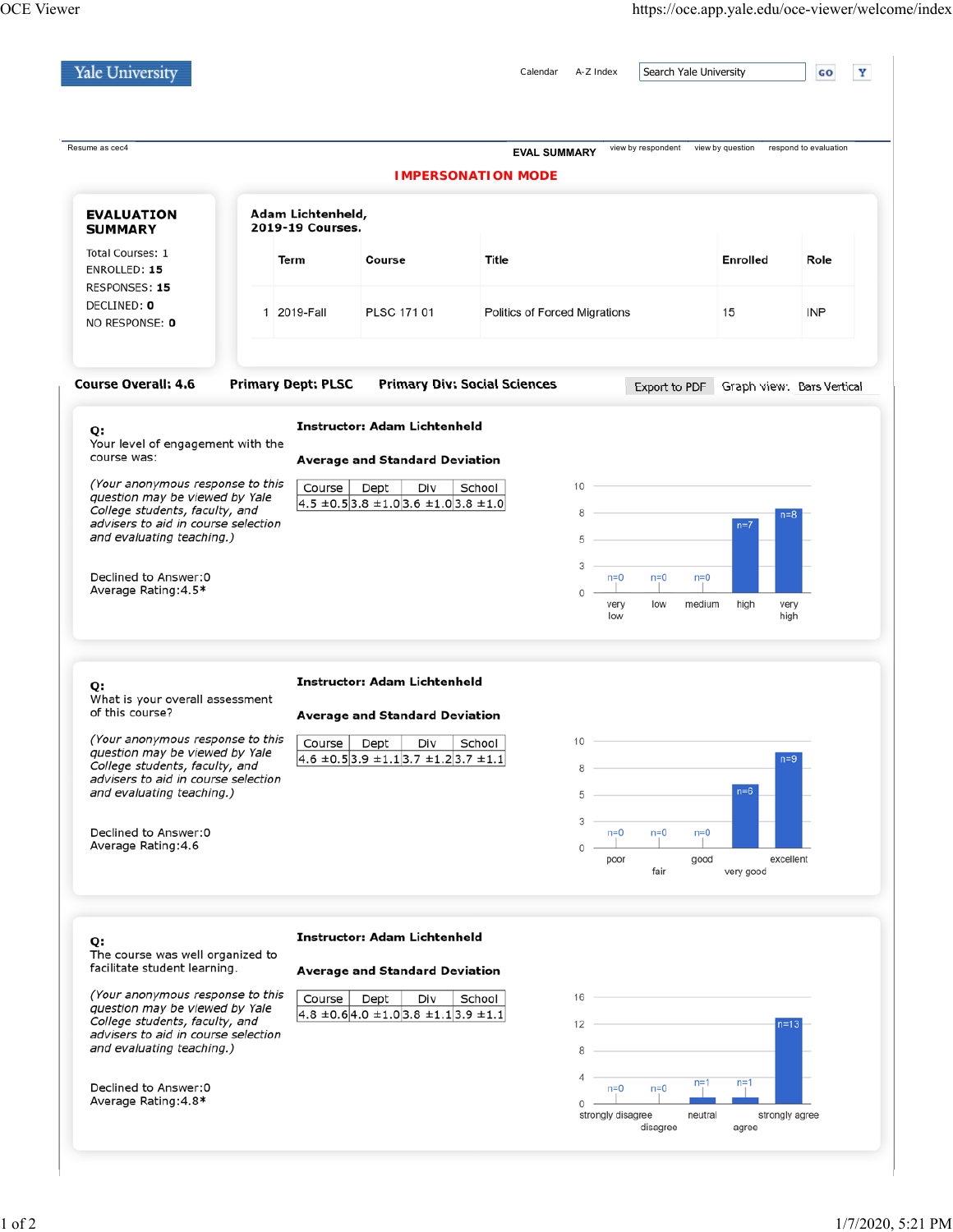| <b>Yale University</b>                                                                                                                                                                                                                                                                              |  |                                       |                                                                                                                                                        | Calendar                      | A-Z Index                                             |                   | Search Yale University |                    | Y<br>GO                                                   |
|-----------------------------------------------------------------------------------------------------------------------------------------------------------------------------------------------------------------------------------------------------------------------------------------------------|--|---------------------------------------|--------------------------------------------------------------------------------------------------------------------------------------------------------|-------------------------------|-------------------------------------------------------|-------------------|------------------------|--------------------|-----------------------------------------------------------|
| Resume as cec4                                                                                                                                                                                                                                                                                      |  |                                       |                                                                                                                                                        | <b>EVAL SUMMARY</b>           |                                                       |                   |                        |                    | view by respondent view by question respond to evaluation |
|                                                                                                                                                                                                                                                                                                     |  |                                       |                                                                                                                                                        | <b>IMPERSONATION MODE</b>     |                                                       |                   |                        |                    |                                                           |
| <b>EVALUATION</b><br><b>SUMMARY</b>                                                                                                                                                                                                                                                                 |  | Adam Lichtenheld,<br>2019-19 Courses. |                                                                                                                                                        |                               |                                                       |                   |                        |                    |                                                           |
| Total Courses: 1<br>ENROLLED: 15<br>RESPONSES: 15                                                                                                                                                                                                                                                   |  | Term                                  | Course                                                                                                                                                 | Title                         |                                                       |                   |                        | <b>Enrolled</b>    | Role                                                      |
| DECLINED: 0<br>NO RESPONSE: 0                                                                                                                                                                                                                                                                       |  | 1 2019-Fall                           | PLSC 171 01                                                                                                                                            | Politics of Forced Migrations |                                                       |                   |                        | 15                 | <b>INP</b>                                                |
| <b>Course Overall: 4.6</b>                                                                                                                                                                                                                                                                          |  | <b>Primary Dept: PLSC</b>             | <b>Primary Div: Social Sciences</b>                                                                                                                    |                               |                                                       | Export to PDF     |                        |                    | Graph view: Bars Vertical                                 |
| Q:                                                                                                                                                                                                                                                                                                  |  |                                       | <b>Instructor: Adam Lichtenheld</b>                                                                                                                    |                               |                                                       |                   |                        |                    |                                                           |
| Your level of engagement with the<br>course was:                                                                                                                                                                                                                                                    |  |                                       | <b>Average and Standard Deviation</b>                                                                                                                  |                               |                                                       |                   |                        |                    |                                                           |
| (Your anonymous response to this<br>question may be viewed by Yale<br>College students, faculty, and<br>advisers to aid in course selection<br>and evaluating teaching.)                                                                                                                            |  | Course                                | Div<br>Dept<br>$4.5 \pm 0.5$ 3.8 $\pm 1.0$ 3.6 $\pm 1.0$ 3.8 $\pm 1.0$                                                                                 | School                        | 10<br>8<br>5                                          |                   |                        | $n=7$              | $n = 8$                                                   |
| Declined to Answer:0<br>Average Rating: 4.5*                                                                                                                                                                                                                                                        |  |                                       |                                                                                                                                                        |                               | 3<br>$n=0$<br>0<br>very<br>low                        | $n=0$<br>low      | $n=0$<br>medium        | high               | very<br>high                                              |
| Q:<br>What is your overall assessment<br>of this course?<br>(Your anonymous response to this<br>question may be viewed by Yale<br>College students, faculty, and<br>advisers to aid in course selection<br>and evaluating teaching.)<br>Declined to Answer: 0<br>Average Rating: 4.6                |  | Course                                | <b>Instructor: Adam Lichtenheld</b><br><b>Average and Standard Deviation</b><br>Div<br>Dept<br>$4.6 \pm 0.5$ 3.9 $\pm 1.1$ 3.7 $\pm 1.2$ 3.7 $\pm 1.1$ | School                        | 10<br>8<br>5<br>3<br>$n=0$<br>0<br>poor               | $n=0$<br>fair     | $n=0$<br>good          | $n=6$<br>very good | $n=9$<br>excellent                                        |
| Q:<br>The course was well organized to<br>facilitate student learning.<br>(Your anonymous response to this<br>question may be viewed by Yale<br>College students, faculty, and<br>advisers to aid in course selection<br>and evaluating teaching.)<br>Declined to Answer: 0<br>Average Rating: 4.8* |  | Course                                | <b>Instructor: Adam Lichtenheld</b><br><b>Average and Standard Deviation</b><br>Dept<br>Div<br>$4.8 \pm 0.64.0 \pm 1.03.8 \pm 1.13.9 \pm 1.1$          | School                        | 16<br>12<br>8<br>4<br>$n=0$<br>0<br>strongly disagree | $n=0$<br>disagree | $n=1$<br>neutral       | $n=1$<br>agree     | $n=13$<br>strongly agree                                  |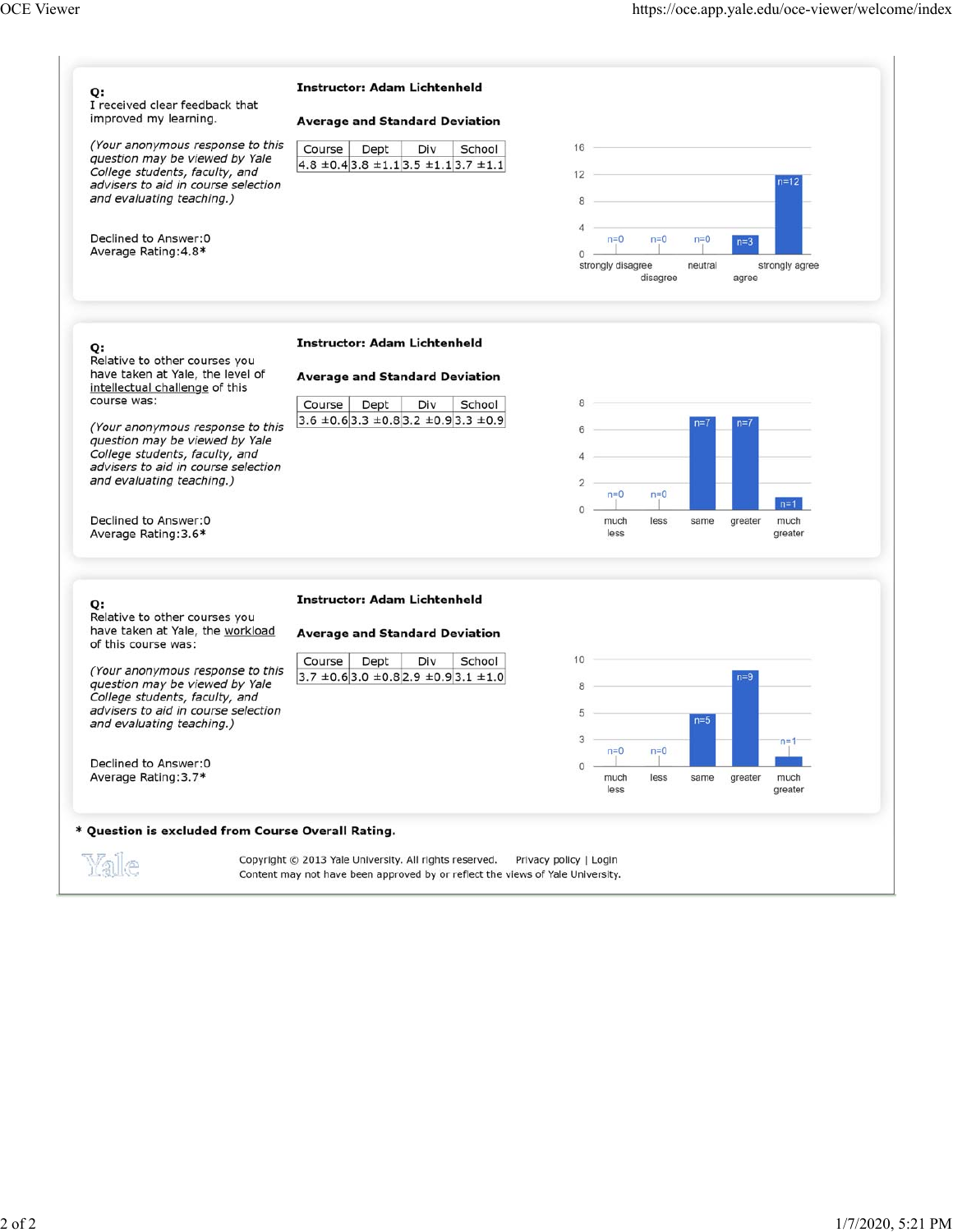| (Your anonymous response to this<br>Course<br>School<br>Dept<br>Div<br>question may be viewed by Yale<br>$4.8 \pm 0.4$ 3.8 $\pm 1.1$ 3.5 $\pm 1.1$ 3.7 $\pm 1.1$<br>College students, faculty, and<br>12<br>$n=12$<br>advisers to aid in course selection<br>and evaluating teaching.)<br>8<br>4<br>Declined to Answer: 0<br>$n=0$<br>$n=0$<br>$n=0$<br>$n=3$<br>Average Rating: 4.8*<br>$\Omega$<br>strongly disagree<br>neutral<br>strongly agree<br>disagree<br>agree<br><b>Instructor: Adam Lichtenheld</b><br>Q:<br>Relative to other courses you<br>have taken at Yale, the level of<br><b>Average and Standard Deviation</b><br>intellectual challenge of this<br>course was:<br>8<br>Course<br>Dept<br>Div<br>School<br>$3.6 \pm 0.6$ 3.3 $\pm 0.8$ 3.2 $\pm 0.9$ 3.3 $\pm 0.9$<br>$n=7$<br>$n=7$<br>(Your anonymous response to this<br>6<br>question may be viewed by Yale<br>College students, faculty, and<br>advisers to aid in course selection<br>and evaluating teaching.)<br>$\overline{2}$<br>$n=0$<br>$n=0$<br>$n=1$<br>$\Omega$<br>Declined to Answer: 0<br>much<br>much<br>less<br>same<br>greater<br>Average Rating: 3.6*<br>less<br>greater<br><b>Instructor: Adam Lichtenheld</b><br>Q:<br>Relative to other courses you<br>have taken at Yale, the workload<br><b>Average and Standard Deviation</b><br>of this course was:<br>10<br>Div<br>Course<br>Dept<br>School<br>(Your anonymous response to this<br>$3.7 \pm 0.6$ 3.0 $\pm 0.8$ 2.9 $\pm 0.9$ 3.1 $\pm 1.0$<br>$n=9$<br>question may be viewed by Yale<br>8<br>College students, faculty, and<br>advisers to aid in course selection<br>5<br>$n=5$<br>and evaluating teaching.)<br>3<br>$n=0$<br>$n=0$<br>Declined to Answer: 0<br>0<br>Average Rating: 3.7*<br>much<br>much<br>less<br>same<br>greater<br>less<br>greater | Q:<br>I received clear feedback that<br>improved my learning. | <b>Instructor: Adam Lichtenheld</b><br><b>Average and Standard Deviation</b>                                                             |                        |  |  |  |
|-------------------------------------------------------------------------------------------------------------------------------------------------------------------------------------------------------------------------------------------------------------------------------------------------------------------------------------------------------------------------------------------------------------------------------------------------------------------------------------------------------------------------------------------------------------------------------------------------------------------------------------------------------------------------------------------------------------------------------------------------------------------------------------------------------------------------------------------------------------------------------------------------------------------------------------------------------------------------------------------------------------------------------------------------------------------------------------------------------------------------------------------------------------------------------------------------------------------------------------------------------------------------------------------------------------------------------------------------------------------------------------------------------------------------------------------------------------------------------------------------------------------------------------------------------------------------------------------------------------------------------------------------------------------------------------------------------------------------------------------------------------------------------------------------------------|---------------------------------------------------------------|------------------------------------------------------------------------------------------------------------------------------------------|------------------------|--|--|--|
|                                                                                                                                                                                                                                                                                                                                                                                                                                                                                                                                                                                                                                                                                                                                                                                                                                                                                                                                                                                                                                                                                                                                                                                                                                                                                                                                                                                                                                                                                                                                                                                                                                                                                                                                                                                                             |                                                               |                                                                                                                                          |                        |  |  |  |
|                                                                                                                                                                                                                                                                                                                                                                                                                                                                                                                                                                                                                                                                                                                                                                                                                                                                                                                                                                                                                                                                                                                                                                                                                                                                                                                                                                                                                                                                                                                                                                                                                                                                                                                                                                                                             |                                                               |                                                                                                                                          |                        |  |  |  |
|                                                                                                                                                                                                                                                                                                                                                                                                                                                                                                                                                                                                                                                                                                                                                                                                                                                                                                                                                                                                                                                                                                                                                                                                                                                                                                                                                                                                                                                                                                                                                                                                                                                                                                                                                                                                             |                                                               |                                                                                                                                          |                        |  |  |  |
|                                                                                                                                                                                                                                                                                                                                                                                                                                                                                                                                                                                                                                                                                                                                                                                                                                                                                                                                                                                                                                                                                                                                                                                                                                                                                                                                                                                                                                                                                                                                                                                                                                                                                                                                                                                                             |                                                               |                                                                                                                                          |                        |  |  |  |
|                                                                                                                                                                                                                                                                                                                                                                                                                                                                                                                                                                                                                                                                                                                                                                                                                                                                                                                                                                                                                                                                                                                                                                                                                                                                                                                                                                                                                                                                                                                                                                                                                                                                                                                                                                                                             |                                                               |                                                                                                                                          |                        |  |  |  |
|                                                                                                                                                                                                                                                                                                                                                                                                                                                                                                                                                                                                                                                                                                                                                                                                                                                                                                                                                                                                                                                                                                                                                                                                                                                                                                                                                                                                                                                                                                                                                                                                                                                                                                                                                                                                             |                                                               |                                                                                                                                          |                        |  |  |  |
|                                                                                                                                                                                                                                                                                                                                                                                                                                                                                                                                                                                                                                                                                                                                                                                                                                                                                                                                                                                                                                                                                                                                                                                                                                                                                                                                                                                                                                                                                                                                                                                                                                                                                                                                                                                                             |                                                               |                                                                                                                                          |                        |  |  |  |
|                                                                                                                                                                                                                                                                                                                                                                                                                                                                                                                                                                                                                                                                                                                                                                                                                                                                                                                                                                                                                                                                                                                                                                                                                                                                                                                                                                                                                                                                                                                                                                                                                                                                                                                                                                                                             |                                                               |                                                                                                                                          |                        |  |  |  |
|                                                                                                                                                                                                                                                                                                                                                                                                                                                                                                                                                                                                                                                                                                                                                                                                                                                                                                                                                                                                                                                                                                                                                                                                                                                                                                                                                                                                                                                                                                                                                                                                                                                                                                                                                                                                             |                                                               |                                                                                                                                          |                        |  |  |  |
| * Question is excluded from Course Overall Rating.                                                                                                                                                                                                                                                                                                                                                                                                                                                                                                                                                                                                                                                                                                                                                                                                                                                                                                                                                                                                                                                                                                                                                                                                                                                                                                                                                                                                                                                                                                                                                                                                                                                                                                                                                          | Yale                                                          | Copyright © 2013 Yale University. All rights reserved.<br>Content may not have been approved by or reflect the views of Yale University. | Privacy policy   Login |  |  |  |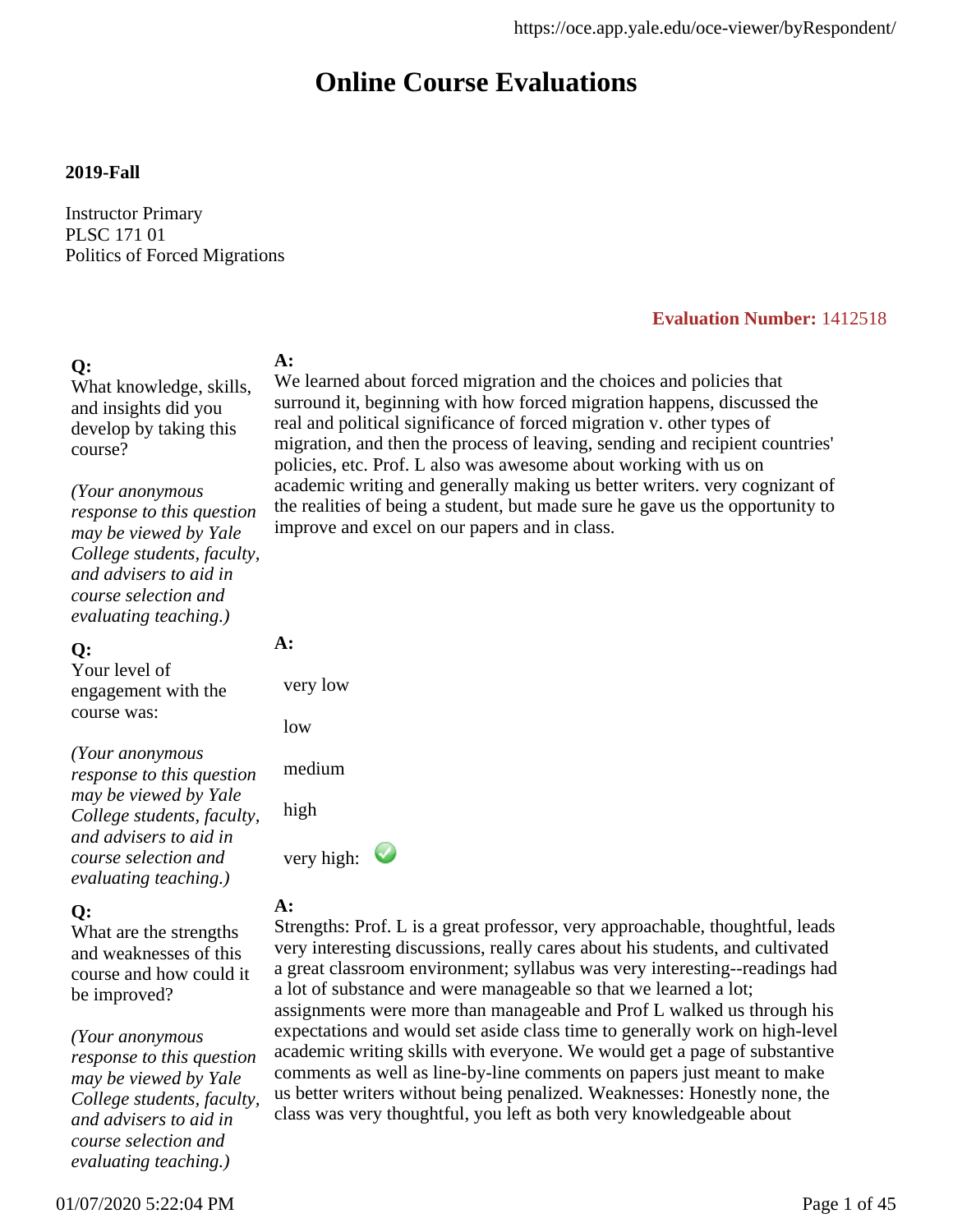# **Online Course Evaluations**

#### **2019-Fall**

Instructor Primary PLSC 171 01 Politics of Forced Migrations

#### **Evaluation Number:** 1412518

## **Q:**

What knowledge, skills, and insights did you develop by taking this course?

### *(Your anonymous*

*response to this question may be viewed by Yale College students, faculty, and advisers to aid in course selection and evaluating teaching.)*

#### **Q:**

Your level of engagement with the course was:

*(Your anonymous response to this question may be viewed by Yale College students, faculty, and advisers to aid in course selection and evaluating teaching.)*

### **Q:**

What are the strengths and weaknesses of this course and how could it be improved?

*(Your anonymous response to this question may be viewed by Yale College students, faculty, and advisers to aid in course selection and evaluating teaching.)*

### **A:**

We learned about forced migration and the choices and policies that surround it, beginning with how forced migration happens, discussed the real and political significance of forced migration v. other types of migration, and then the process of leaving, sending and recipient countries' policies, etc. Prof. L also was awesome about working with us on academic writing and generally making us better writers. very cognizant of the realities of being a student, but made sure he gave us the opportunity to improve and excel on our papers and in class.

#### **A:**

 very low low medium

high

very high:

#### **A:**

Strengths: Prof. L is a great professor, very approachable, thoughtful, leads very interesting discussions, really cares about his students, and cultivated a great classroom environment; syllabus was very interesting--readings had a lot of substance and were manageable so that we learned a lot; assignments were more than manageable and Prof L walked us through his expectations and would set aside class time to generally work on high-level academic writing skills with everyone. We would get a page of substantive comments as well as line-by-line comments on papers just meant to make us better writers without being penalized. Weaknesses: Honestly none, the class was very thoughtful, you left as both very knowledgeable about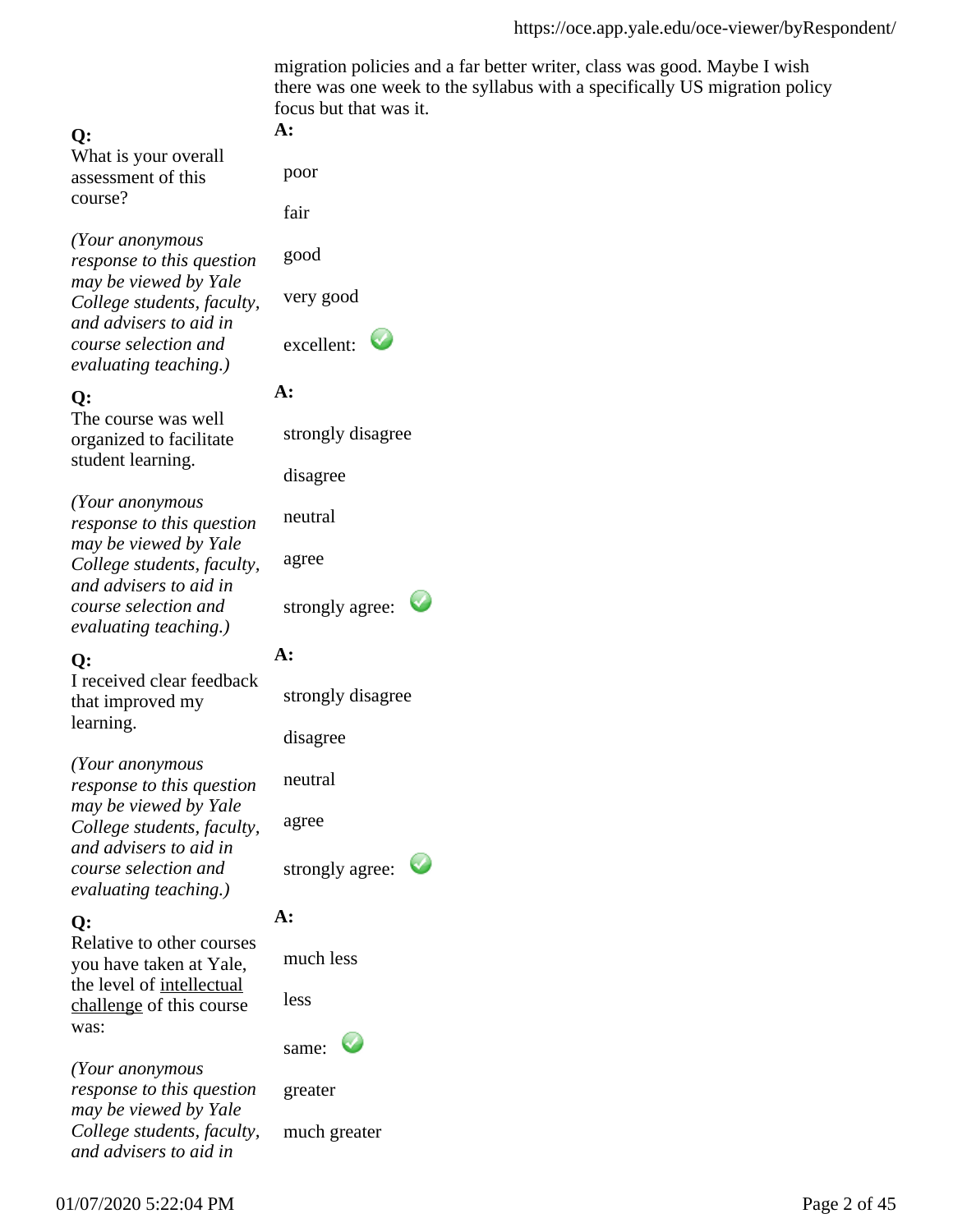migration policies and a far better writer, class was good. Maybe I wish there was one week to the syllabus with a specifically US migration policy focus but that was it.

#### **Q:**

What is your overall assessment of this course?

*(Your anonymous response to this question may be viewed by Yale College students, faculty, and advisers to aid in course selection and evaluating teaching.)*

### **Q:**

The course was well organized to facilitate student learning.

*(Your anonymous response to this question may be viewed by Yale College students, faculty, and advisers to aid in course selection and evaluating teaching.)*

## **Q:**

I received clear feedback that improved my learning.

*(Your anonymous response to this question may be viewed by Yale College students, faculty, and advisers to aid in course selection and evaluating teaching.)*

## **Q:**

Relative to other courses you have taken at Yale, the level of intellectual challenge of this course was:

*(Your anonymous response to this question may be viewed by Yale College students, faculty, and advisers to aid in*

#### **A:**

poor

fair

good

very good

excellent:  $\bullet$ 

### **A:**

strongly disagree

disagree

neutral

agree

strongly agree:

## **A:**

strongly disagree

disagree

neutral

agree

strongly agree:

## **A:**

much less

less



greater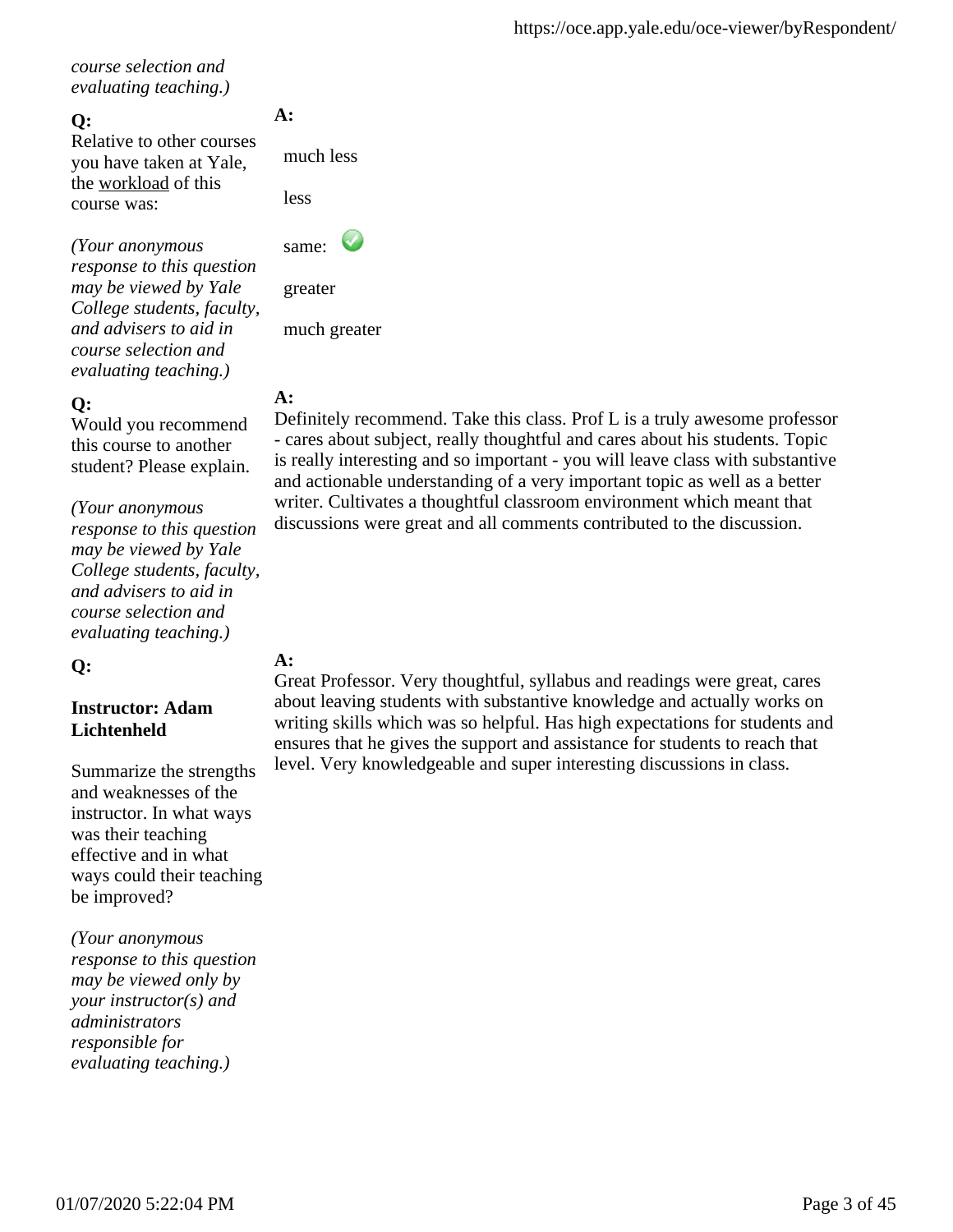*course selection and evaluating teaching.)*

### **Q:**

Relative to other courses you have taken at Yale, the workload of this course was:

*(Your anonymous response to this question may be viewed by Yale College students, faculty, and advisers to aid in course selection and evaluating teaching.)*

## **Q:**

Would you recommend this course to another student? Please explain.

*(Your anonymous response to this question may be viewed by Yale College students, faculty, and advisers to aid in course selection and evaluating teaching.)*

**Q:**

### **Instructor: Adam Lichtenheld**

Summarize the strengths and weaknesses of the instructor. In what ways was their teaching effective and in what ways could their teaching be improved?

*(Your anonymous response to this question may be viewed only by your instructor(s) and administrators responsible for evaluating teaching.)*

## **A:**

much less

less



 greater much greater

## **A:**

Definitely recommend. Take this class. Prof L is a truly awesome professor - cares about subject, really thoughtful and cares about his students. Topic is really interesting and so important - you will leave class with substantive and actionable understanding of a very important topic as well as a better writer. Cultivates a thoughtful classroom environment which meant that discussions were great and all comments contributed to the discussion.

### **A:**

Great Professor. Very thoughtful, syllabus and readings were great, cares about leaving students with substantive knowledge and actually works on writing skills which was so helpful. Has high expectations for students and ensures that he gives the support and assistance for students to reach that level. Very knowledgeable and super interesting discussions in class.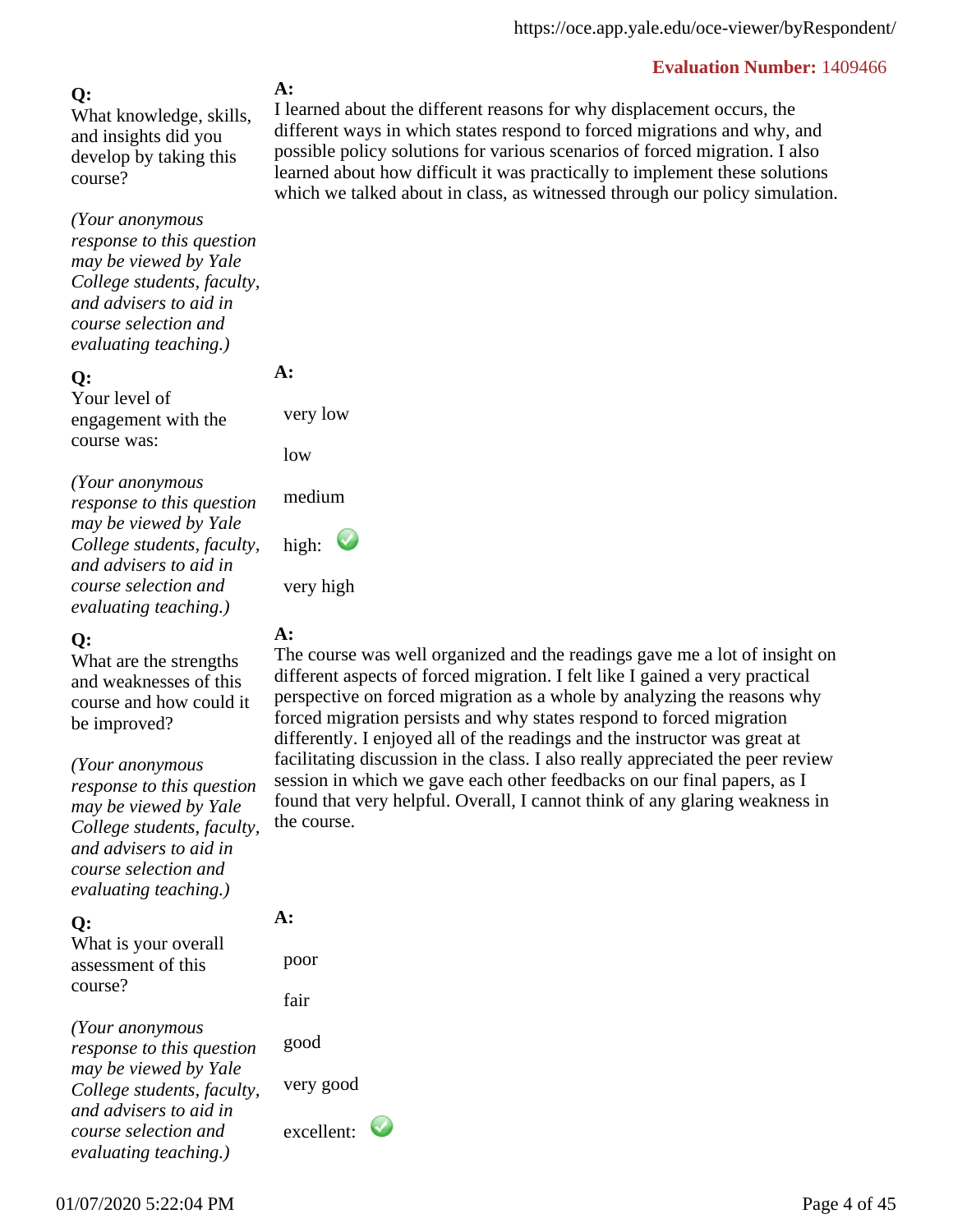### **Q:**

What knowledge, skills, and insights did you develop by taking this course?

*(Your anonymous response to this question may be viewed by Yale College students, faculty, and advisers to aid in course selection and evaluating teaching.)*

#### **Q:**

Your level of engagement with the course was:

*(Your anonymous response to this question may be viewed by Yale College students, faculty, and advisers to aid in course selection and evaluating teaching.)*

### **Q:**

What are the strengths and weaknesses of this course and how could it be improved?

*(Your anonymous*

*response to this question may be viewed by Yale College students, faculty, and advisers to aid in course selection and evaluating teaching.)*

### **Q:**

What is your overall assessment of this course?

*(Your anonymous response to this question may be viewed by Yale College students, faculty, and advisers to aid in course selection and evaluating teaching.)*

### **A:**

I learned about the different reasons for why displacement occurs, the different ways in which states respond to forced migrations and why, and possible policy solutions for various scenarios of forced migration. I also learned about how difficult it was practically to implement these solutions which we talked about in class, as witnessed through our policy simulation.

### very low

**A:** 

low

medium

high:

very high

## **A:**

The course was well organized and the readings gave me a lot of insight on different aspects of forced migration. I felt like I gained a very practical perspective on forced migration as a whole by analyzing the reasons why forced migration persists and why states respond to forced migration differently. I enjoyed all of the readings and the instructor was great at facilitating discussion in the class. I also really appreciated the peer review session in which we gave each other feedbacks on our final papers, as I found that very helpful. Overall, I cannot think of any glaring weakness in the course.

# **A:**

 poor fair good very good excellent: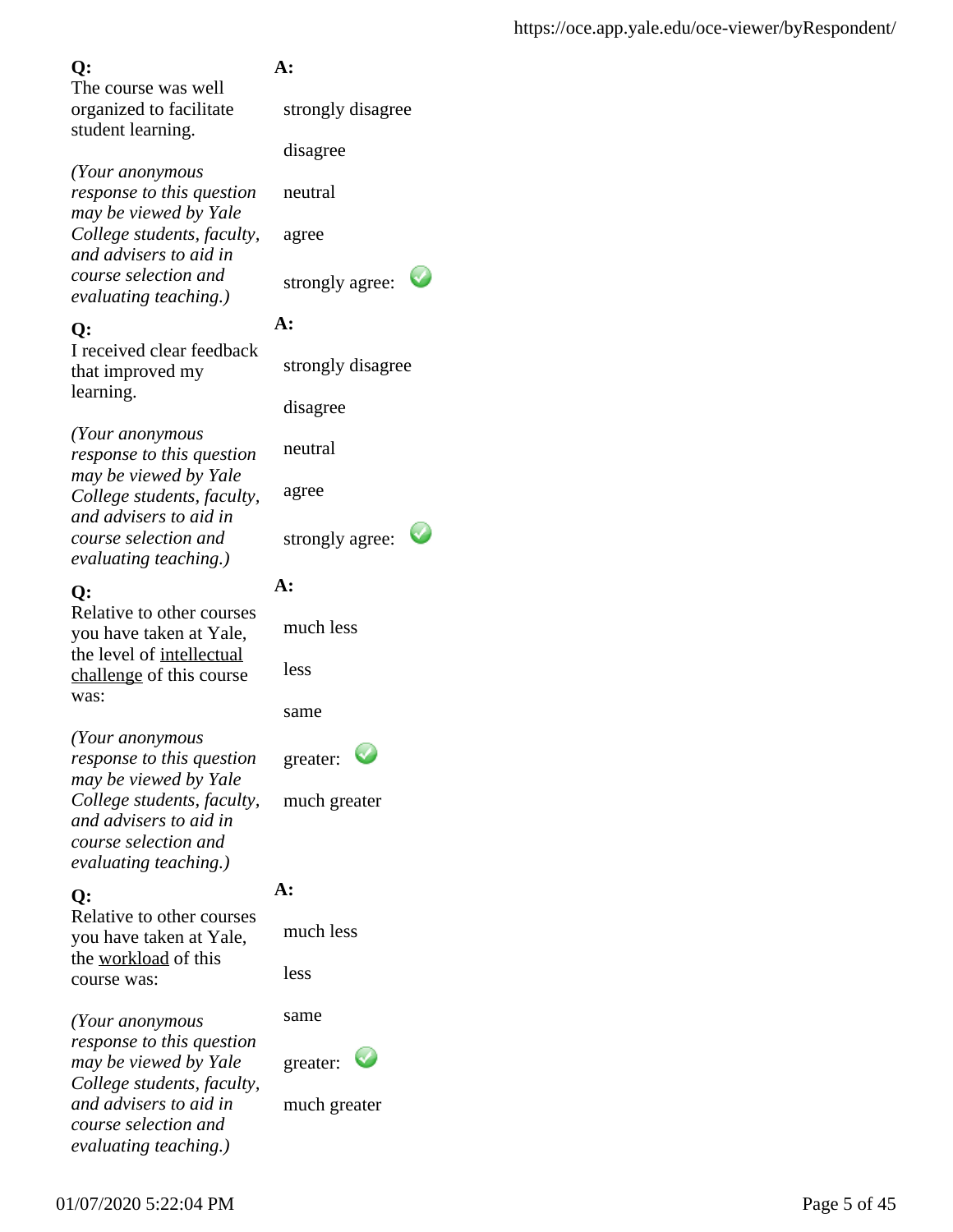The course was well organized to facilitate student learning.

*(Your anonymous response to this question may be viewed by Yale College students, faculty, and advisers to aid in course selection and evaluating teaching.)*

### **Q:**

I received clear feedback that improved my learning.

*(Your anonymous response to this question may be viewed by Yale College students, faculty, and advisers to aid in course selection and evaluating teaching.)*

### **Q:**

Relative to other courses you have taken at Yale, the level of intellectual challenge of this course was:

*(Your anonymous response to this question may be viewed by Yale College students, faculty, and advisers to aid in course selection and evaluating teaching.)*

## **Q:**

Relative to other courses you have taken at Yale, the workload of this course was:

*(Your anonymous response to this question may be viewed by Yale College students, faculty, and advisers to aid in course selection and evaluating teaching.)*

## **A:**

strongly disagree

disagree

neutral

agree

strongly agree:

## **A:**

strongly disagree

disagree

neutral

agree

strongly agree:

## **A:**

much less

less

same

greater:

much greater

## **A:**

much less

less

same

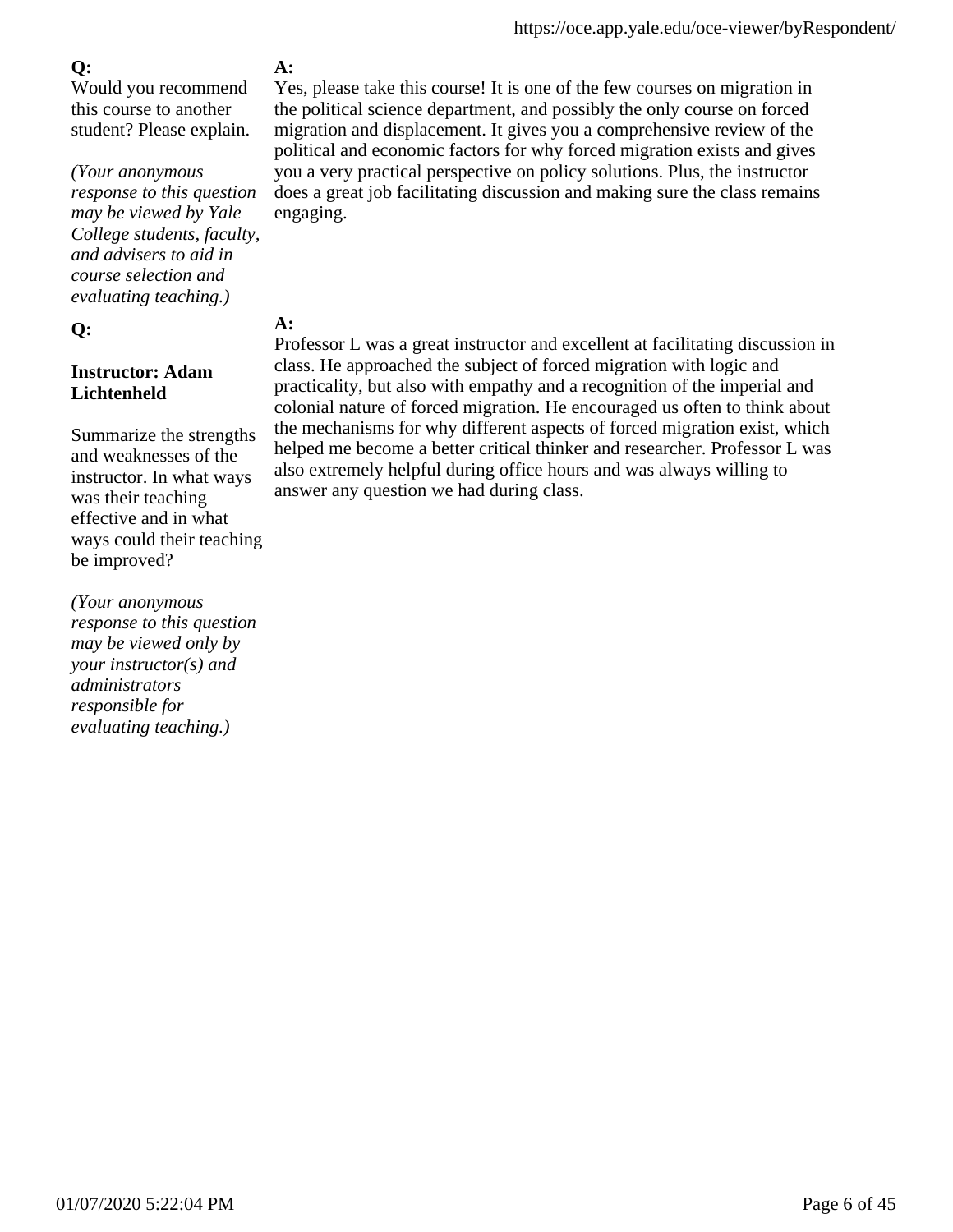Would you recommend this course to another student? Please explain.

### *(Your anonymous*

*response to this question may be viewed by Yale College students, faculty, and advisers to aid in course selection and evaluating teaching.)*

## **Q:**

### **Instructor: Adam Lichtenheld**

Summarize the strengths and weaknesses of the instructor. In what ways was their teaching effective and in what ways could their teaching be improved?

*(Your anonymous response to this question may be viewed only by your instructor(s) and administrators responsible for evaluating teaching.)*

## **A:**

Yes, please take this course! It is one of the few courses on migration in the political science department, and possibly the only course on forced migration and displacement. It gives you a comprehensive review of the political and economic factors for why forced migration exists and gives you a very practical perspective on policy solutions. Plus, the instructor does a great job facilitating discussion and making sure the class remains engaging.

## **A:**

Professor L was a great instructor and excellent at facilitating discussion in class. He approached the subject of forced migration with logic and practicality, but also with empathy and a recognition of the imperial and colonial nature of forced migration. He encouraged us often to think about the mechanisms for why different aspects of forced migration exist, which helped me become a better critical thinker and researcher. Professor L was also extremely helpful during office hours and was always willing to answer any question we had during class.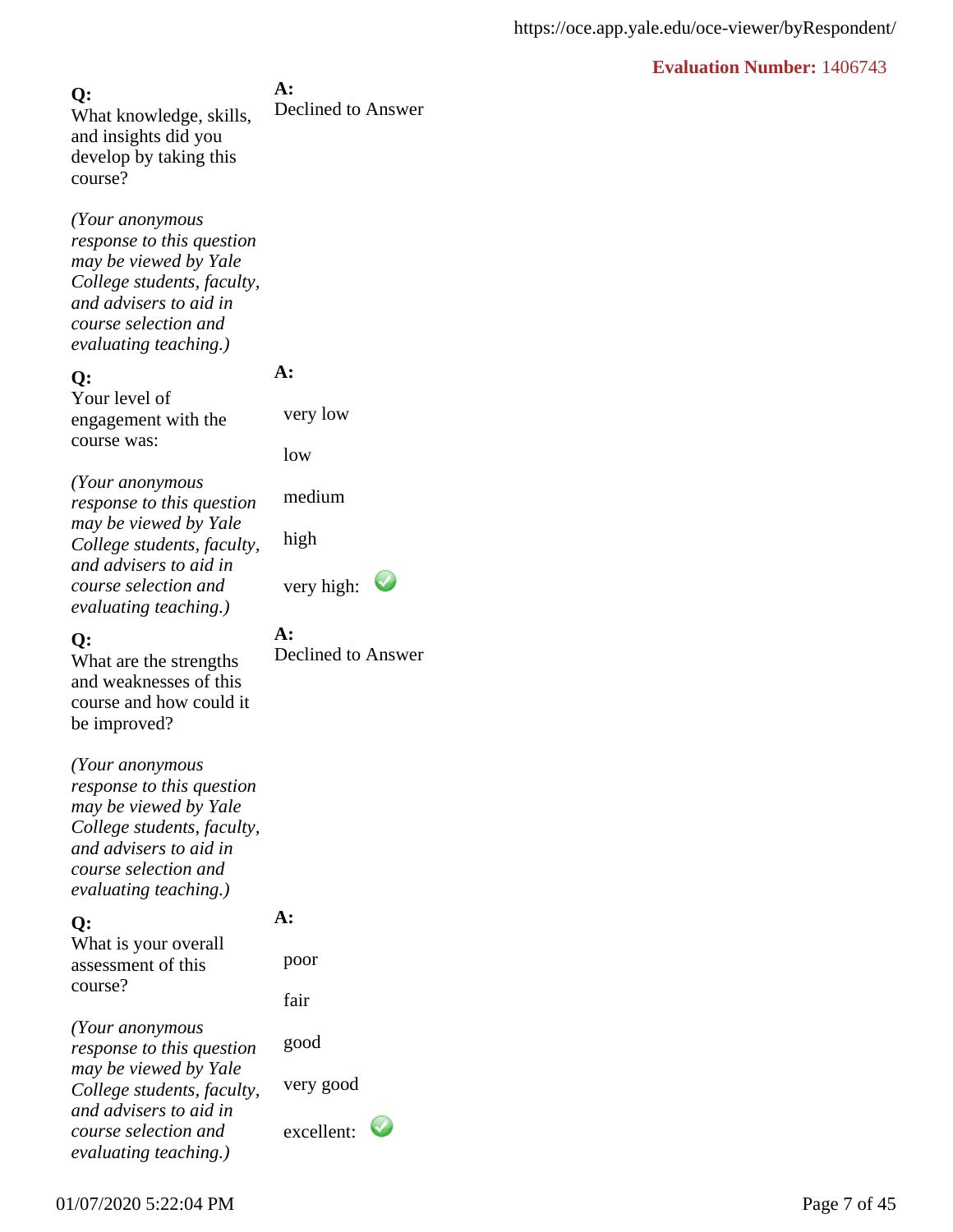**A:** Declined to Answer **Q:** What knowledge, skills, and insights did you develop by taking this course?

*(Your anonymous response to this question may be viewed by Yale College students, faculty, and advisers to aid in course selection and evaluating teaching.)*

#### **Q:**

Your level of engagement with the course was:

*(Your anonymous response to this question may be viewed by Yale College students, faculty, and advisers to aid in course selection and evaluating teaching.)*

#### **Q:**

What are the strengths and weaknesses of this course and how could it be improved?

*(Your anonymous response to this question may be viewed by Yale College students, faculty, and advisers to aid in course selection and evaluating teaching.)*

#### **Q:**

What is your overall assessment of this course?

**A:** 

**A:**

**A:** 

very low

medium

low

high

Declined to Answer

very high:  $\bullet$ 

fair

poor

*(Your anonymous response to this question may be viewed by Yale College students, faculty, and advisers to aid in course selection and evaluating teaching.)*

good

very good

excellent: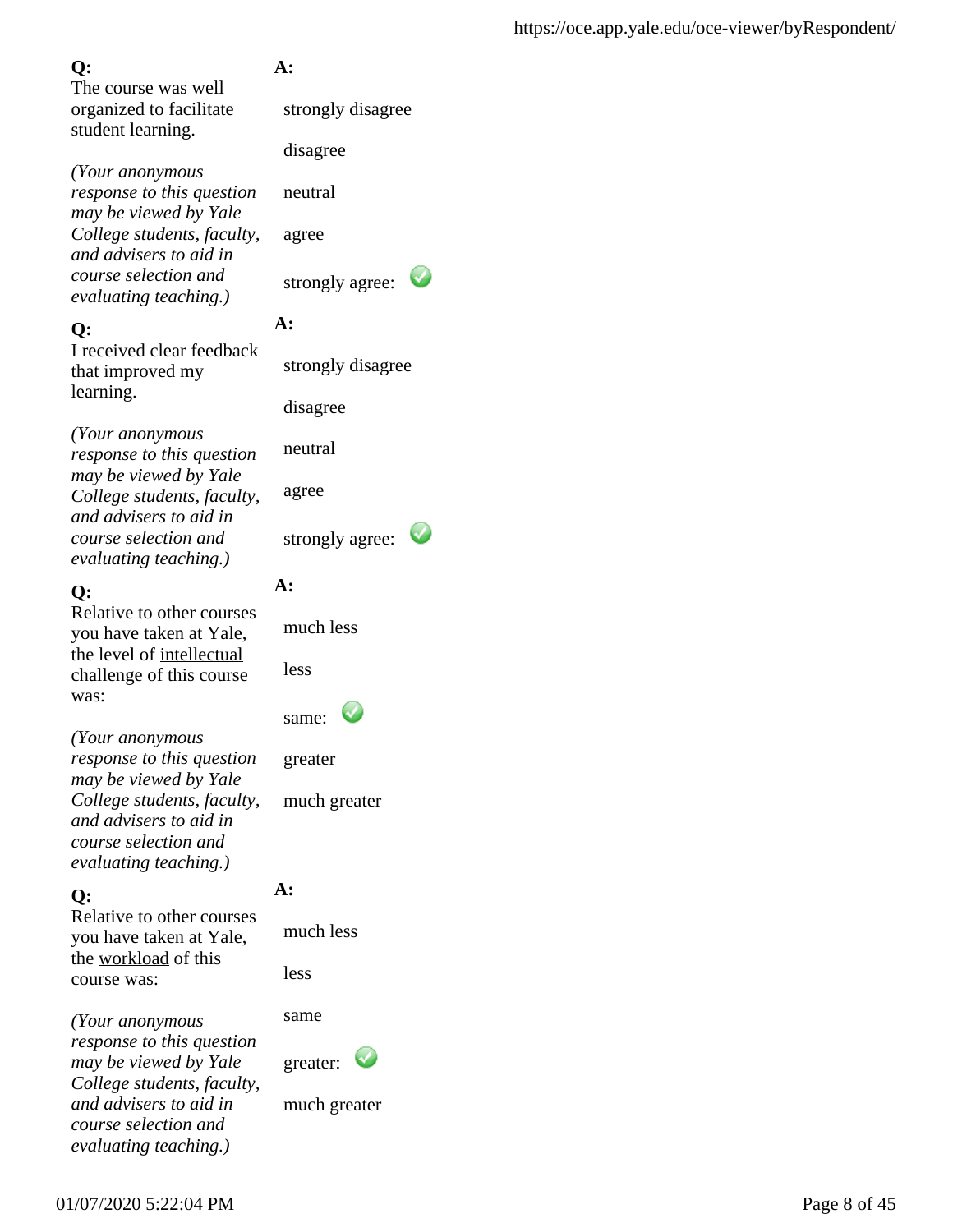The course was well organized to facilitate student learning.

*(Your anonymous response to this question may be viewed by Yale College students, faculty, and advisers to aid in course selection and evaluating teaching.)*

### **Q:**

I received clear feedback that improved my learning.

*(Your anonymous response to this question may be viewed by Yale College students, faculty, and advisers to aid in course selection and evaluating teaching.)*

### **Q:**

Relative to other courses you have taken at Yale, the level of intellectual challenge of this course was:

*(Your anonymous response to this question may be viewed by Yale College students, faculty, and advisers to aid in course selection and evaluating teaching.)*

## **Q:**

Relative to other courses you have taken at Yale, the workload of this course was:

*(Your anonymous response to this question may be viewed by Yale College students, faculty, and advisers to aid in course selection and evaluating teaching.)*

## **A:**

strongly disagree

disagree

neutral

agree

strongly agree:

## **A:**

strongly disagree

disagree

neutral

agree

strongly agree:

## **A:**

much less

less

| same: |  |
|-------|--|
|-------|--|

greater

much greater

## **A:**

much less

less

same

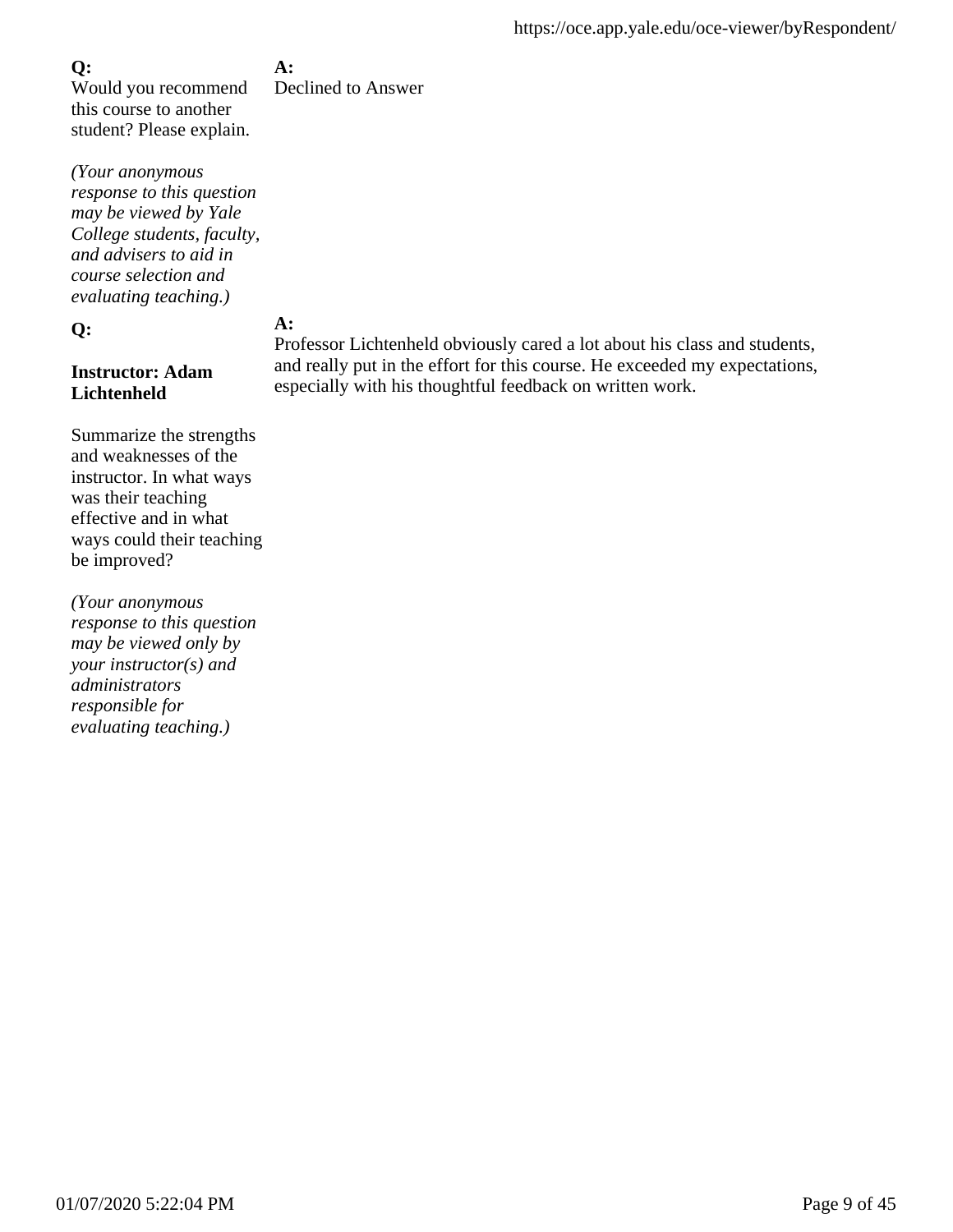**A:**

Would you recommend this course to another student? Please explain.

*(Your anonymous response to this question may be viewed by Yale College students, faculty, and advisers to aid in course selection and evaluating teaching.)*

#### **Q:**

### **Instructor: Adam Lichtenheld**

Summarize the strengths and weaknesses of the instructor. In what ways was their teaching effective and in what ways could their teaching be improved?

*(Your anonymous response to this question may be viewed only by your instructor(s) and administrators responsible for evaluating teaching.)*

Declined to Answer

## **A:**

Professor Lichtenheld obviously cared a lot about his class and students, and really put in the effort for this course. He exceeded my expectations, especially with his thoughtful feedback on written work.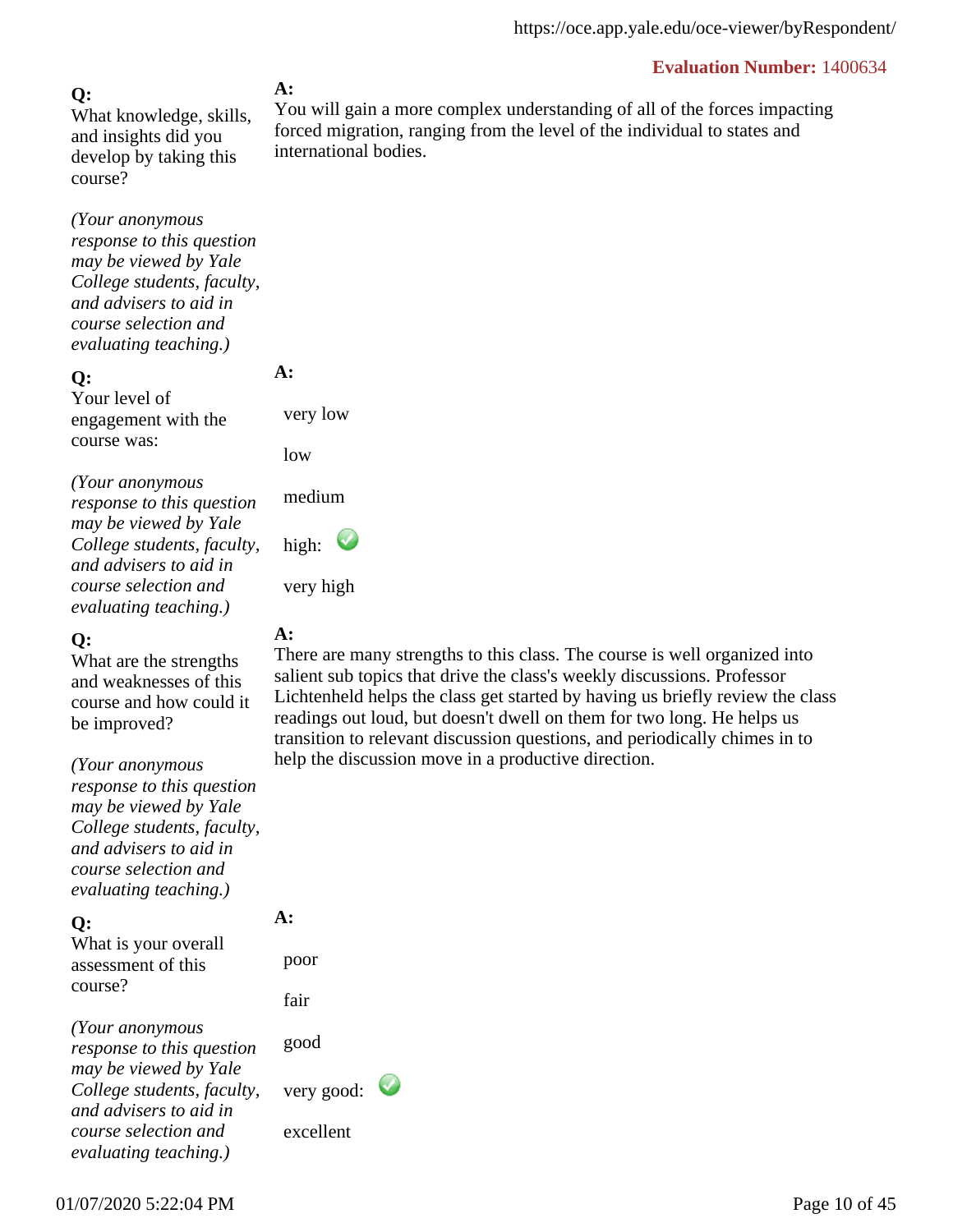### **Q:**

What knowledge, skills, and insights did you develop by taking this course?

*(Your anonymous response to this question may be viewed by Yale College students, faculty, and advisers to aid in course selection and evaluating teaching.)*

#### **Q:**

Your level of engagement with the course was:

*(Your anonymous response to this question may be viewed by Yale College students, faculty, and advisers to aid in course selection and evaluating teaching.)*

#### **Q:**

What are the strengths and weaknesses of this course and how could it be improved?

*(Your anonymous response to this question may be viewed by Yale College students, faculty, and advisers to aid in course selection and*

**Q:** *evaluating teaching.)*

What is your overall assessment of this course?

*(Your anonymous response to this question may be viewed by Yale College students, faculty, and advisers to aid in course selection and evaluating teaching.)*

#### **A:**

You will gain a more complex understanding of all of the forces impacting forced migration, ranging from the level of the individual to states and international bodies.

very high

**A:** 

very low

medium

high:

low

### **A:**

There are many strengths to this class. The course is well organized into salient sub topics that drive the class's weekly discussions. Professor Lichtenheld helps the class get started by having us briefly review the class readings out loud, but doesn't dwell on them for two long. He helps us transition to relevant discussion questions, and periodically chimes in to help the discussion move in a productive direction.

poor

fair

**A:** 

good

very good:

excellent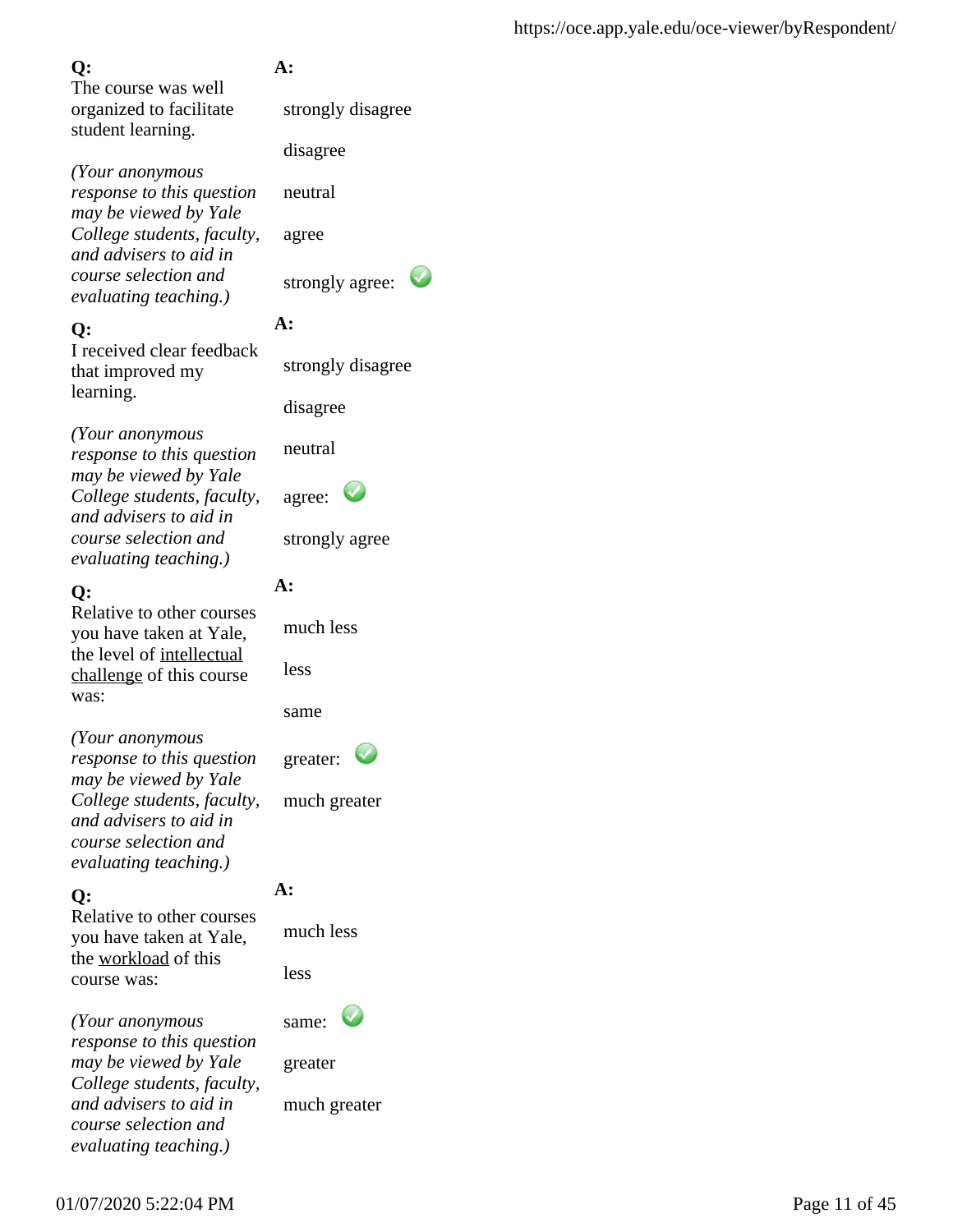The course was well organized to facilitate student learning.

*(Your anonymous response to this question may be viewed by Yale College students, faculty, and advisers to aid in course selection and evaluating teaching.)*

### **Q:**

I received clear feedback that improved my learning.

*(Your anonymous response to this question may be viewed by Yale College students, faculty, and advisers to aid in course selection and evaluating teaching.)*

## **Q:**

Relative to other courses you have taken at Yale, the level of intellectual challenge of this course was:

*(Your anonymous response to this question may be viewed by Yale College students, faculty, and advisers to aid in course selection and evaluating teaching.)*

## **Q:**

Relative to other courses you have taken at Yale, the workload of this course was:

*(Your anonymous response to this question may be viewed by Yale College students, faculty, and advisers to aid in course selection and evaluating teaching.)*

## **A:**

strongly disagree

disagree

neutral

agree

strongly agree:

## **A:**

strongly disagree

disagree

neutral

| agree: |  |
|--------|--|
|--------|--|

strongly agree

## **A:**

much less

same

greater:



## **A:**

much less

less

same:

greater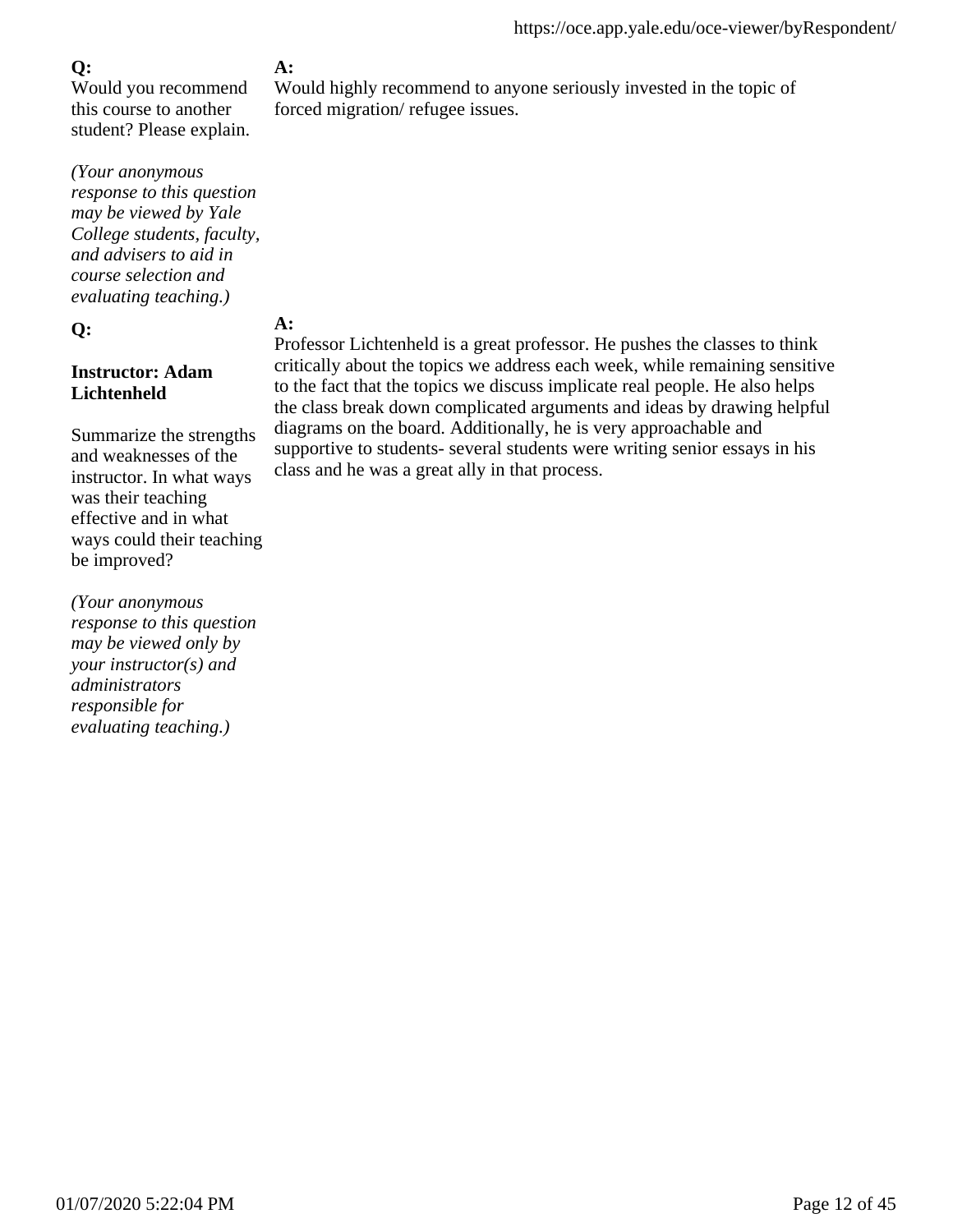Would you recommend this course to another student? Please explain.

*(Your anonymous response to this question may be viewed by Yale College students, faculty, and advisers to aid in course selection and evaluating teaching.)*

#### **Q:**

### **Instructor: Adam Lichtenheld**

Summarize the strengths and weaknesses of the instructor. In what ways was their teaching effective and in what ways could their teaching be improved?

*(Your anonymous response to this question may be viewed only by your instructor(s) and administrators responsible for evaluating teaching.)*

## **A:**

Would highly recommend to anyone seriously invested in the topic of forced migration/ refugee issues.

## **A:**

Professor Lichtenheld is a great professor. He pushes the classes to think critically about the topics we address each week, while remaining sensitive to the fact that the topics we discuss implicate real people. He also helps the class break down complicated arguments and ideas by drawing helpful diagrams on the board. Additionally, he is very approachable and supportive to students- several students were writing senior essays in his class and he was a great ally in that process.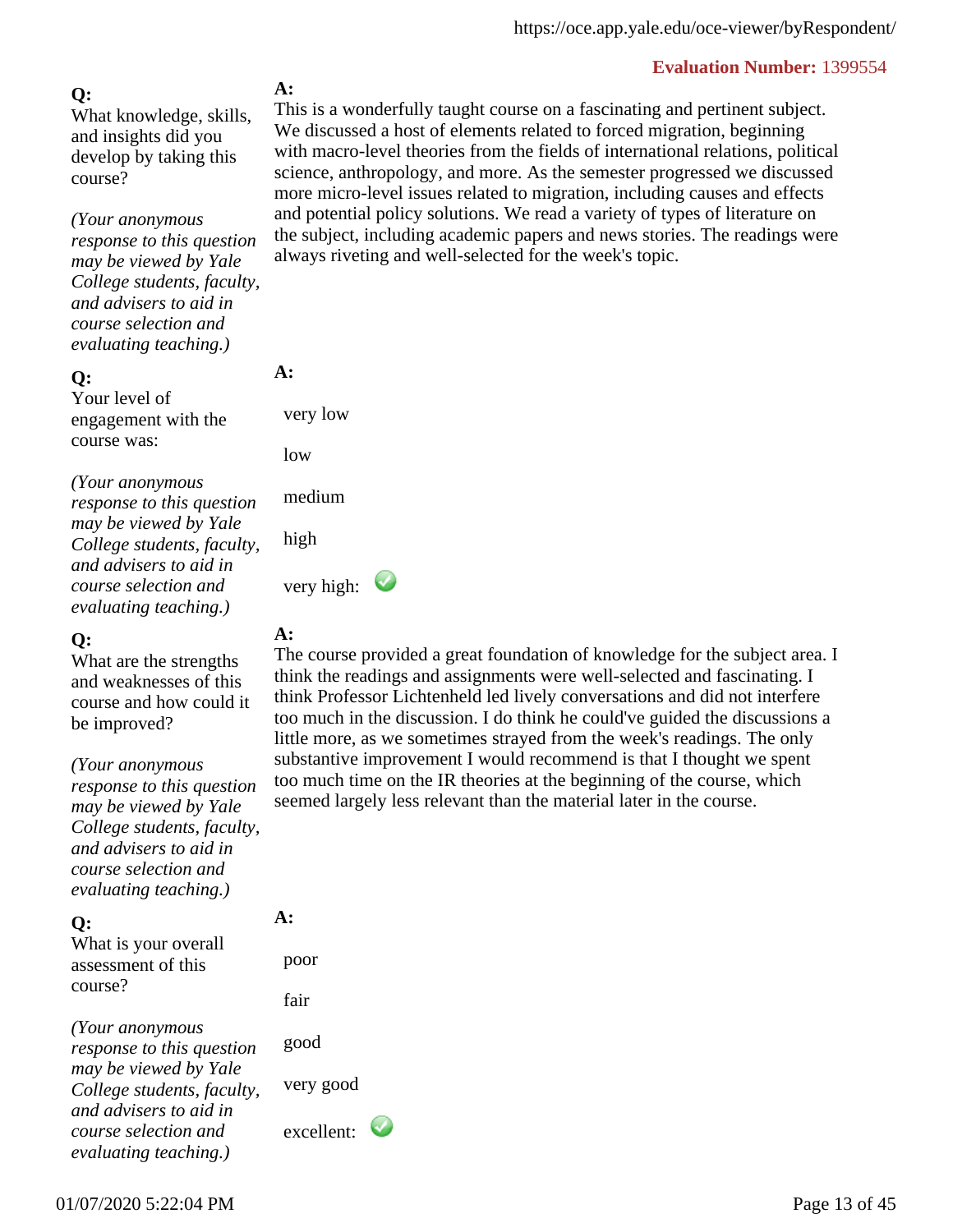#### **Q:**

What knowledge, skills, and insights did you develop by taking this course?

*(Your anonymous response to this question may be viewed by Yale College students, faculty, and advisers to aid in course selection and evaluating teaching.)*

#### **Q:**

Your level of engagement with the course was:

*(Your anonymous response to this question may be viewed by Yale College students, faculty, and advisers to aid in course selection and evaluating teaching.)*

#### **Q:**

What are the strengths and weaknesses of this course and how could it be improved?

*(Your anonymous*

*response to this question may be viewed by Yale College students, faculty, and advisers to aid in course selection and evaluating teaching.)*

#### **Q:**

What is your overall assessment of this course?

*(Your anonymous response to this question may be viewed by Yale College students, faculty, and advisers to aid in course selection and evaluating teaching.)*

#### **A:**

This is a wonderfully taught course on a fascinating and pertinent subject. We discussed a host of elements related to forced migration, beginning with macro-level theories from the fields of international relations, political science, anthropology, and more. As the semester progressed we discussed more micro-level issues related to migration, including causes and effects and potential policy solutions. We read a variety of types of literature on the subject, including academic papers and news stories. The readings were always riveting and well-selected for the week's topic.

#### **A:**

very low

low

medium

high

very high:  $\bullet$ 

### **A:**

The course provided a great foundation of knowledge for the subject area. I think the readings and assignments were well-selected and fascinating. I think Professor Lichtenheld led lively conversations and did not interfere too much in the discussion. I do think he could've guided the discussions a little more, as we sometimes strayed from the week's readings. The only substantive improvement I would recommend is that I thought we spent too much time on the IR theories at the beginning of the course, which seemed largely less relevant than the material later in the course.

# **A:**

 poor fair good very good excellent: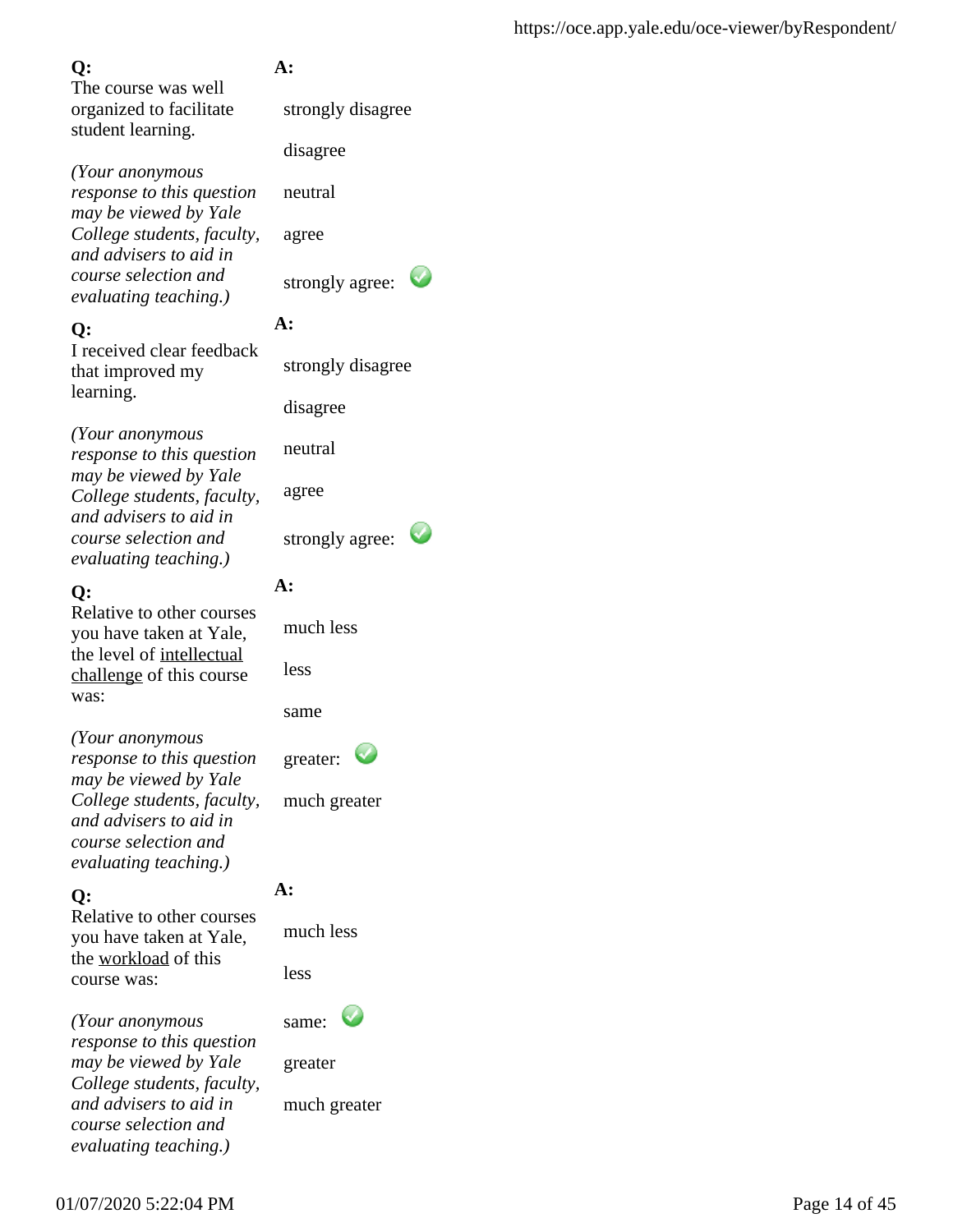The course was well organized to facilitate student learning.

*(Your anonymous response to this question may be viewed by Yale College students, faculty, and advisers to aid in course selection and evaluating teaching.)*

### **Q:**

I received clear feedback that improved my learning.

*(Your anonymous response to this question may be viewed by Yale College students, faculty, and advisers to aid in course selection and evaluating teaching.)*

### **Q:**

Relative to other courses you have taken at Yale, the level of intellectual challenge of this course was:

*(Your anonymous response to this question may be viewed by Yale College students, faculty, and advisers to aid in course selection and evaluating teaching.)*

## **Q:**

Relative to other courses you have taken at Yale, the workload of this course was:

*(Your anonymous response to this question may be viewed by Yale College students, faculty, and advisers to aid in course selection and evaluating teaching.)*

## **A:**

strongly disagree

disagree

neutral

agree

strongly agree:

## **A:**

strongly disagree

disagree

neutral

agree

strongly agree:

## **A:**

much less

less

same

greater:

much greater

## **A:**

much less

less

same:

greater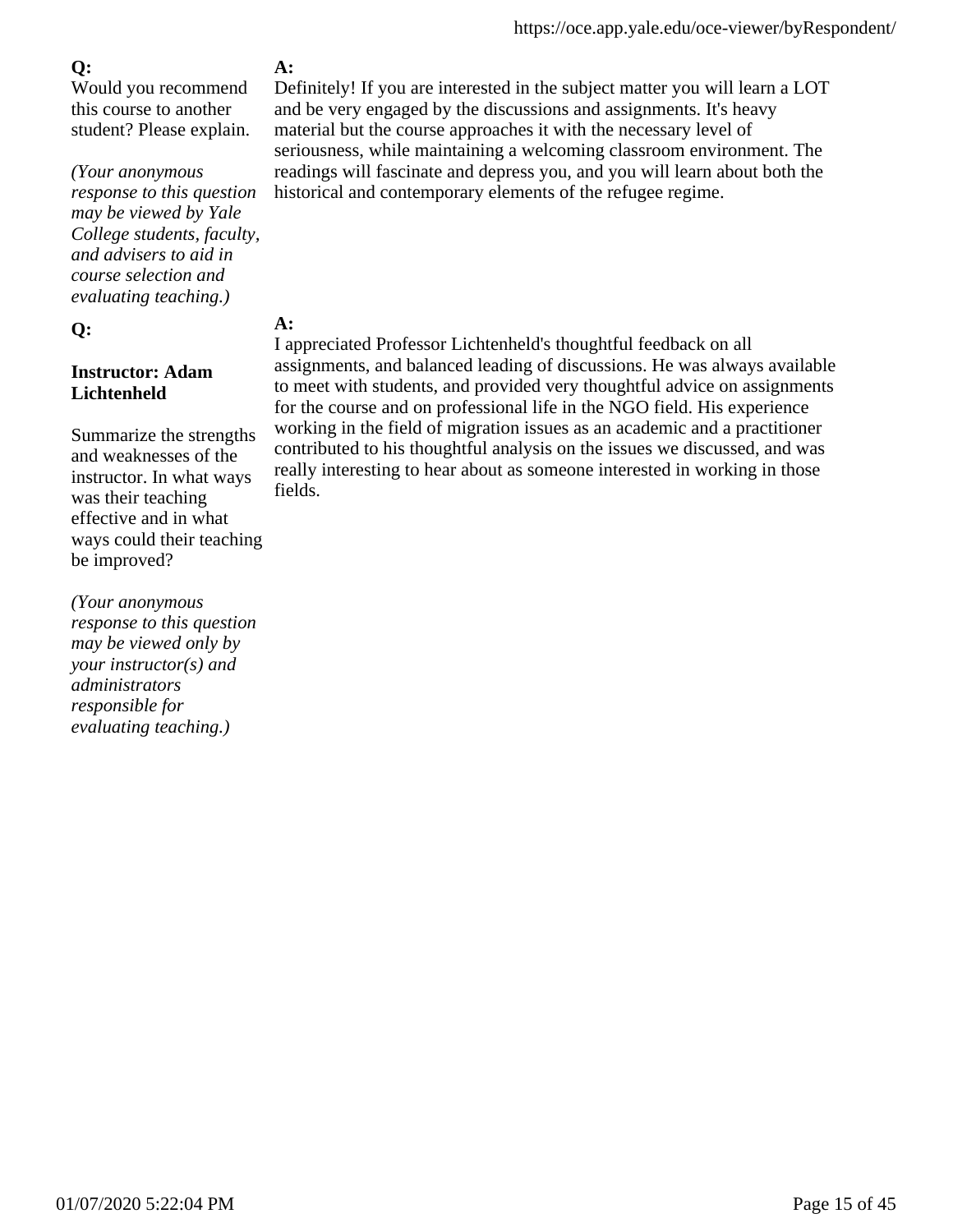Would you recommend this course to another student? Please explain.

*(Your anonymous response to this question may be viewed by Yale College students, faculty, and advisers to aid in course selection and evaluating teaching.)*

### **Q:**

### **Instructor: Adam Lichtenheld**

Summarize the strengths and weaknesses of the instructor. In what ways was their teaching effective and in what ways could their teaching be improved?

*(Your anonymous response to this question may be viewed only by your instructor(s) and administrators responsible for evaluating teaching.)*

## **A:**

Definitely! If you are interested in the subject matter you will learn a LOT and be very engaged by the discussions and assignments. It's heavy material but the course approaches it with the necessary level of seriousness, while maintaining a welcoming classroom environment. The readings will fascinate and depress you, and you will learn about both the historical and contemporary elements of the refugee regime.

## **A:**

I appreciated Professor Lichtenheld's thoughtful feedback on all assignments, and balanced leading of discussions. He was always available to meet with students, and provided very thoughtful advice on assignments for the course and on professional life in the NGO field. His experience working in the field of migration issues as an academic and a practitioner contributed to his thoughtful analysis on the issues we discussed, and was really interesting to hear about as someone interested in working in those fields.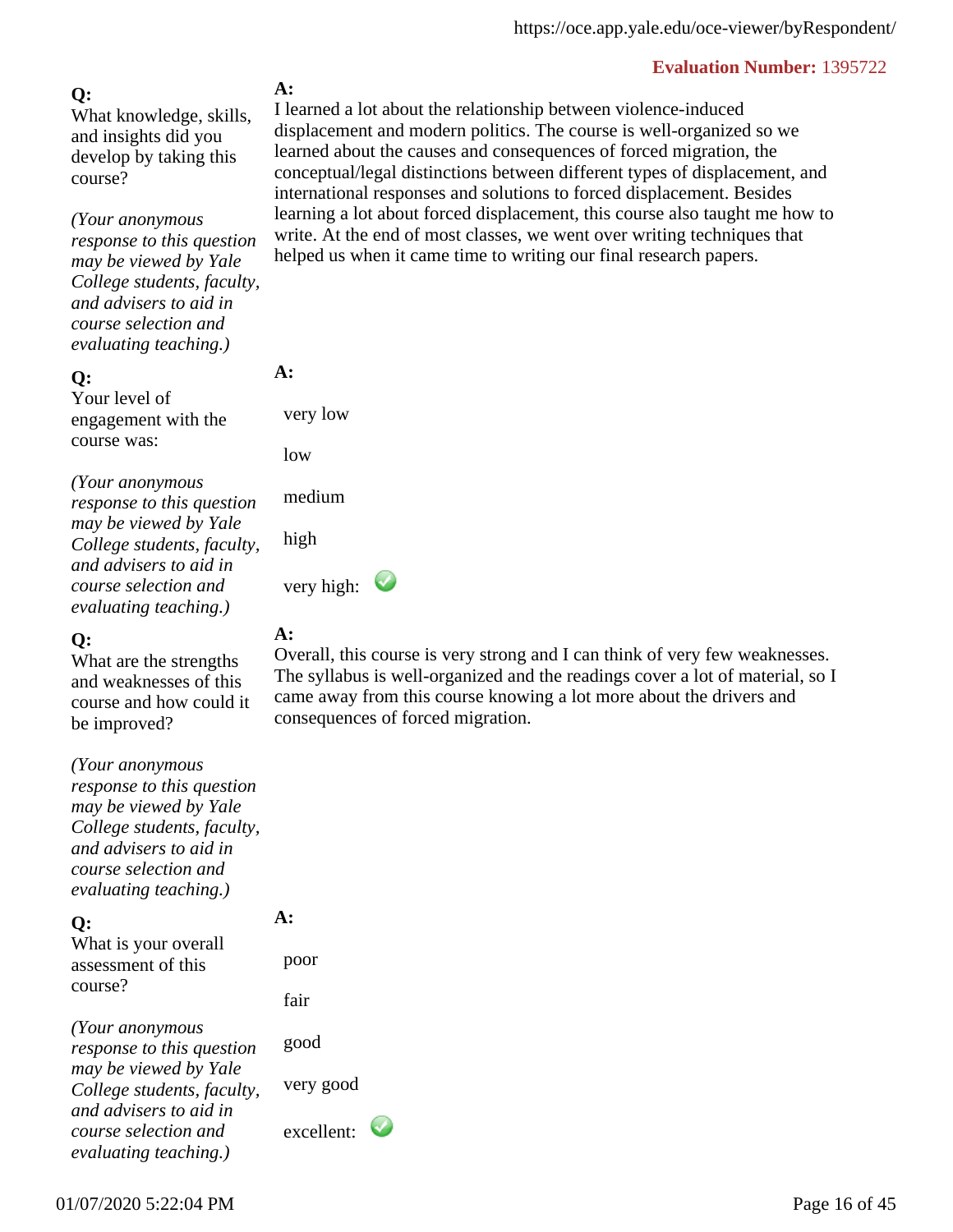## **Q:**

What knowledge, skills, and insights did you develop by taking this course?

*(Your anonymous response to this question may be viewed by Yale College students, faculty, and advisers to aid in course selection and evaluating teaching.)*

#### **Q:**

Your level of engagement with the course was:

*(Your anonymous response to this question may be viewed by Yale College students, faculty, and advisers to aid in course selection and evaluating teaching.)*

### **Q:**

What are the strengths and weaknesses of this course and how could it be improved?

*(Your anonymous response to this question may be viewed by Yale College students, faculty, and advisers to aid in course selection and evaluating teaching.)*

**Q:**

What is your overall assessment of this course?

*(Your anonymous response to this question may be viewed by Yale College students, faculty, and advisers to aid in course selection and evaluating teaching.)*

### **A:**

I learned a lot about the relationship between violence-induced displacement and modern politics. The course is well-organized so we learned about the causes and consequences of forced migration, the conceptual/legal distinctions between different types of displacement, and international responses and solutions to forced displacement. Besides learning a lot about forced displacement, this course also taught me how to write. At the end of most classes, we went over writing techniques that helped us when it came time to writing our final research papers.

#### **A:**

 very low low medium

high

very high:  $\bullet$ 

## **A:**

Overall, this course is very strong and I can think of very few weaknesses. The syllabus is well-organized and the readings cover a lot of material, so I came away from this course knowing a lot more about the drivers and consequences of forced migration.

**A:**  poor fair good very good excellent: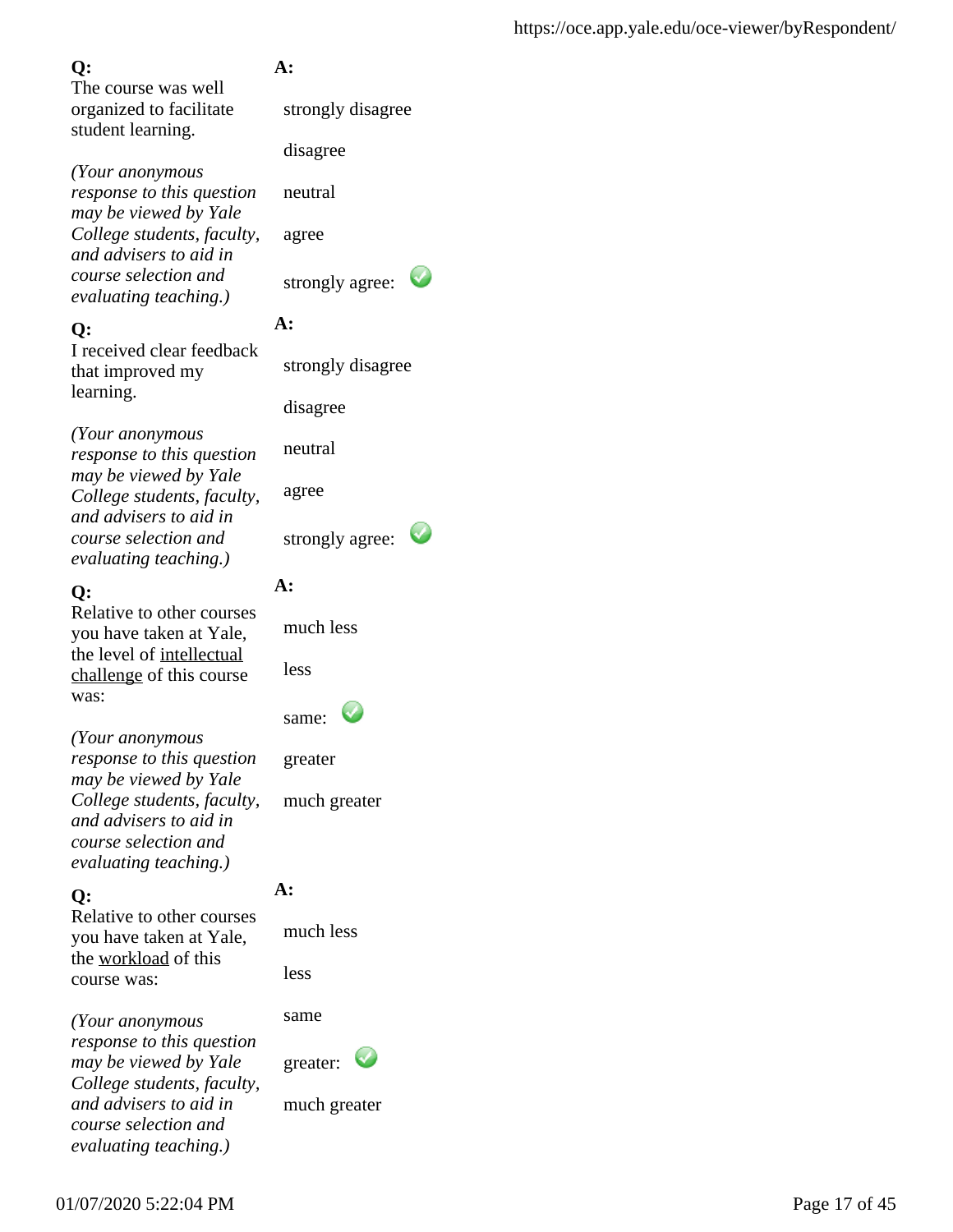The course was well organized to facilitate student learning.

*(Your anonymous response to this question may be viewed by Yale College students, faculty, and advisers to aid in course selection and evaluating teaching.)*

### **Q:**

I received clear feedback that improved my learning.

*(Your anonymous response to this question may be viewed by Yale College students, faculty, and advisers to aid in course selection and evaluating teaching.)*

### **Q:**

Relative to other courses you have taken at Yale, the level of intellectual challenge of this course was:

*(Your anonymous response to this question may be viewed by Yale College students, faculty, and advisers to aid in course selection and evaluating teaching.)*

## **Q:**

Relative to other courses you have taken at Yale, the workload of this course was:

*(Your anonymous response to this question may be viewed by Yale College students, faculty, and advisers to aid in course selection and evaluating teaching.)*

## **A:**

strongly disagree

disagree

neutral

agree

strongly agree:

## **A:**

strongly disagree

disagree

neutral

agree

strongly agree:

## **A:**

much less

less

| same: |  |
|-------|--|
|-------|--|

greater

much greater

## **A:**

much less

less

same

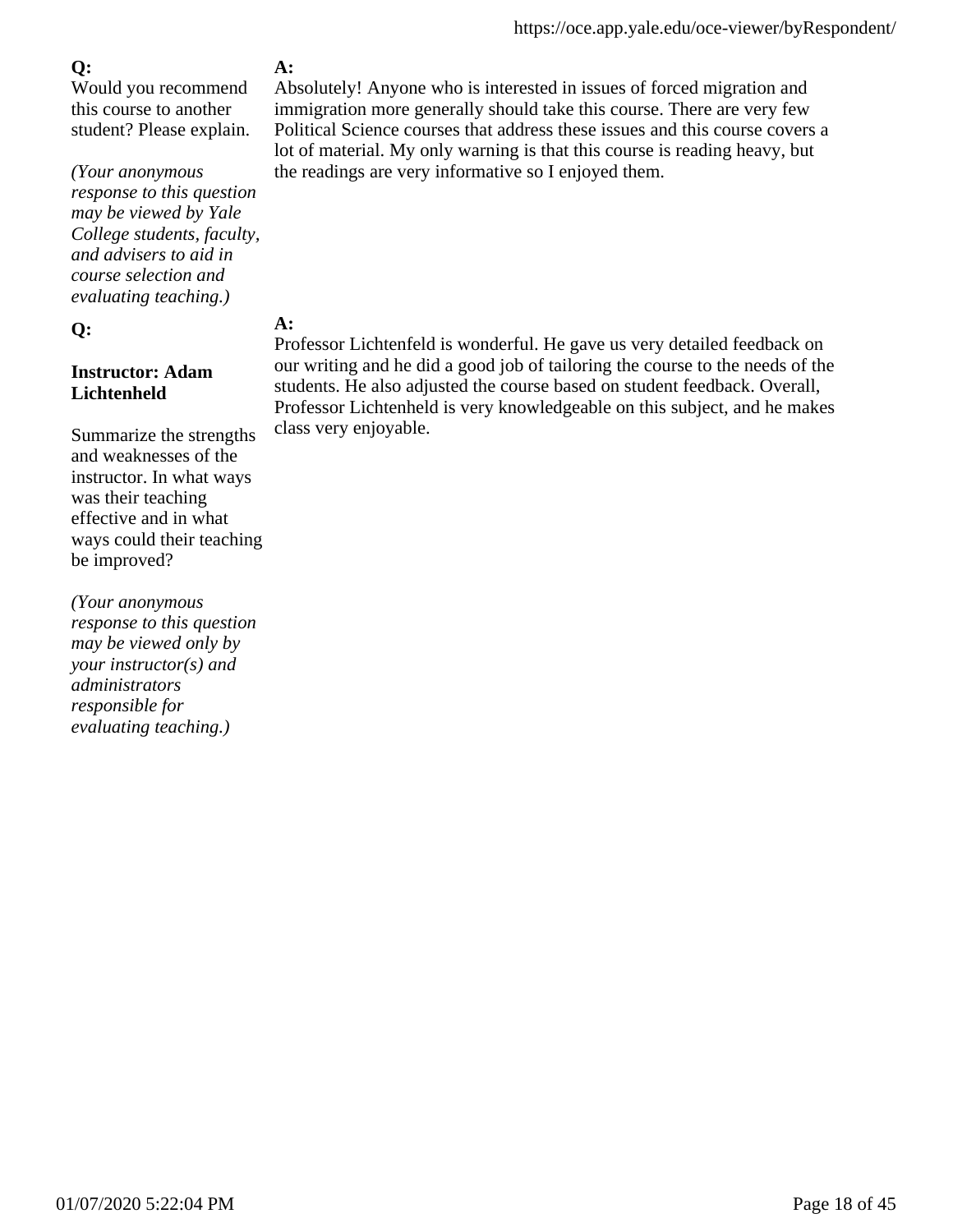Would you recommend this course to another student? Please explain.

*(Your anonymous response to this question may be viewed by Yale College students, faculty, and advisers to aid in course selection and evaluating teaching.)*

#### **Q:**

### **Instructor: Adam Lichtenheld**

Summarize the strengths and weaknesses of the instructor. In what ways was their teaching effective and in what ways could their teaching be improved?

*(Your anonymous response to this question may be viewed only by your instructor(s) and administrators responsible for evaluating teaching.)*

## **A:**

Absolutely! Anyone who is interested in issues of forced migration and immigration more generally should take this course. There are very few Political Science courses that address these issues and this course covers a lot of material. My only warning is that this course is reading heavy, but the readings are very informative so I enjoyed them.

## **A:**

Professor Lichtenfeld is wonderful. He gave us very detailed feedback on our writing and he did a good job of tailoring the course to the needs of the students. He also adjusted the course based on student feedback. Overall, Professor Lichtenheld is very knowledgeable on this subject, and he makes class very enjoyable.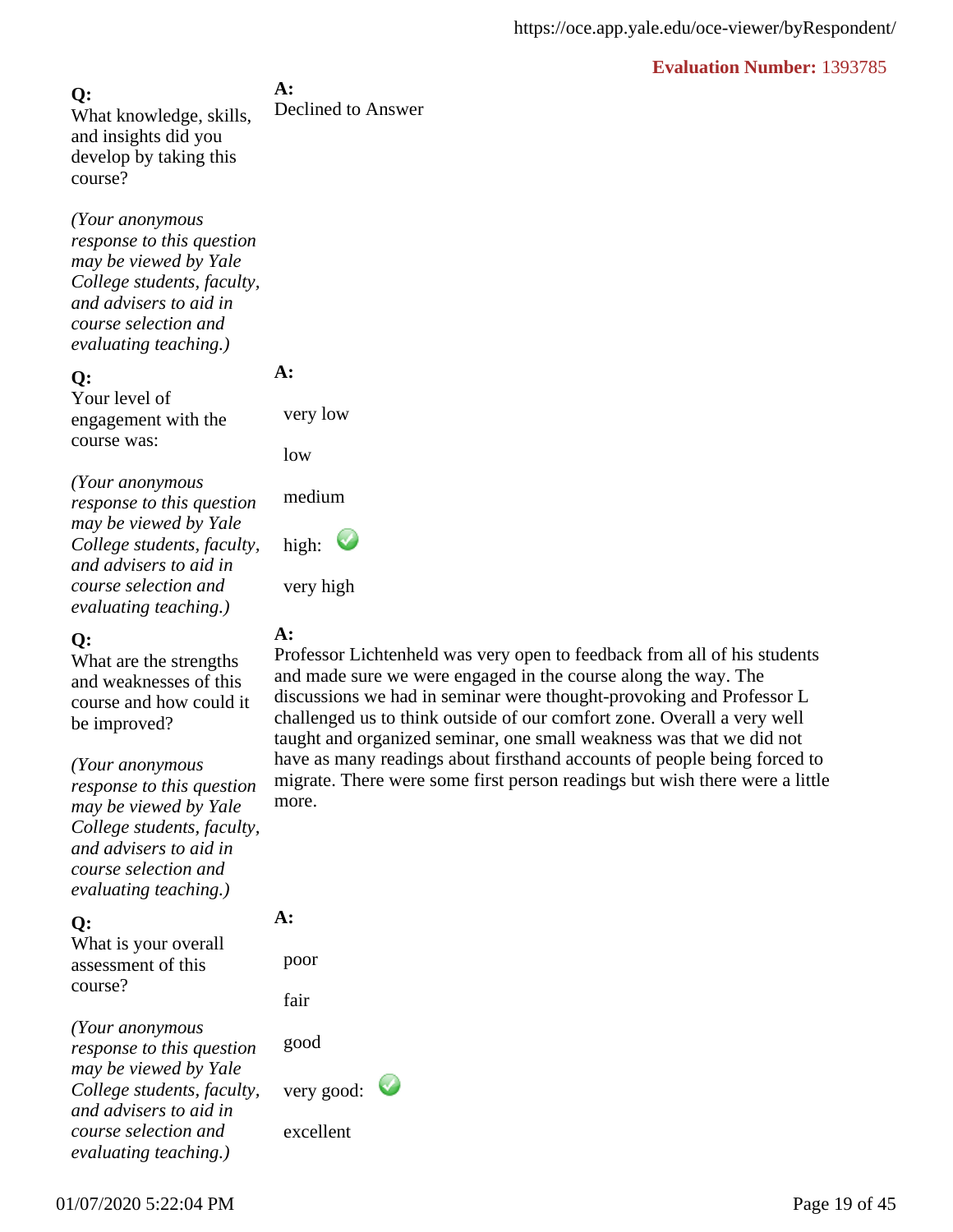**A:** Declined to Answer **Q:** What knowledge, skills, and insights did you develop by taking this course?

*(Your anonymous response to this question may be viewed by Yale College students, faculty, and advisers to aid in course selection and evaluating teaching.)*

#### **Q:**

Your level of engagement with the course was:

*(Your anonymous response to this question may be viewed by Yale College students, faculty, and advisers to aid in course selection and evaluating teaching.)*

#### **Q:**

What are the strengths and weaknesses of this course and how could it be improved?

*(Your anonymous*

*response to this question may be viewed by Yale College students, faculty, and advisers to aid in course selection and evaluating teaching.)*

#### **Q:**

What is your overall assessment of this course?

*(Your anonymous response to this question may be viewed by Yale College students, faculty, and advisers to aid in course selection and evaluating teaching.)*

### **A:**

**A:** 

very low

medium

high:

very high

low

Professor Lichtenheld was very open to feedback from all of his students and made sure we were engaged in the course along the way. The discussions we had in seminar were thought-provoking and Professor L challenged us to think outside of our comfort zone. Overall a very well taught and organized seminar, one small weakness was that we did not have as many readings about firsthand accounts of people being forced to migrate. There were some first person readings but wish there were a little more.

# **A:**

 poor fair

good

very good:

excellent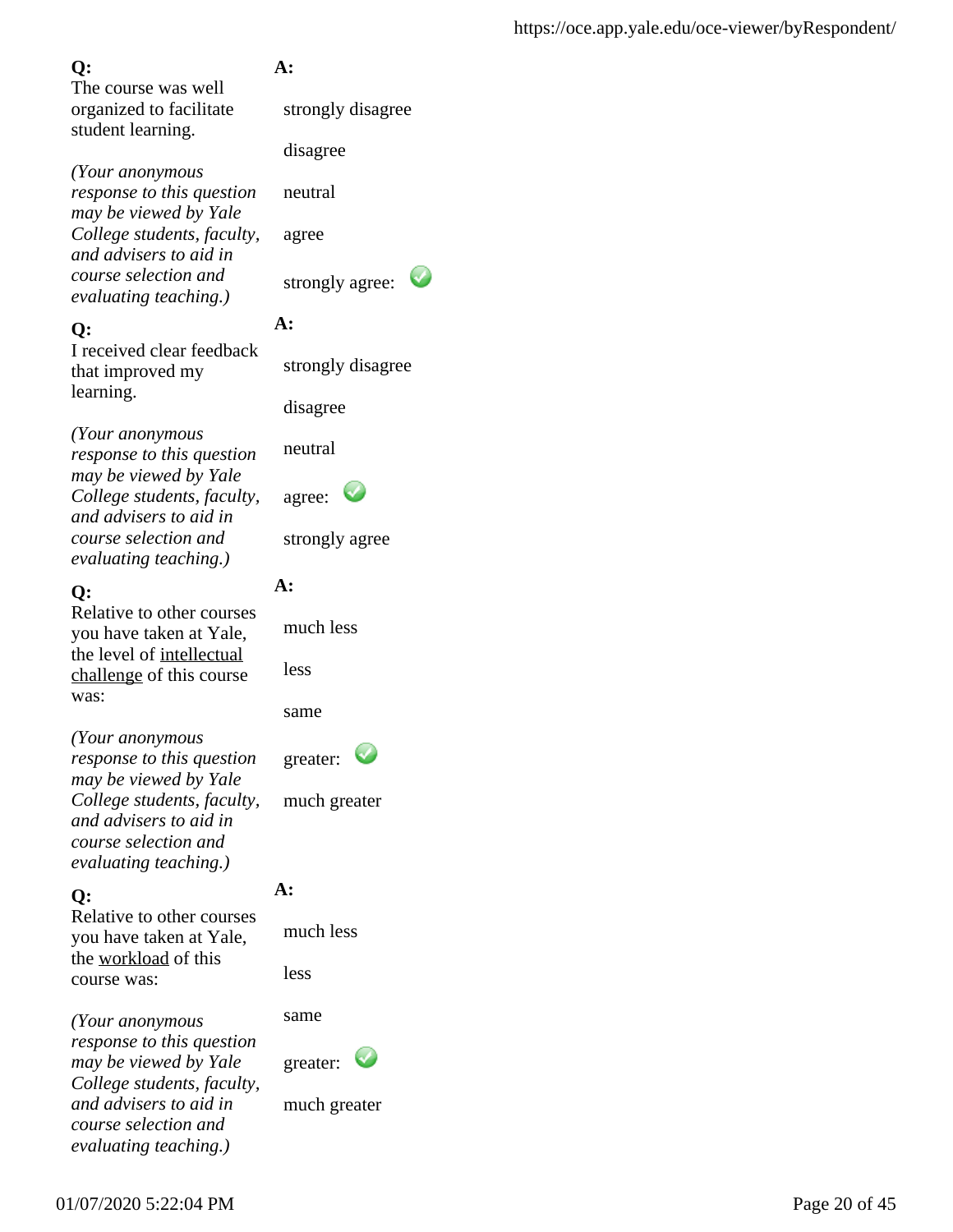The course was well organized to facilitate student learning.

*(Your anonymous response to this question may be viewed by Yale College students, faculty, and advisers to aid in course selection and evaluating teaching.)*

## **Q:**

I received clear feedback that improved my learning.

*(Your anonymous response to this question may be viewed by Yale College students, faculty, and advisers to aid in course selection and evaluating teaching.)*

## **Q:**

Relative to other courses you have taken at Yale, the level of intellectual challenge of this course was:

*(Your anonymous response to this question may be viewed by Yale College students, faculty, and advisers to aid in course selection and evaluating teaching.)*

## **Q:**

Relative to other courses you have taken at Yale, the workload of this course was:

*(Your anonymous response to this question may be viewed by Yale College students, faculty, and advisers to aid in course selection and evaluating teaching.)*

## **A:**

strongly disagree

disagree

neutral

agree

strongly agree:

## **A:**

strongly disagree

disagree

neutral

| agree: |  |  |
|--------|--|--|
|--------|--|--|

strongly agree

## **A:**

much less

same

greater:



## **A:**

much less

less

same

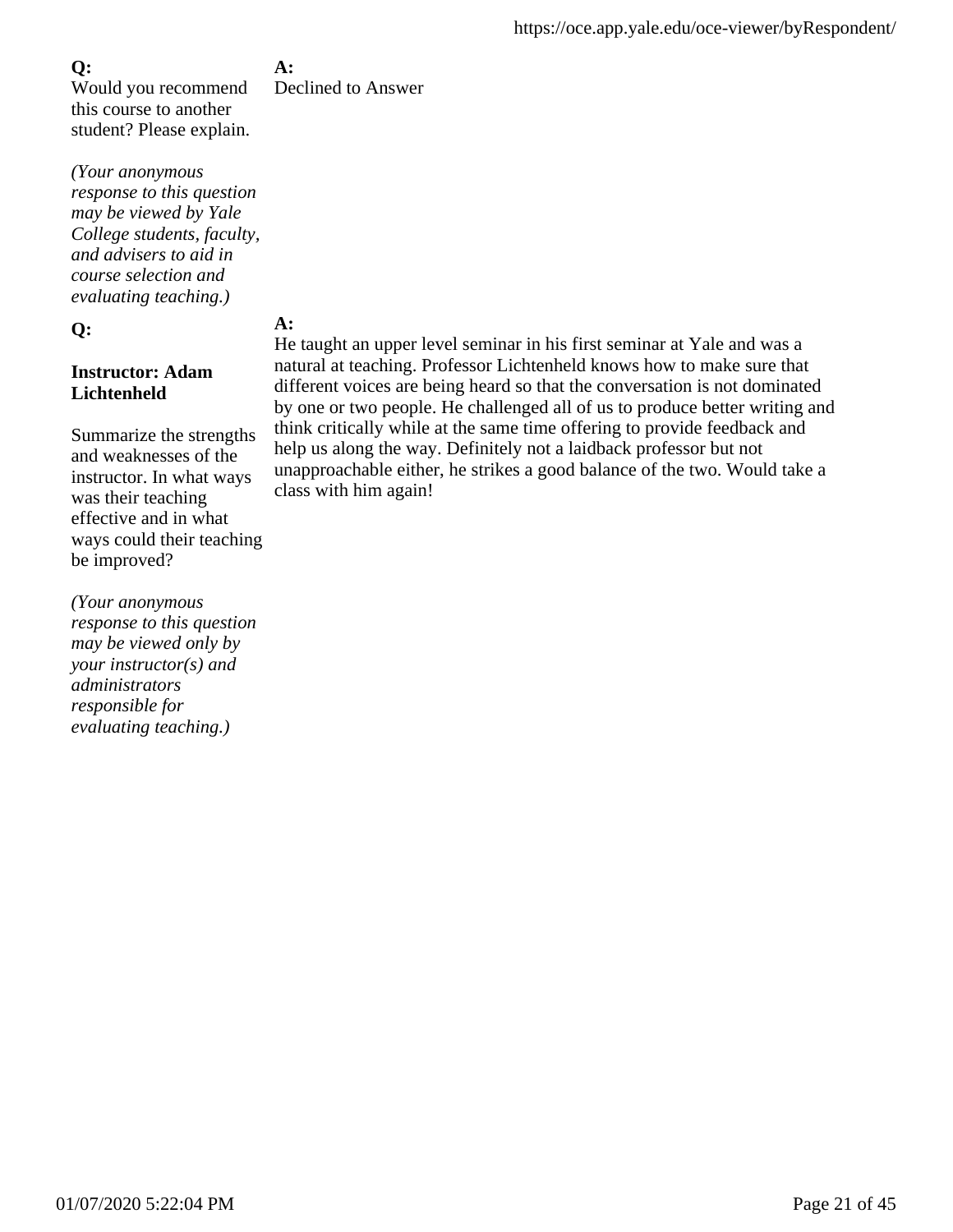Would you recommend this course to another student? Please explain.

*(Your anonymous response to this question may be viewed by Yale College students, faculty, and advisers to aid in course selection and evaluating teaching.)*

### **Q:**

### **Instructor: Adam Lichtenheld**

Summarize the strengths and weaknesses of the instructor. In what ways was their teaching effective and in what ways could their teaching be improved?

*(Your anonymous response to this question may be viewed only by your instructor(s) and administrators responsible for evaluating teaching.)*

**A:** Declined to Answer

## **A:**

He taught an upper level seminar in his first seminar at Yale and was a natural at teaching. Professor Lichtenheld knows how to make sure that different voices are being heard so that the conversation is not dominated by one or two people. He challenged all of us to produce better writing and think critically while at the same time offering to provide feedback and help us along the way. Definitely not a laidback professor but not unapproachable either, he strikes a good balance of the two. Would take a class with him again!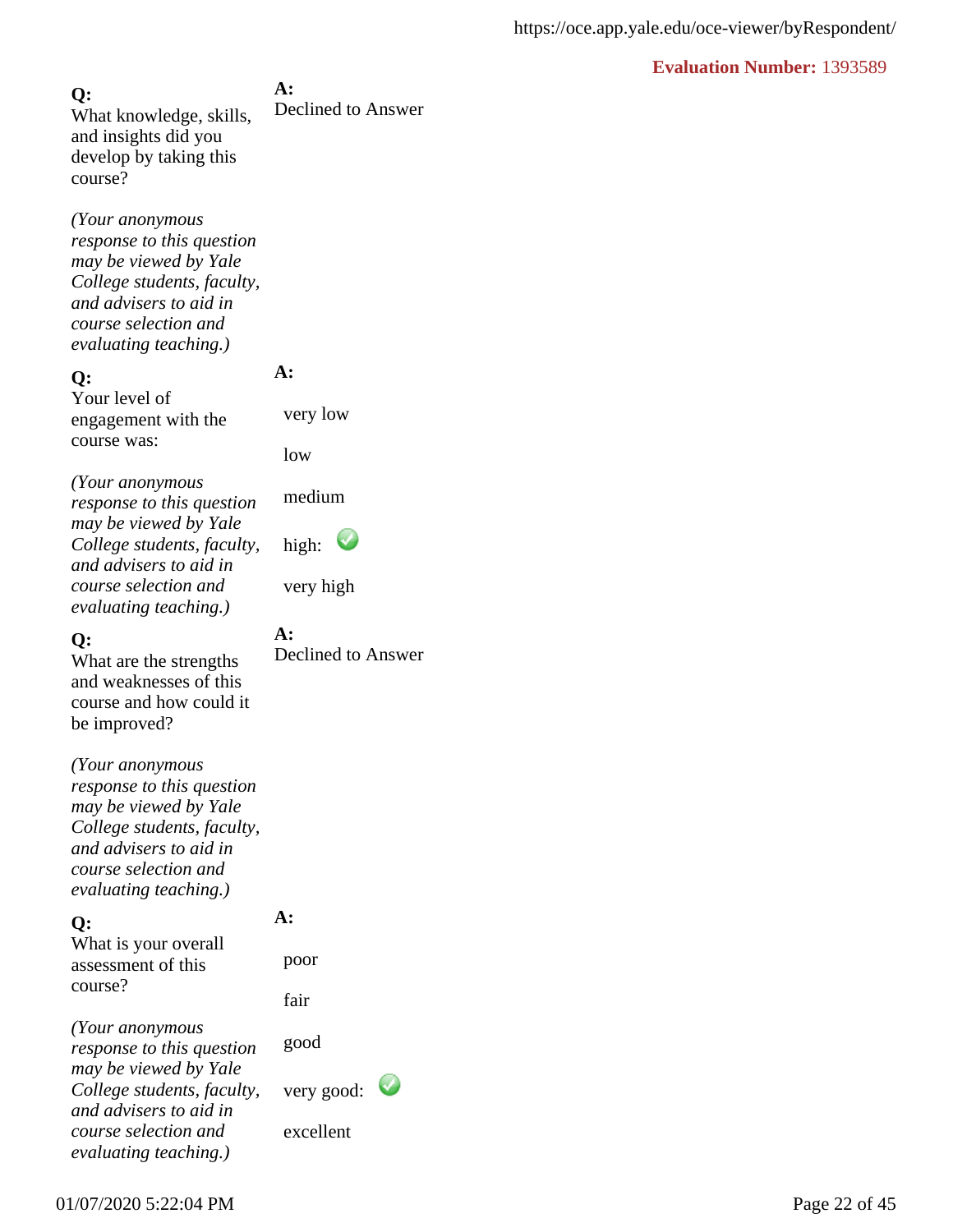**A:** Declined to Answer **Q:** What knowledge, skills, and insights did you develop by taking this course?

*(Your anonymous response to this question may be viewed by Yale College students, faculty, and advisers to aid in course selection and evaluating teaching.)*

#### **Q:**

Your level of engagement with the course was:

*(Your anonymous response to this question may be viewed by Yale College students, faculty, and advisers to aid in course selection and evaluating teaching.)*

#### **Q:**

What are the strengths and weaknesses of this course and how could it be improved?

*(Your anonymous response to this question may be viewed by Yale College students, faculty, and advisers to aid in course selection and evaluating teaching.)*

#### **Q:**

What is your overall assessment of this course?

**A:**  poor

**A:**

**A:** 

very low

medium

high:

very high

low

Declined to Answer

fair

*(Your anonymous response to this question may be viewed by Yale College students, faculty, and advisers to aid in course selection and evaluating teaching.)*

good

very good:

excellent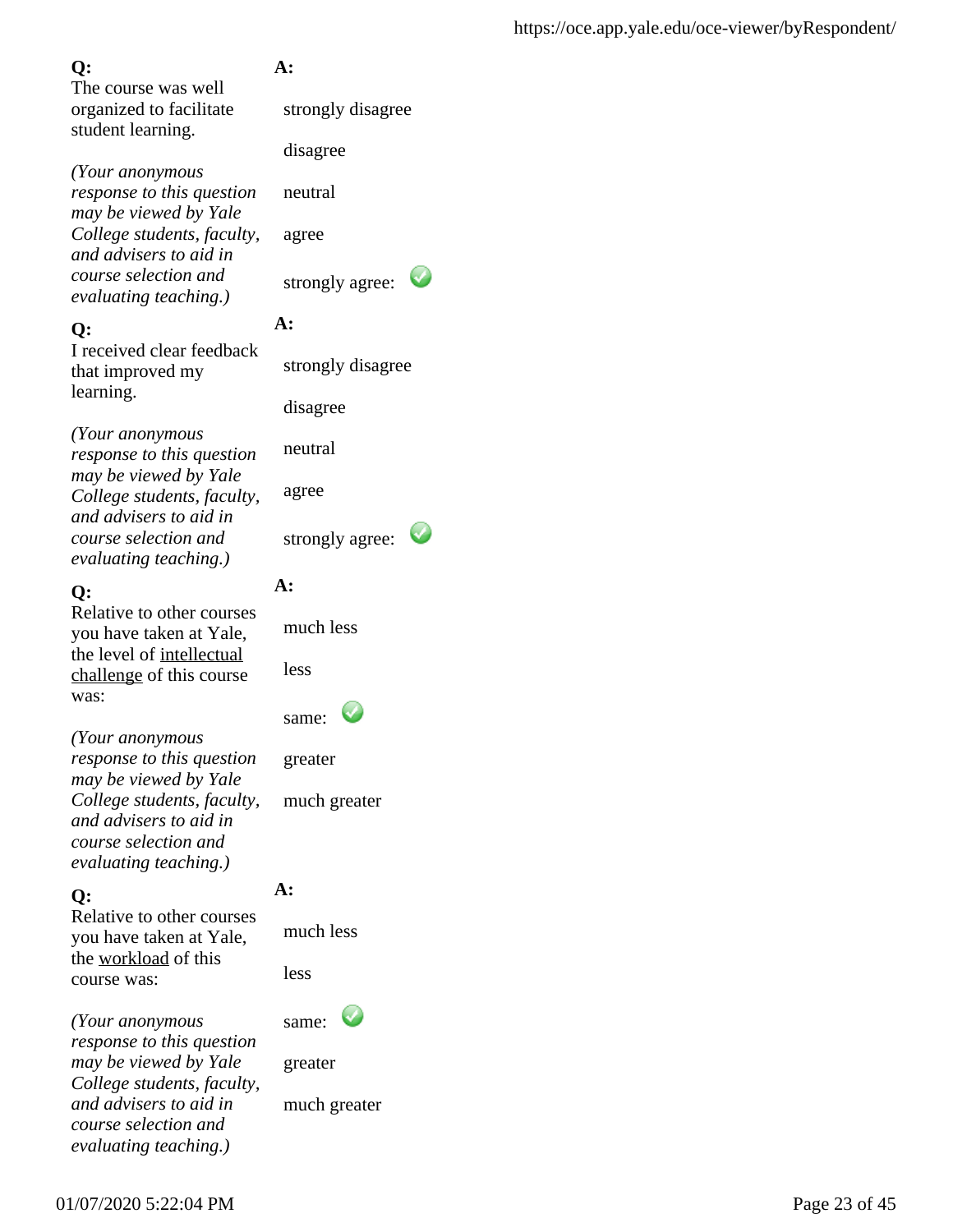The course was well organized to facilitate student learning.

*(Your anonymous response to this question may be viewed by Yale College students, faculty, and advisers to aid in course selection and evaluating teaching.)*

## **Q:**

I received clear feedback that improved my learning.

*(Your anonymous response to this question may be viewed by Yale College students, faculty, and advisers to aid in course selection and evaluating teaching.)*

## **Q:**

Relative to other courses you have taken at Yale, the level of intellectual challenge of this course was:

*(Your anonymous response to this question may be viewed by Yale College students, faculty, and advisers to aid in course selection and evaluating teaching.)*

## **Q:**

Relative to other courses you have taken at Yale, the workload of this course was:

*(Your anonymous response to this question may be viewed by Yale College students, faculty, and advisers to aid in course selection and evaluating teaching.)*

## **A:**

strongly disagree

disagree

neutral

agree

strongly agree:

## **A:**

strongly disagree

disagree

neutral

agree

strongly agree:

## **A:**

much less

less

greater

much greater

## **A:**

much less

less

same:

greater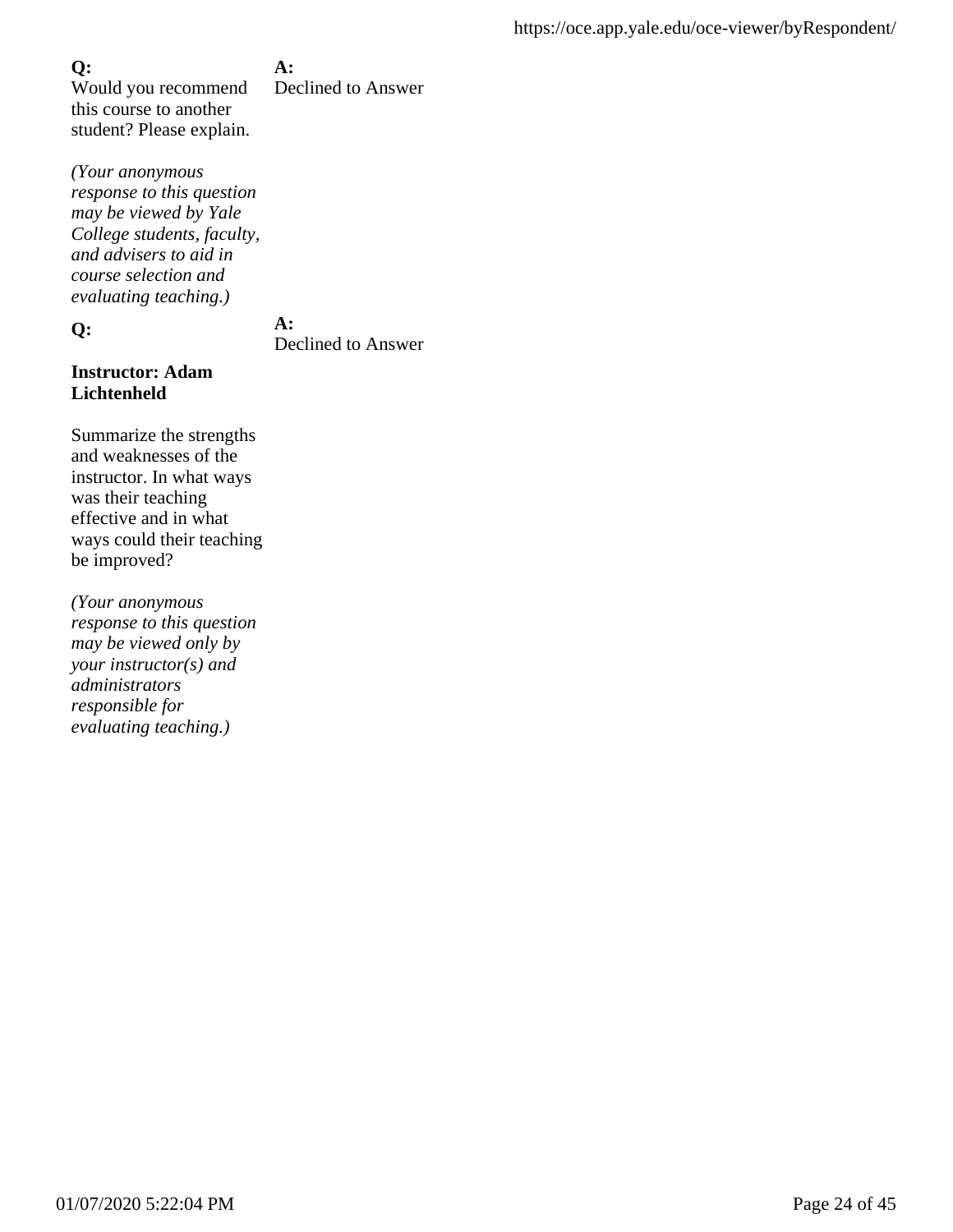#### **A:**

Would you recommend this course to another student? Please explain. Declined to Answer

*(Your anonymous response to this question may be viewed by Yale College students, faculty, and advisers to aid in course selection and evaluating teaching.)*

**Q:**

## **A:**

Declined to Answer

#### **Instructor: Adam Lichtenheld**

Summarize the strengths and weaknesses of the instructor. In what ways was their teaching effective and in what ways could their teaching be improved?

*(Your anonymous response to this question may be viewed only by your instructor(s) and administrators responsible for evaluating teaching.)*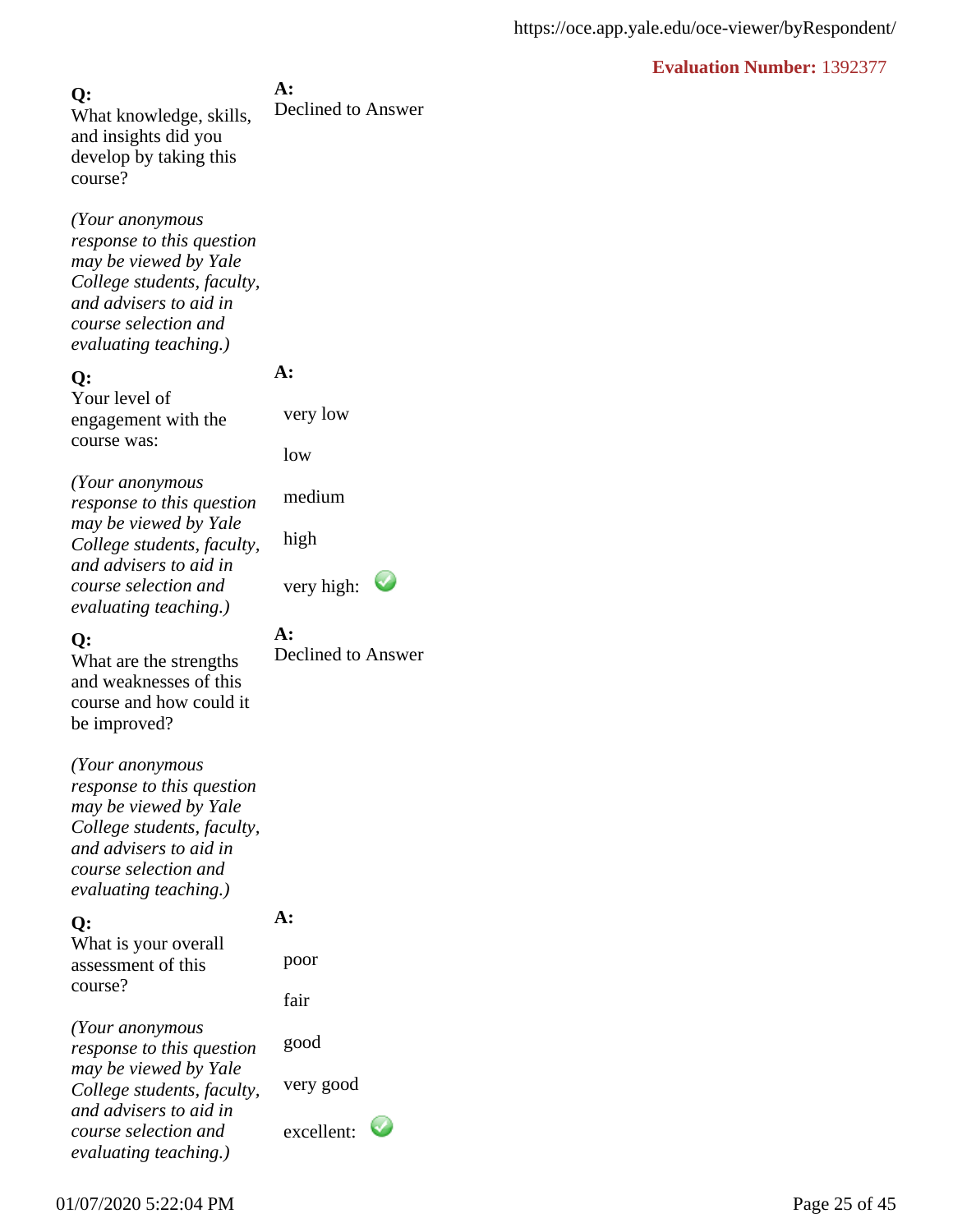**A:** Declined to Answer **Q:** What knowledge, skills, and insights did you develop by taking this course?

*(Your anonymous response to this question may be viewed by Yale College students, faculty, and advisers to aid in course selection and evaluating teaching.)*

#### **Q:**

Your level of engagement with the course was:

*(Your anonymous response to this question may be viewed by Yale College students, faculty, and advisers to aid in course selection and evaluating teaching.)*

#### **Q:**

What are the strengths and weaknesses of this course and how could it be improved?

*(Your anonymous response to this question may be viewed by Yale College students, faculty, and advisers to aid in course selection and evaluating teaching.)*

#### **Q:**

What is your overall assessment of this course?

**A:** 

**A:**

**A:** 

very low

medium

low

high

Declined to Answer

very high:  $\bullet$ 

fair

poor

*(Your anonymous response to this question may be viewed by Yale College students, faculty, and advisers to aid in course selection and evaluating teaching.)*

 good very good

excellent:

01/07/2020 5:22:04 PM Page 25 of 45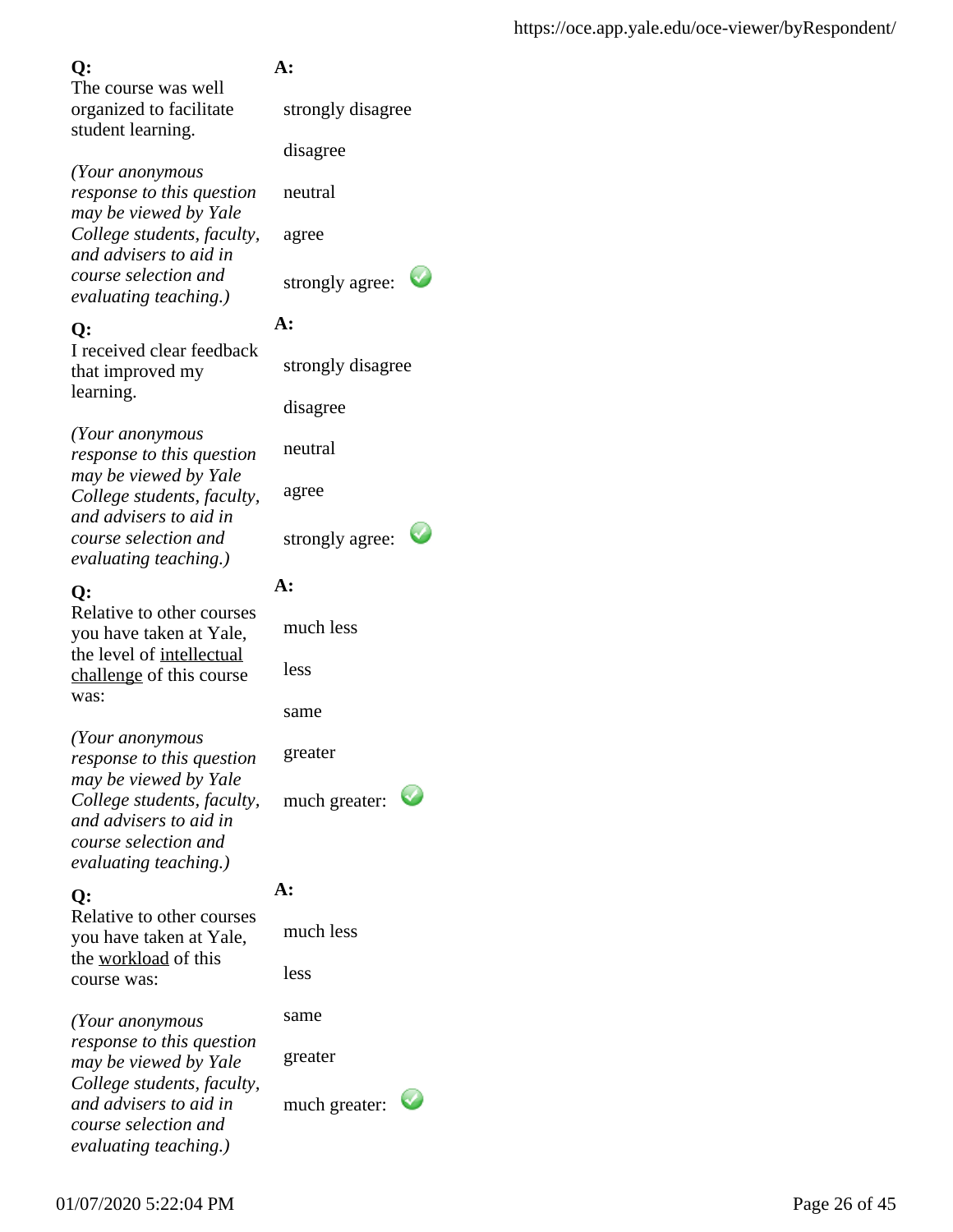The course was well organized to facilitate student learning.

*(Your anonymous response to this question may be viewed by Yale College students, faculty, and advisers to aid in course selection and evaluating teaching.)*

### **Q:**

I received clear feedback that improved my learning.

*(Your anonymous response to this question may be viewed by Yale College students, faculty, and advisers to aid in course selection and evaluating teaching.)*

### **Q:**

Relative to other courses you have taken at Yale, the level of intellectual challenge of this course was:

*(Your anonymous response to this question may be viewed by Yale College students, faculty, and advisers to aid in course selection and evaluating teaching.)*

## **Q:**

Relative to other courses you have taken at Yale, the workload of this course was:

*(Your anonymous response to this question may be viewed by Yale College students, faculty, and advisers to aid in course selection and evaluating teaching.)*

## **A:**

strongly disagree

disagree

neutral

agree

strongly agree:

## **A:**

strongly disagree

disagree

neutral

agree

strongly agree:

## **A:**

 much less less

same

greater

much greater:

## **A:**

 much less less

same

greater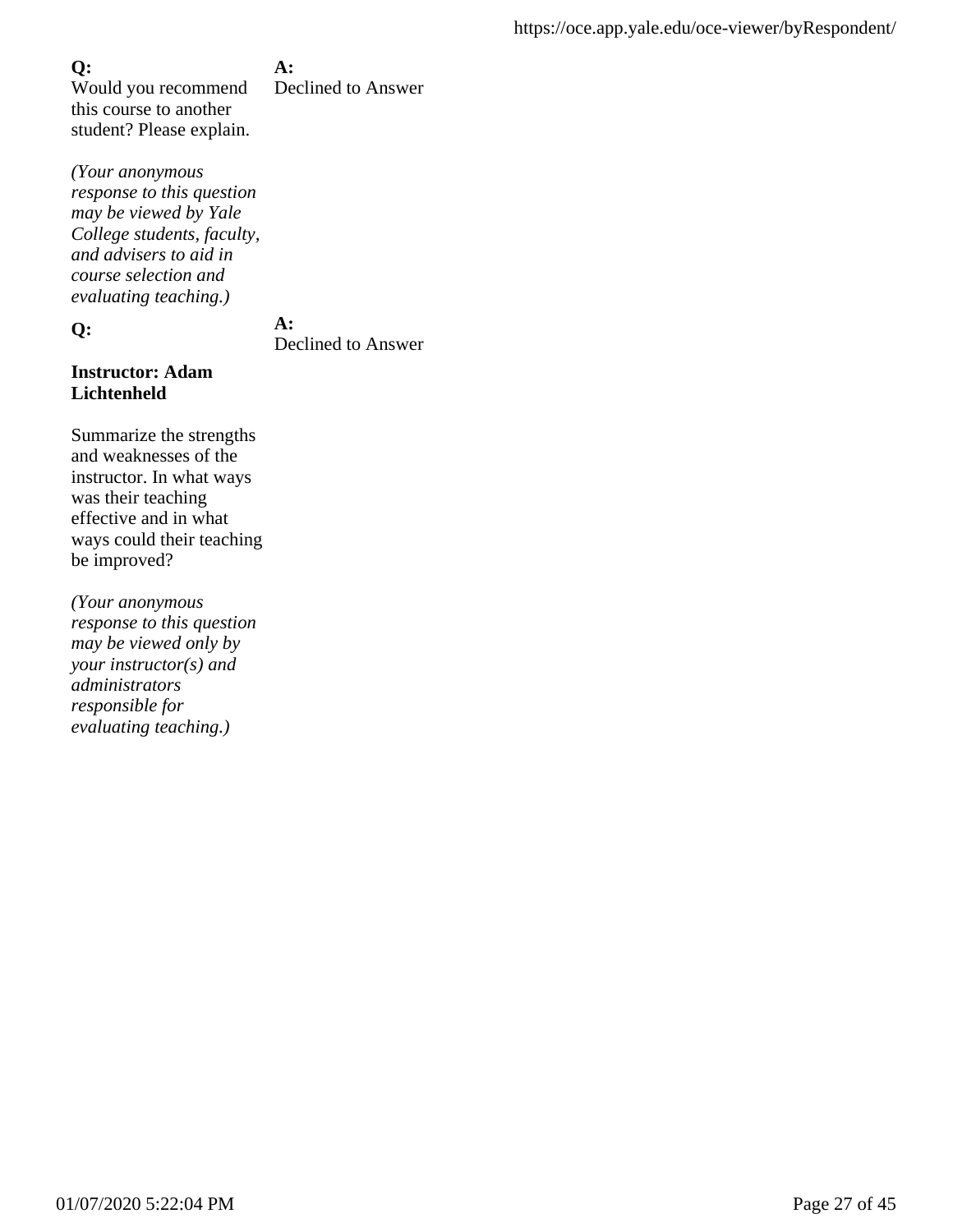#### **A:**

Would you recommend this course to another student? Please explain. Declined to Answer

*(Your anonymous response to this question may be viewed by Yale College students, faculty, and advisers to aid in course selection and evaluating teaching.)*

**Q:**

## **A:**

Declined to Answer

#### **Instructor: Adam Lichtenheld**

Summarize the strengths and weaknesses of the instructor. In what ways was their teaching effective and in what ways could their teaching be improved?

*(Your anonymous response to this question may be viewed only by your instructor(s) and administrators responsible for evaluating teaching.)*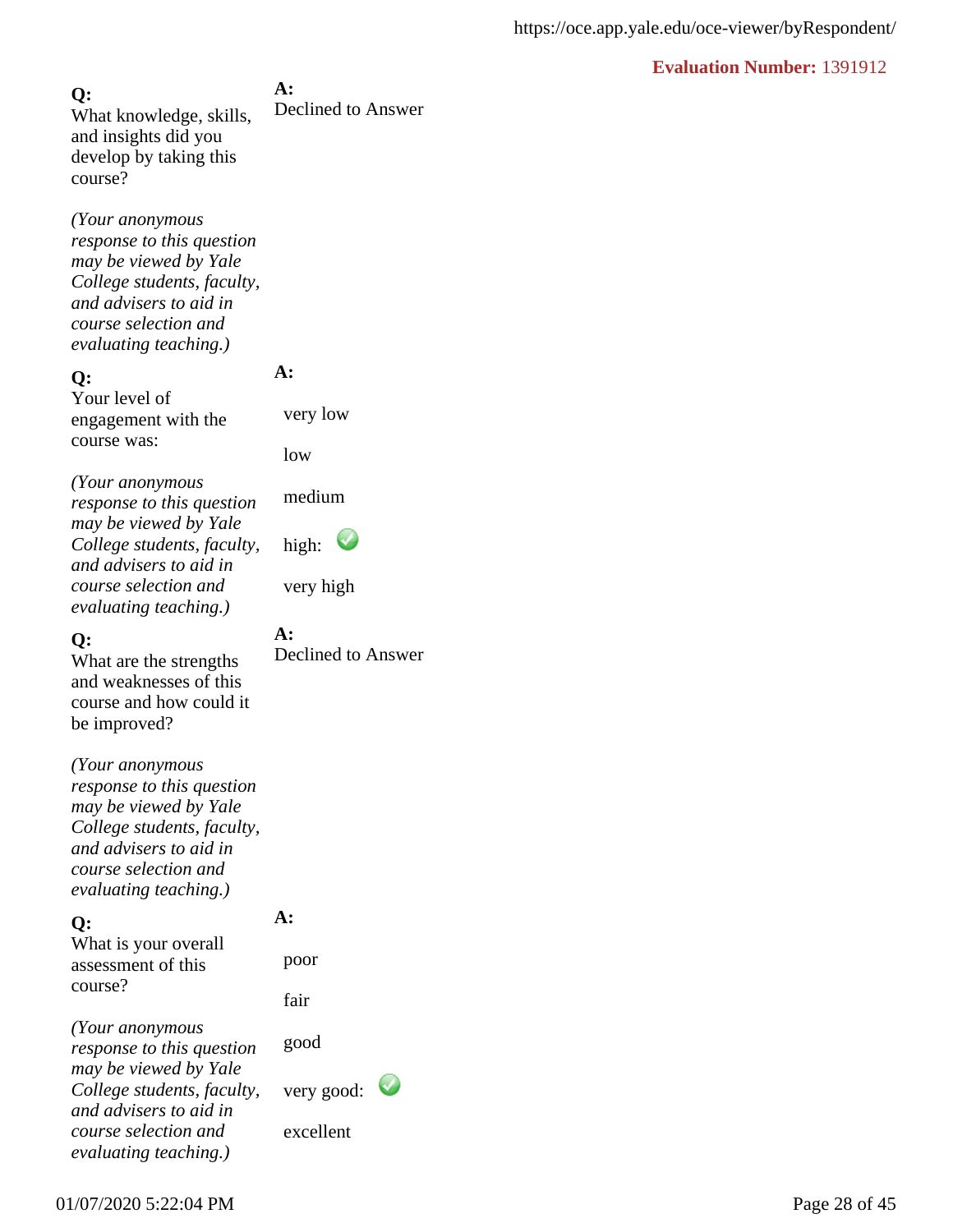**A:** Declined to Answer **Q:** What knowledge, skills, and insights did you develop by taking this course?

*(Your anonymous response to this question may be viewed by Yale College students, faculty, and advisers to aid in course selection and evaluating teaching.)*

#### **Q:**

Your level of engagement with the course was:

*(Your anonymous response to this question may be viewed by Yale College students, faculty, and advisers to aid in course selection and evaluating teaching.)*

#### **Q:**

What are the strengths and weaknesses of this course and how could it be improved?

*(Your anonymous response to this question may be viewed by Yale College students, faculty, and advisers to aid in course selection and evaluating teaching.)*

#### **Q:**

What is your overall assessment of this course?

**A:**  poor

**A:**

**A:** 

very low

medium

high:

very high

low

Declined to Answer

fair

*(Your anonymous response to this question may be viewed by Yale College students, faculty, and advisers to aid in course selection and evaluating teaching.)*

good

very good:

excellent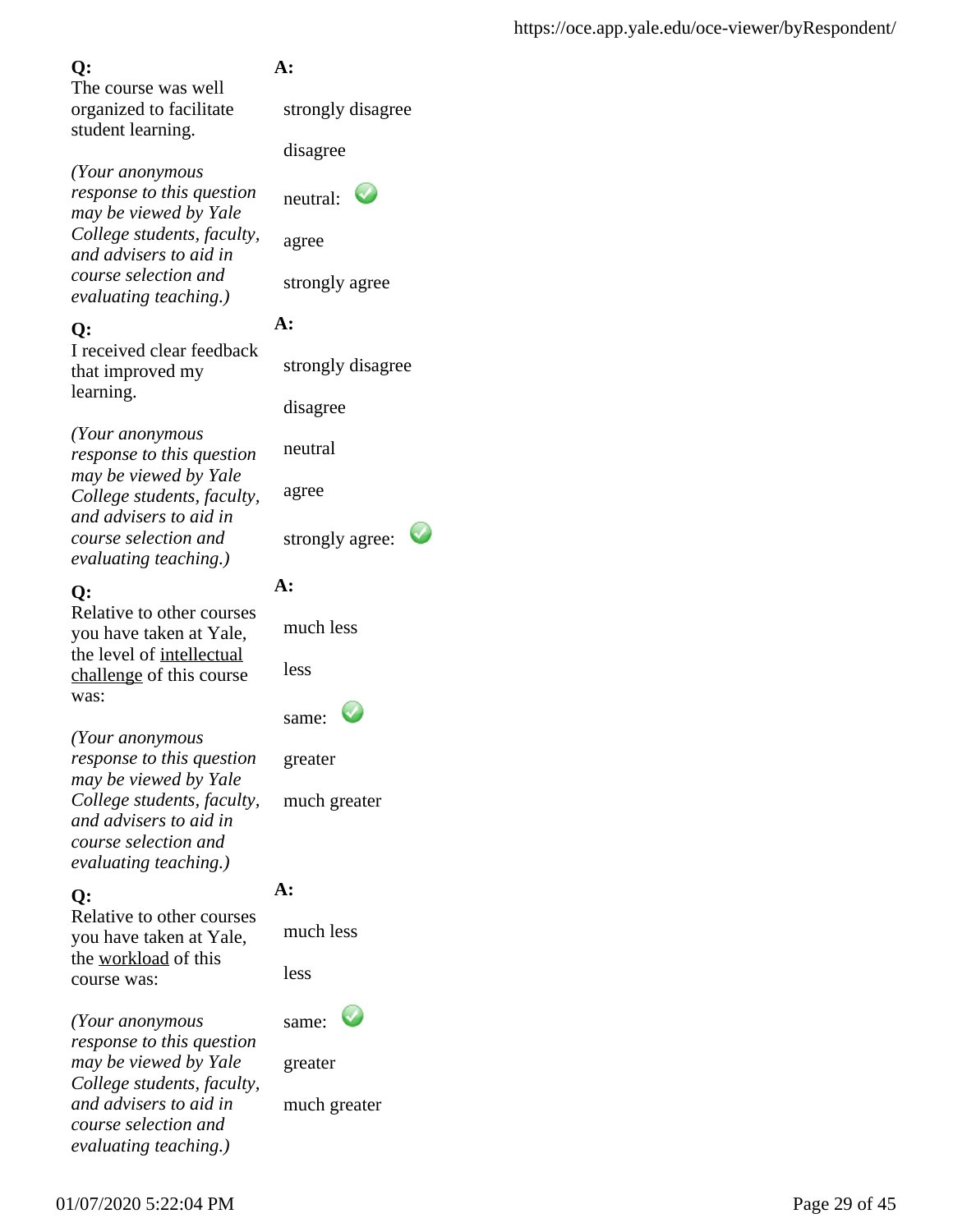The course was well organized to facilitate student learning.

*(Your anonymous response to this question may be viewed by Yale College students, faculty, and advisers to aid in course selection and evaluating teaching.)*

## **Q:**

I received clear feedback that improved my learning.

*(Your anonymous response to this question may be viewed by Yale College students, faculty, and advisers to aid in course selection and evaluating teaching.)*

## **Q:**

Relative to other courses you have taken at Yale, the level of intellectual challenge of this course was:

*(Your anonymous response to this question may be viewed by Yale College students, faculty, and advisers to aid in course selection and evaluating teaching.)*

## **Q:**

Relative to other courses you have taken at Yale, the workload of this course was:

*(Your anonymous response to this question may be viewed by Yale College students, faculty, and advisers to aid in course selection and evaluating teaching.)*

## **A:**

strongly disagree

disagree

 $neutral:$ 

strongly agree

## **A:**

strongly disagree

disagree

neutral

agree

strongly agree:

## **A:**

much less

less

| same: |  |
|-------|--|
|-------|--|

greater

much greater

## **A:**

much less

less

same:

greater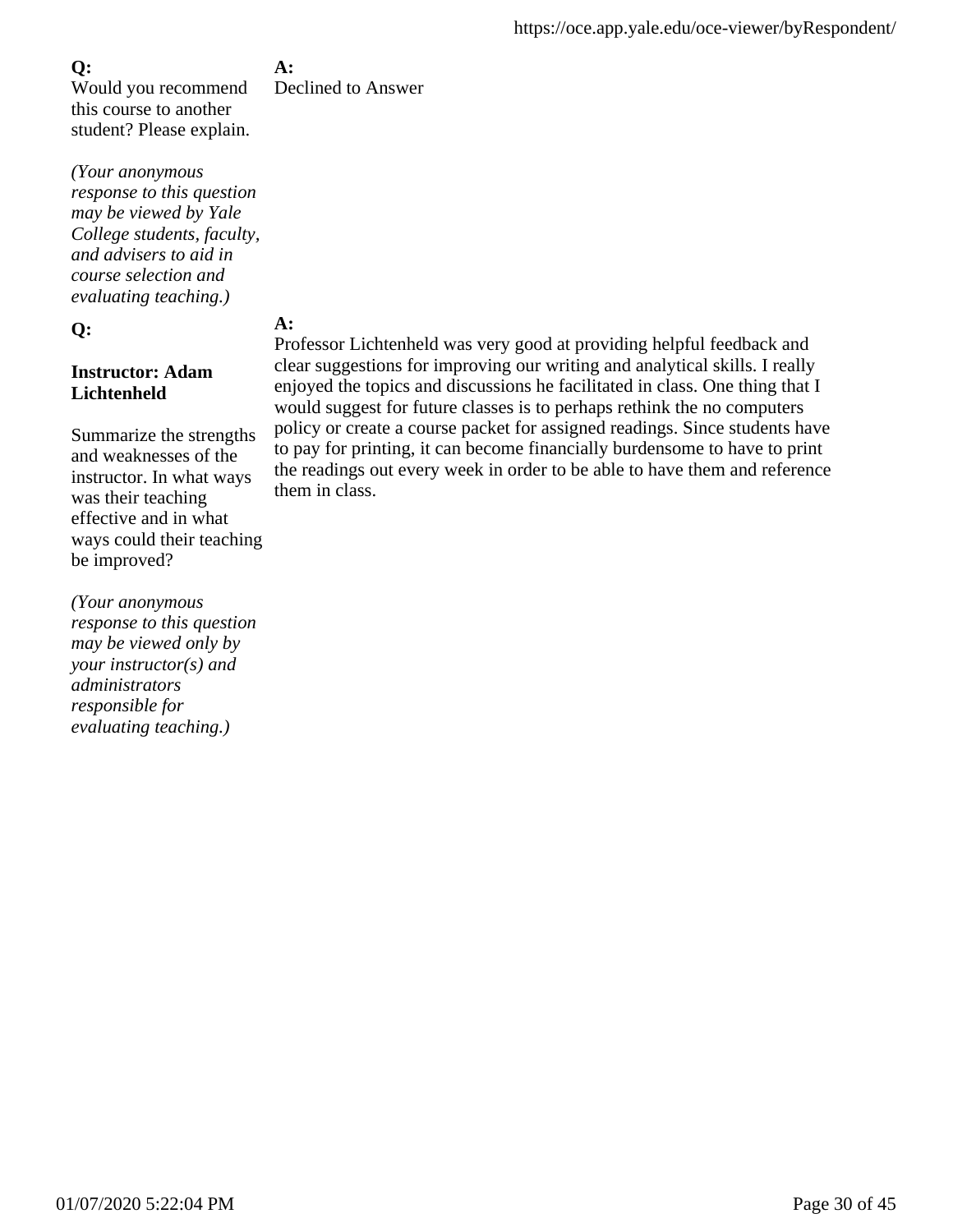Would you recommend this course to another student? Please explain.

*(Your anonymous response to this question may be viewed by Yale College students, faculty, and advisers to aid in course selection and evaluating teaching.)*

### **Q:**

### **Instructor: Adam Lichtenheld**

Summarize the strengths and weaknesses of the instructor. In what ways was their teaching effective and in what ways could their teaching be improved?

*(Your anonymous response to this question may be viewed only by your instructor(s) and administrators responsible for evaluating teaching.)*

**A:** Declined to Answer

## **A:**

Professor Lichtenheld was very good at providing helpful feedback and clear suggestions for improving our writing and analytical skills. I really enjoyed the topics and discussions he facilitated in class. One thing that I would suggest for future classes is to perhaps rethink the no computers policy or create a course packet for assigned readings. Since students have to pay for printing, it can become financially burdensome to have to print the readings out every week in order to be able to have them and reference them in class.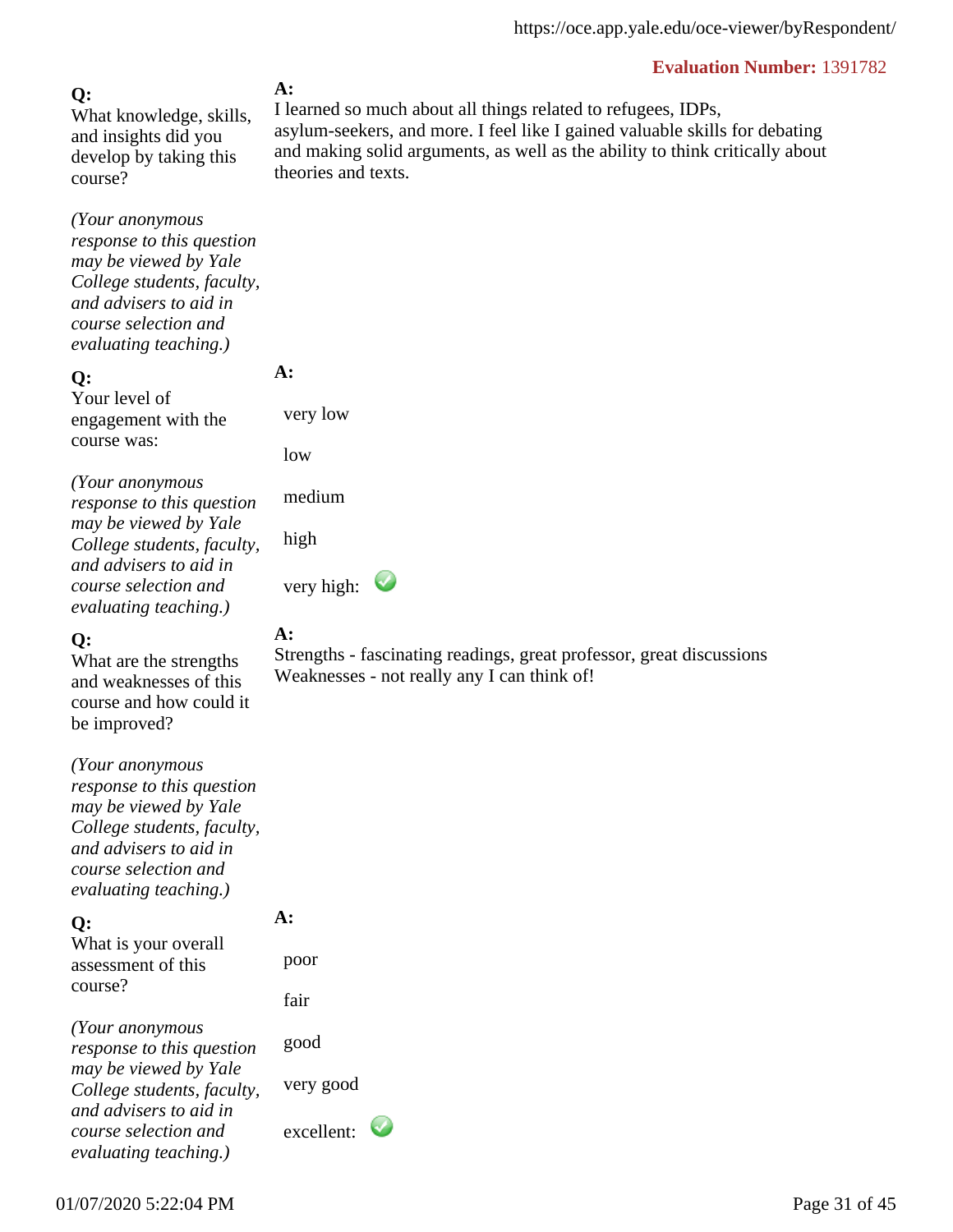### **Q:**

What knowledge, skills, and insights did you develop by taking this course?

*(Your anonymous response to this question may be viewed by Yale College students, faculty, and advisers to aid in course selection and evaluating teaching.)*

#### **Q:**

Your level of engagement with the course was:

*(Your anonymous response to this question may be viewed by Yale College students, faculty, and advisers to aid in course selection and evaluating teaching.)*

### **Q:**

What are the strengths and weaknesses of this course and how could it be improved?

*(Your anonymous response to this question may be viewed by Yale College students, faculty, and advisers to aid in course selection and evaluating teaching.)*

### **Q:**

What is your overall assessment of this course?

*(Your anonymous response to this question may be viewed by Yale College students, faculty, and advisers to aid in course selection and evaluating teaching.)*

#### **A:**

I learned so much about all things related to refugees, IDPs, asylum-seekers, and more. I feel like I gained valuable skills for debating and making solid arguments, as well as the ability to think critically about theories and texts.

**A:** 

very low

medium

high

very high:

### **A:**

Strengths - fascinating readings, great professor, great discussions Weaknesses - not really any I can think of!

**A:** 

 poor fair

good

very good

excellent: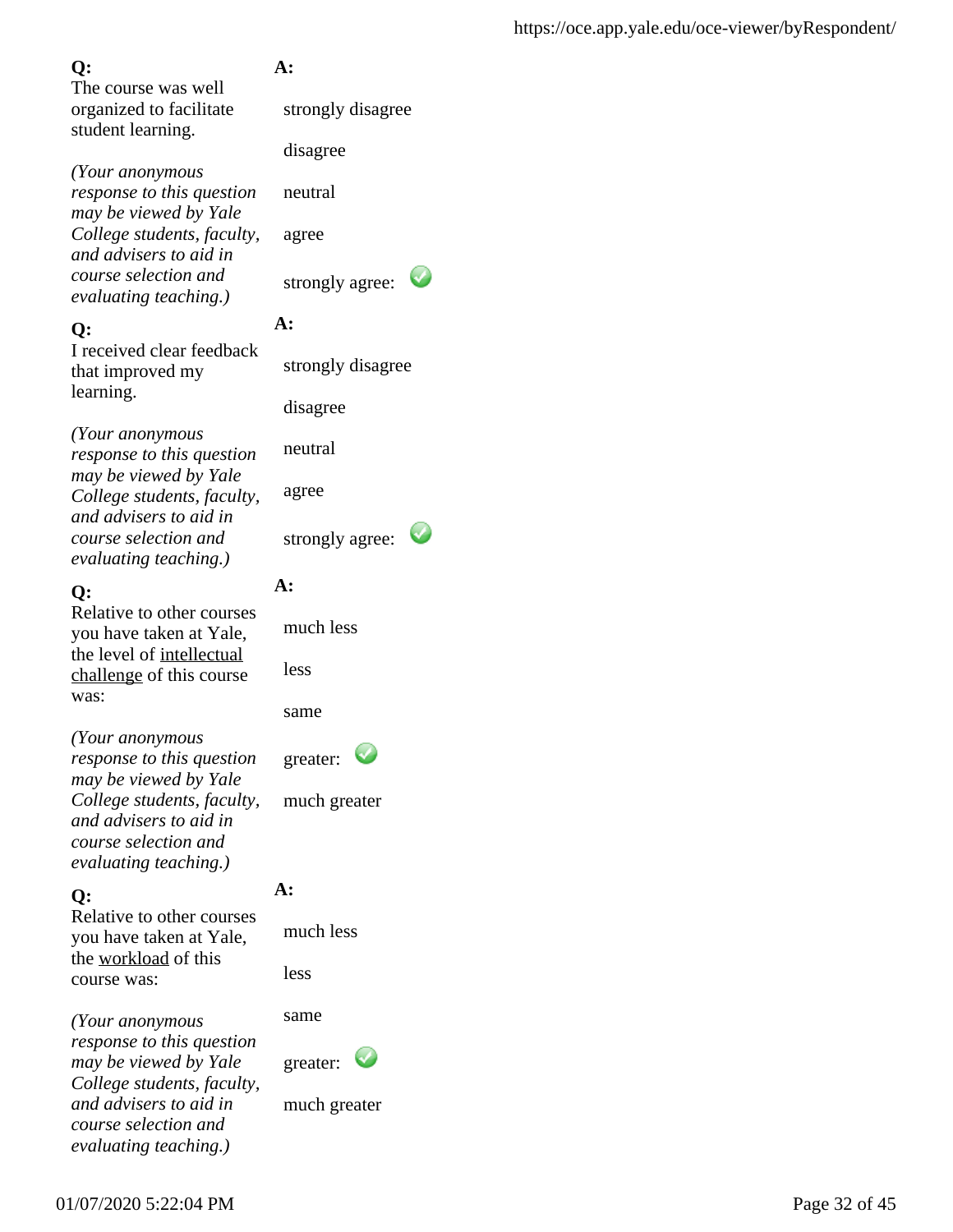The course was well organized to facilitate student learning.

*(Your anonymous response to this question may be viewed by Yale College students, faculty, and advisers to aid in course selection and evaluating teaching.)*

## **Q:**

I received clear feedback that improved my learning.

*(Your anonymous response to this question may be viewed by Yale College students, faculty, and advisers to aid in course selection and evaluating teaching.)*

## **Q:**

Relative to other courses you have taken at Yale, the level of intellectual challenge of this course was:

*(Your anonymous response to this question may be viewed by Yale College students, faculty, and advisers to aid in course selection and evaluating teaching.)*

## **Q:**

Relative to other courses you have taken at Yale, the workload of this course was:

*(Your anonymous response to this question may be viewed by Yale College students, faculty, and advisers to aid in course selection and evaluating teaching.)*

## **A:**

strongly disagree

disagree

neutral

agree

strongly agree:

## **A:**

strongly disagree

disagree

neutral

agree

strongly agree:

## **A:**

much less

less

same

greater:

much greater

## **A:**

much less

less

same

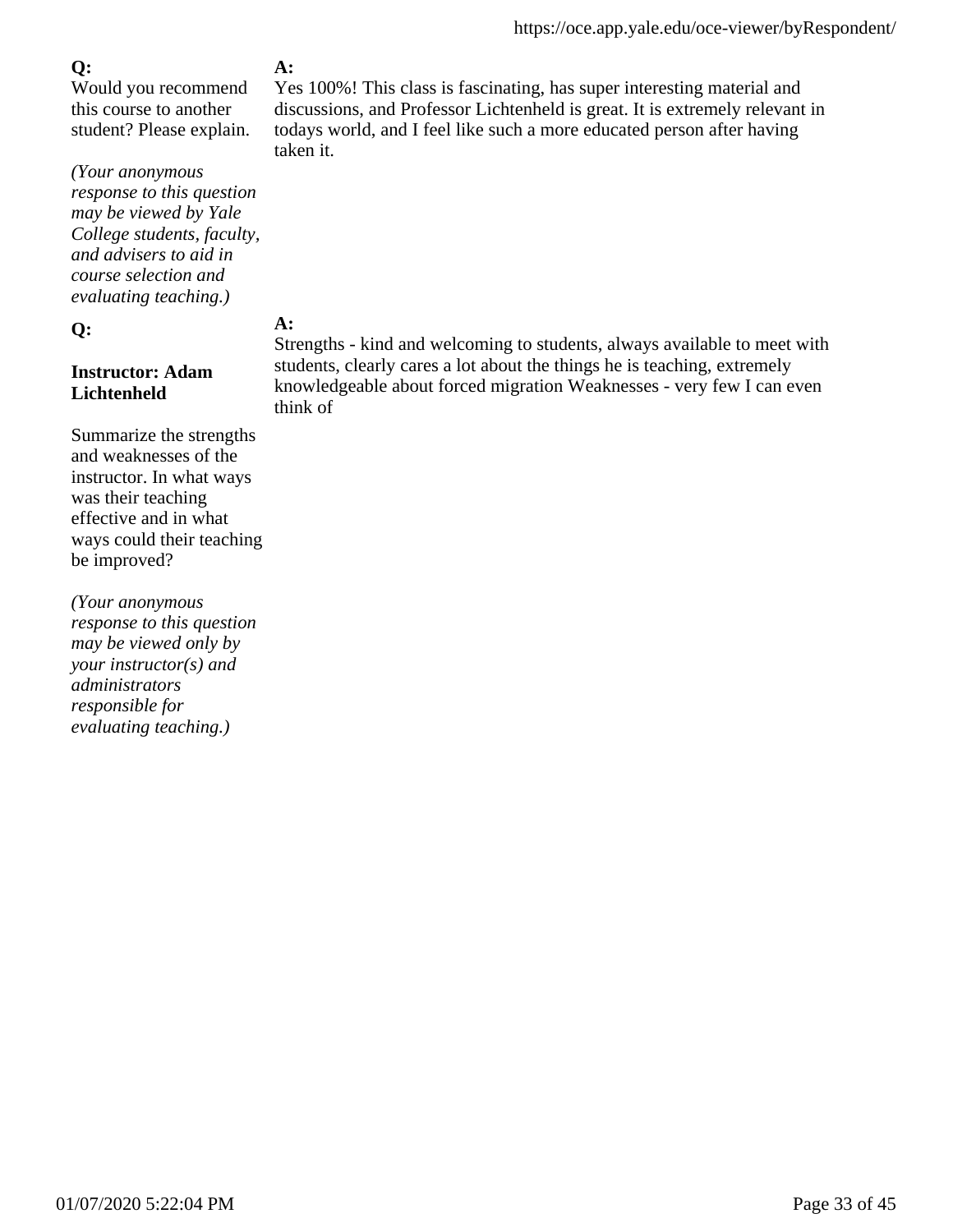Would you recommend this course to another student? Please explain.

*(Your anonymous response to this question may be viewed by Yale College students, faculty, and advisers to aid in course selection and evaluating teaching.)*

#### **Q:**

### **Instructor: Adam Lichtenheld**

Summarize the strengths and weaknesses of the instructor. In what ways was their teaching effective and in what ways could their teaching be improved?

*(Your anonymous response to this question may be viewed only by your instructor(s) and administrators responsible for evaluating teaching.)*

## **A:**

Yes 100%! This class is fascinating, has super interesting material and discussions, and Professor Lichtenheld is great. It is extremely relevant in todays world, and I feel like such a more educated person after having taken it.

### **A:**

Strengths - kind and welcoming to students, always available to meet with students, clearly cares a lot about the things he is teaching, extremely knowledgeable about forced migration Weaknesses - very few I can even think of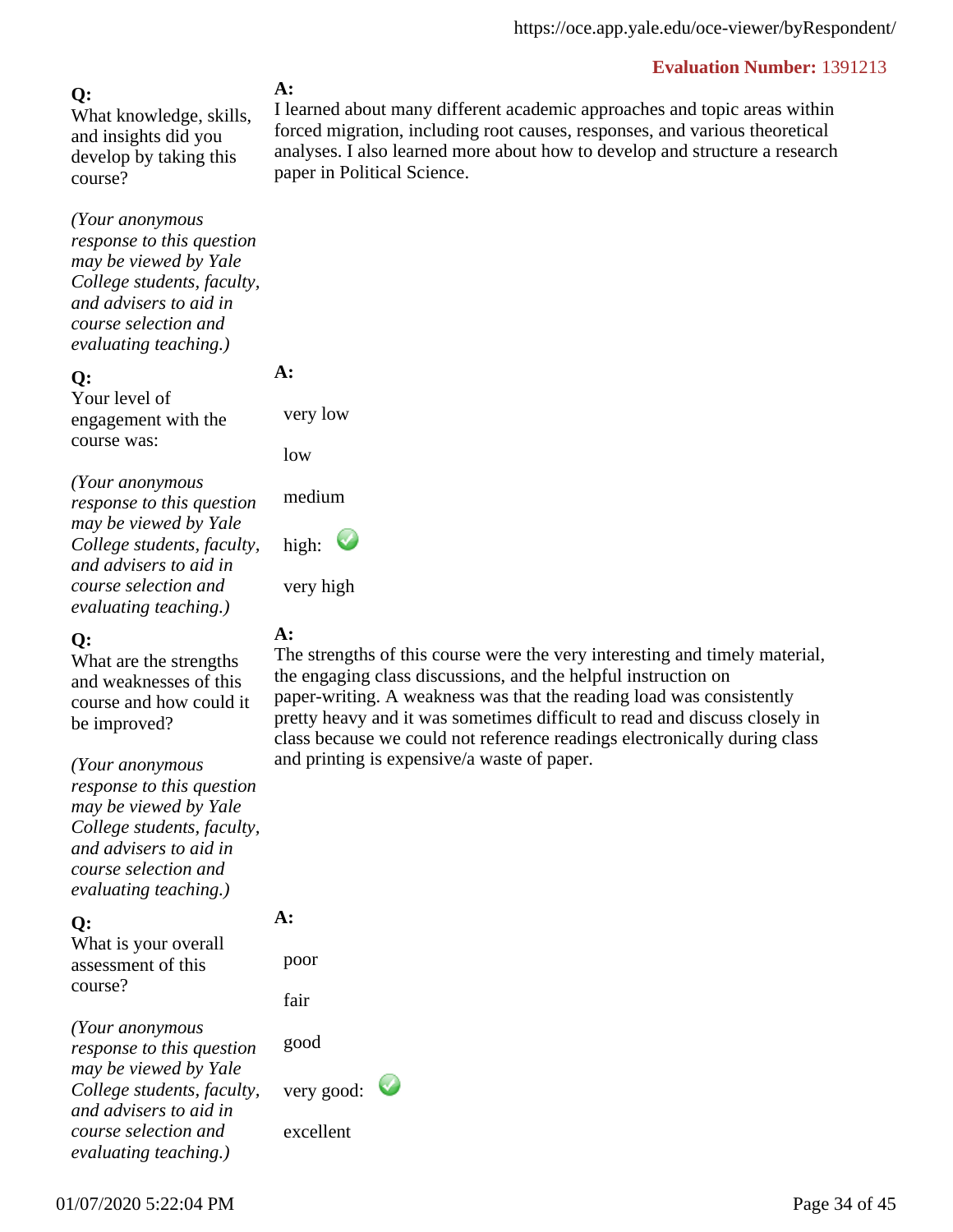**Q:** What knowledge, skills, and insights did you develop by taking this course?

*(Your anonymous response to this question may be viewed by Yale College students, faculty, and advisers to aid in course selection and evaluating teaching.)*

#### **Q:**

Your level of engagement with the course was:

*(Your anonymous response to this question may be viewed by Yale College students, faculty, and advisers to aid in course selection and evaluating teaching.)*

#### **Q:**

What are the strengths and weaknesses of this course and how could it be improved?

*(Your anonymous*

*response to this question may be viewed by Yale College students, faculty, and advisers to aid in course selection and evaluating teaching.)*

#### **Q:**

What is your overall assessment of this course?

*(Your anonymous response to this question may be viewed by Yale College students, faculty, and advisers to aid in course selection and evaluating teaching.)*

#### **A:**

I learned about many different academic approaches and topic areas within forced migration, including root causes, responses, and various theoretical analyses. I also learned more about how to develop and structure a research paper in Political Science.

**A:** 

very low

low

medium

high:  $\bigcup$ 

very high

### **A:**

The strengths of this course were the very interesting and timely material, the engaging class discussions, and the helpful instruction on paper-writing. A weakness was that the reading load was consistently pretty heavy and it was sometimes difficult to read and discuss closely in class because we could not reference readings electronically during class and printing is expensive/a waste of paper.

**A:**  poor

fair

good

very good:

excellent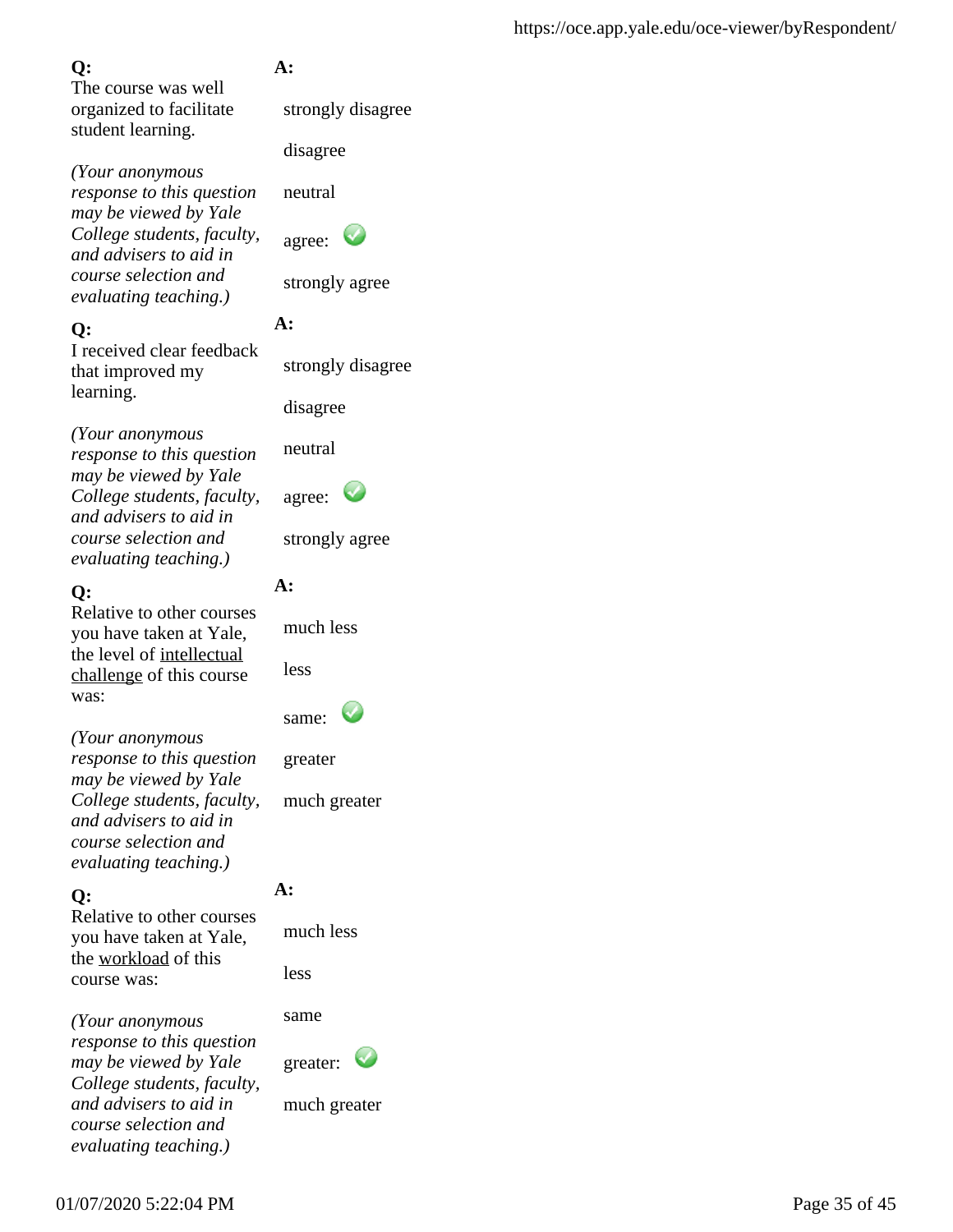The course was well organized to facilitate student learning.

*(Your anonymous response to this question may be viewed by Yale College students, faculty, and advisers to aid in course selection and evaluating teaching.)*

## **Q:**

I received clear feedback that improved my learning.

*(Your anonymous response to this question may be viewed by Yale College students, faculty, and advisers to aid in course selection and evaluating teaching.)*

## **Q:**

Relative to other courses you have taken at Yale, the level of intellectual challenge of this course was:

*(Your anonymous response to this question may be viewed by Yale College students, faculty, and advisers to aid in course selection and evaluating teaching.)*

## **Q:**

Relative to other courses you have taken at Yale, the workload of this course was:

*(Your anonymous response to this question may be viewed by Yale College students, faculty, and advisers to aid in course selection and evaluating teaching.)*

## **A:**

strongly disagree

disagree

neutral

| agree: |  |
|--------|--|
|--------|--|

strongly agree

## **A:**

strongly disagree

disagree

neutral

| agree: |  |
|--------|--|
|--------|--|

strongly agree

## **A:**

much less

less



greater

much greater

# **A:**

much less

less

same

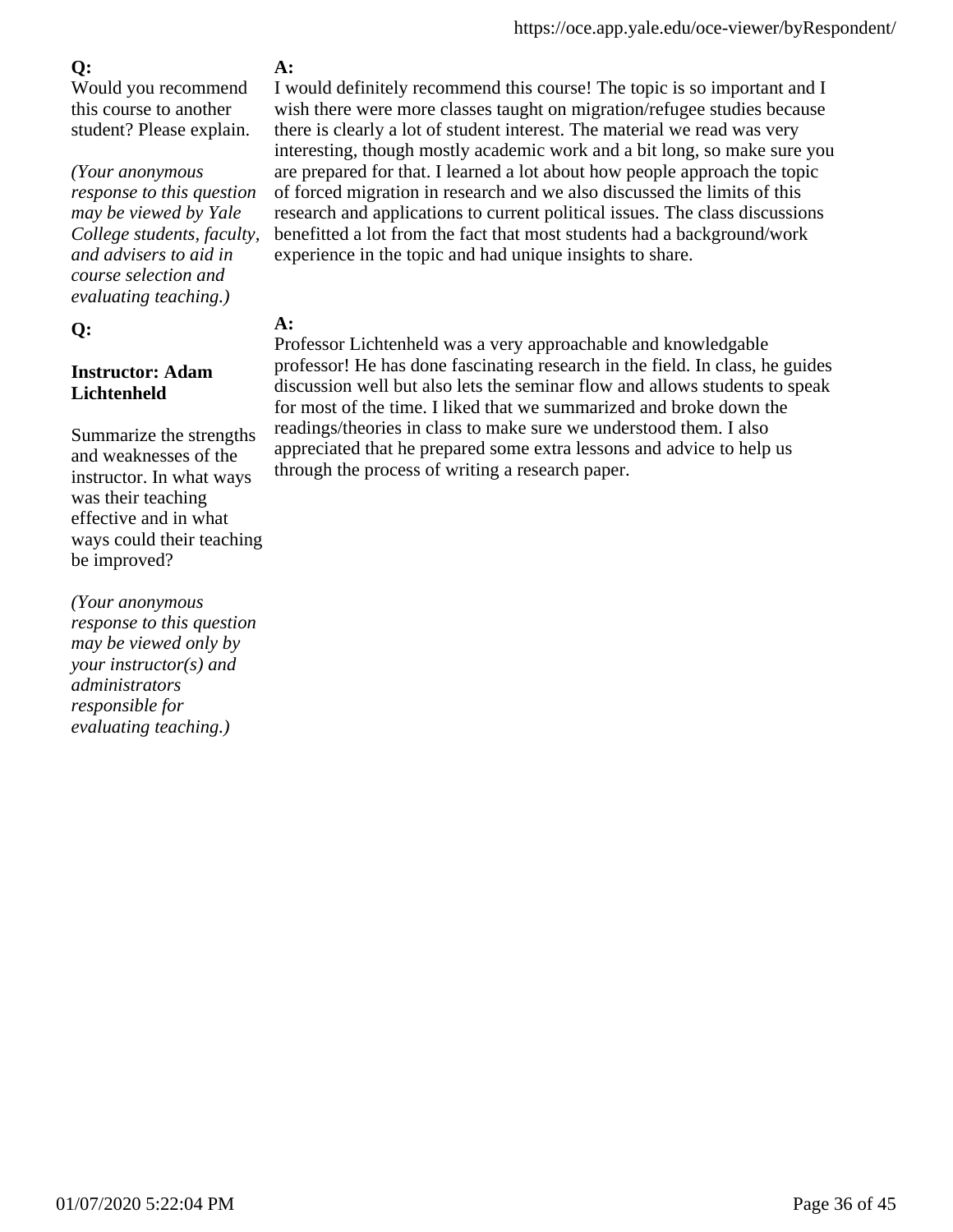Would you recommend this course to another student? Please explain.

*(Your anonymous*

*response to this question may be viewed by Yale College students, faculty, and advisers to aid in course selection and evaluating teaching.)*

### **Q:**

### **Instructor: Adam Lichtenheld**

Summarize the strengths and weaknesses of the instructor. In what ways was their teaching effective and in what ways could their teaching be improved?

*(Your anonymous response to this question may be viewed only by your instructor(s) and administrators responsible for evaluating teaching.)*

## **A:**

I would definitely recommend this course! The topic is so important and I wish there were more classes taught on migration/refugee studies because there is clearly a lot of student interest. The material we read was very interesting, though mostly academic work and a bit long, so make sure you are prepared for that. I learned a lot about how people approach the topic of forced migration in research and we also discussed the limits of this research and applications to current political issues. The class discussions benefitted a lot from the fact that most students had a background/work experience in the topic and had unique insights to share.

## **A:**

Professor Lichtenheld was a very approachable and knowledgable professor! He has done fascinating research in the field. In class, he guides discussion well but also lets the seminar flow and allows students to speak for most of the time. I liked that we summarized and broke down the readings/theories in class to make sure we understood them. I also appreciated that he prepared some extra lessons and advice to help us through the process of writing a research paper.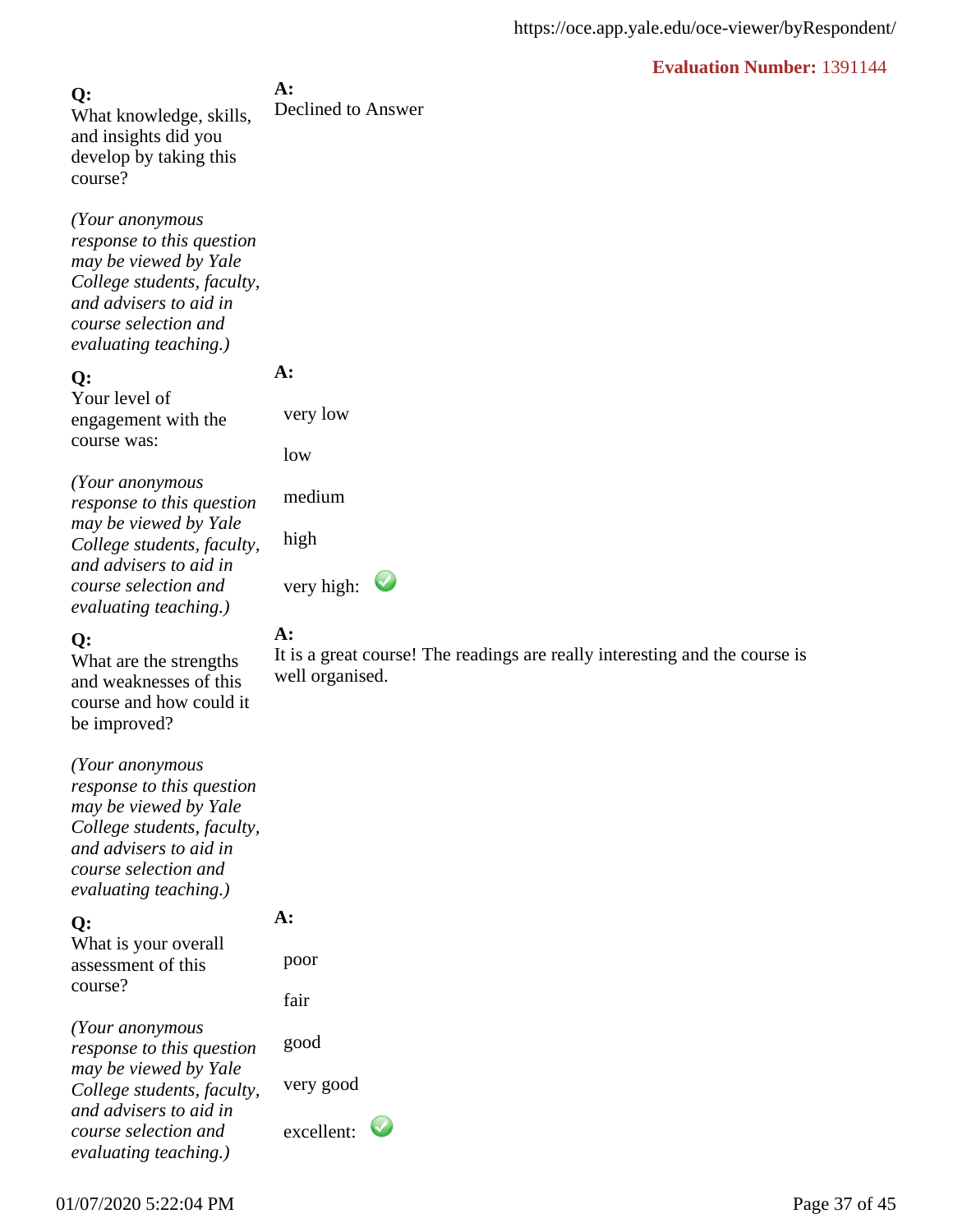**A:** Declined to Answer **Q:** What knowledge, skills, and insights did you develop by taking this course?

*(Your anonymous response to this question may be viewed by Yale College students, faculty, and advisers to aid in course selection and evaluating teaching.)*

#### **Q:**

Your level of engagement with the course was:

*(Your anonymous response to this question may be viewed by Yale College students, faculty, and advisers to aid in course selection and evaluating teaching.)*

### **Q:**

What are the strengths and weaknesses of this course and how could it be improved?

*(Your anonymous response to this question may be viewed by Yale College students, faculty, and advisers to aid in course selection and evaluating teaching.)*

#### **Q:**

What is your overall assessment of this course?

*(Your anonymous response to this question may be viewed by Yale College students, faculty, and advisers to aid in course selection and evaluating teaching.)*

**A:** 

very low

medium

high

very high:  $\bullet$ 

#### **A:**

It is a great course! The readings are really interesting and the course is well organised.

**A:** 

 poor fair good

very good

excellent: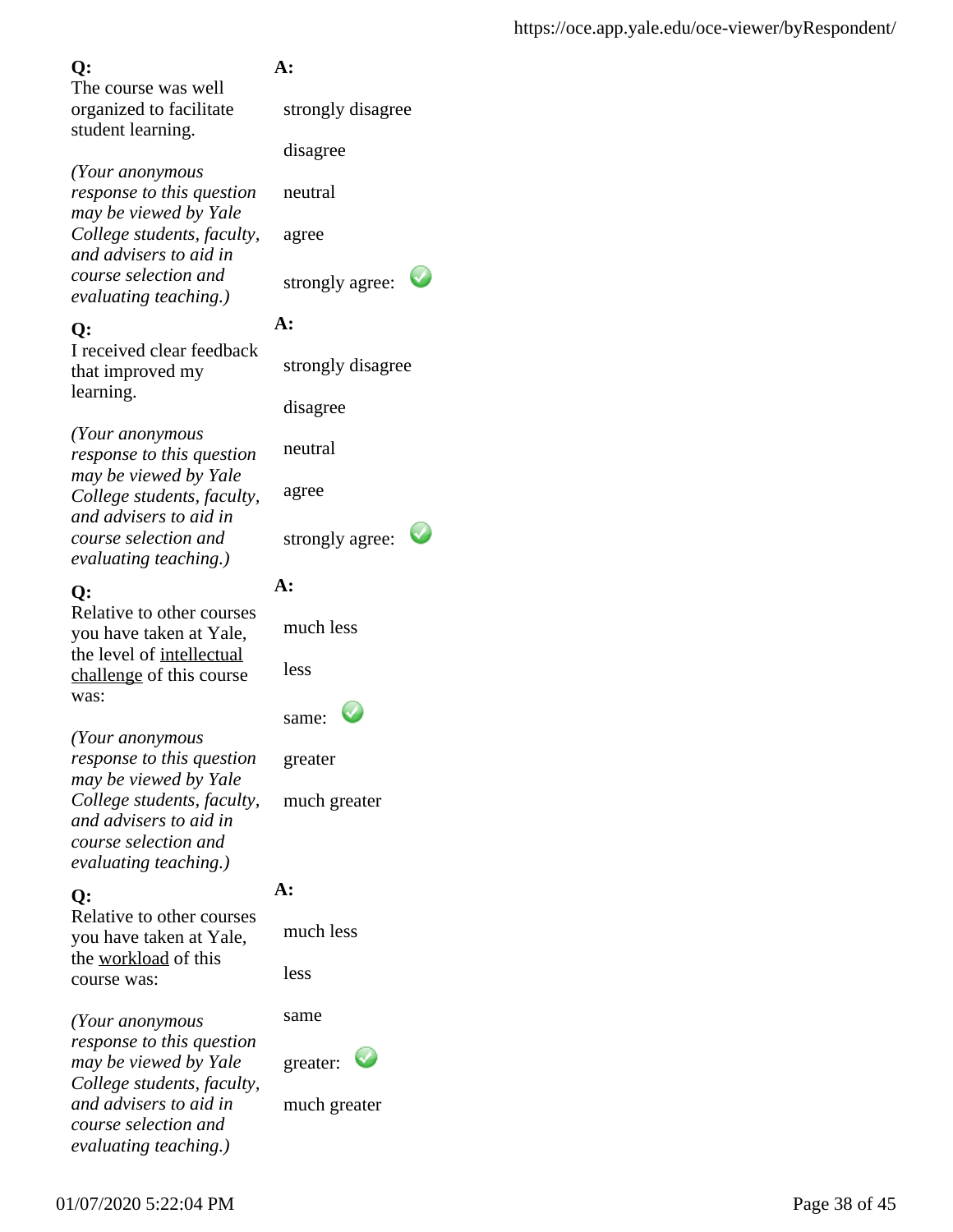The course was well organized to facilitate student learning.

*(Your anonymous response to this question may be viewed by Yale College students, faculty, and advisers to aid in course selection and evaluating teaching.)*

### **Q:**

I received clear feedback that improved my learning.

*(Your anonymous response to this question may be viewed by Yale College students, faculty, and advisers to aid in course selection and evaluating teaching.)*

### **Q:**

Relative to other courses you have taken at Yale, the level of intellectual challenge of this course was:

*(Your anonymous response to this question may be viewed by Yale College students, faculty, and advisers to aid in course selection and evaluating teaching.)*

## **Q:**

Relative to other courses you have taken at Yale, the workload of this course was:

*(Your anonymous response to this question may be viewed by Yale College students, faculty, and advisers to aid in course selection and evaluating teaching.)*

## **A:**

strongly disagree

disagree

neutral

agree

strongly agree:

## **A:**

strongly disagree

disagree

neutral

agree

strongly agree:

## **A:**

much less

less

| same: |  |
|-------|--|
|-------|--|

greater

much greater

## **A:**

much less

less

same

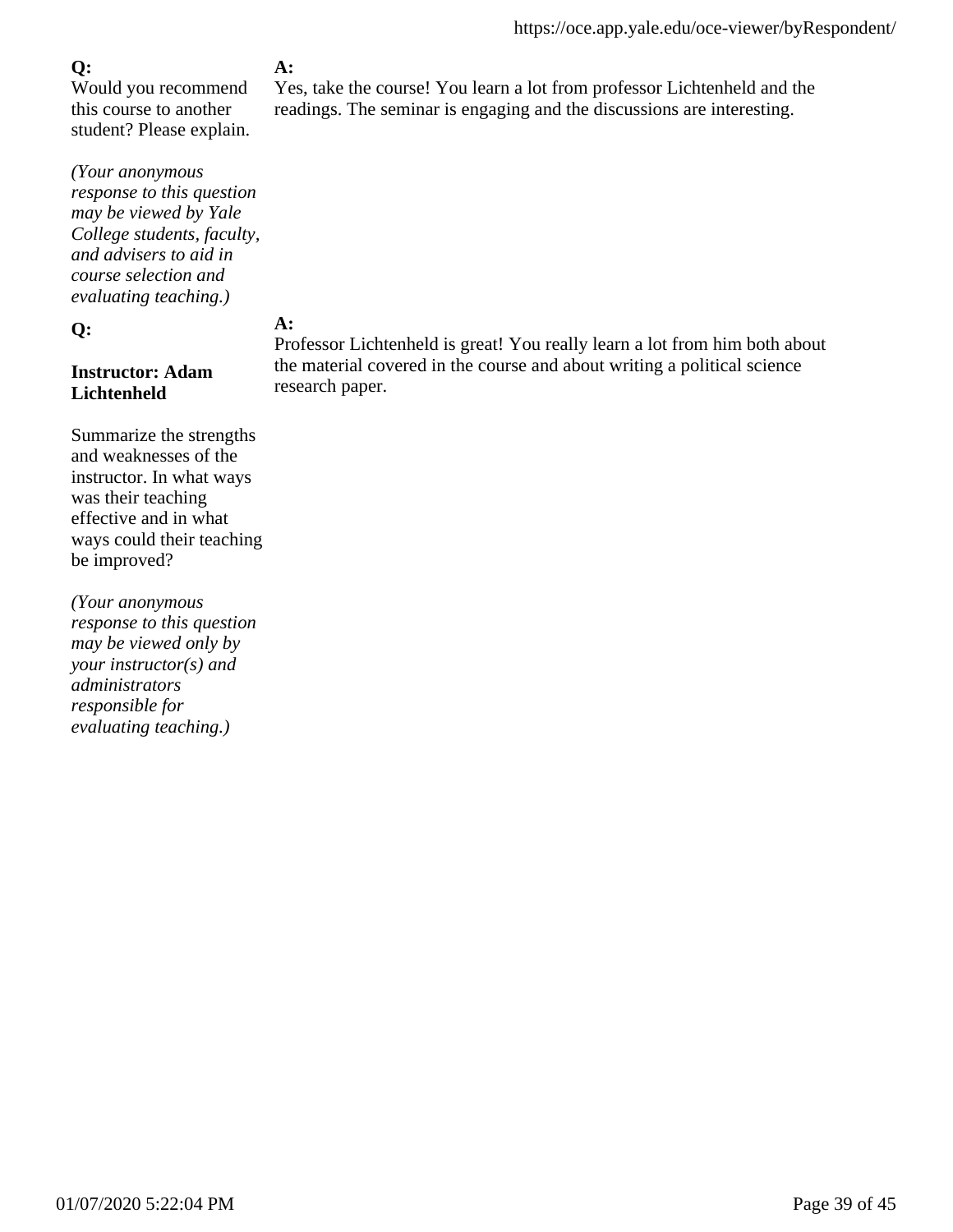Would you recommend this course to another student? Please explain.

*(Your anonymous response to this question may be viewed by Yale College students, faculty, and advisers to aid in course selection and evaluating teaching.)*

#### **Q:**

### **Instructor: Adam Lichtenheld**

Summarize the strengths and weaknesses of the instructor. In what ways was their teaching effective and in what ways could their teaching be improved?

*(Your anonymous response to this question may be viewed only by your instructor(s) and administrators responsible for evaluating teaching.)*

## **A:**

Yes, take the course! You learn a lot from professor Lichtenheld and the readings. The seminar is engaging and the discussions are interesting.

#### **A:**

Professor Lichtenheld is great! You really learn a lot from him both about the material covered in the course and about writing a political science research paper.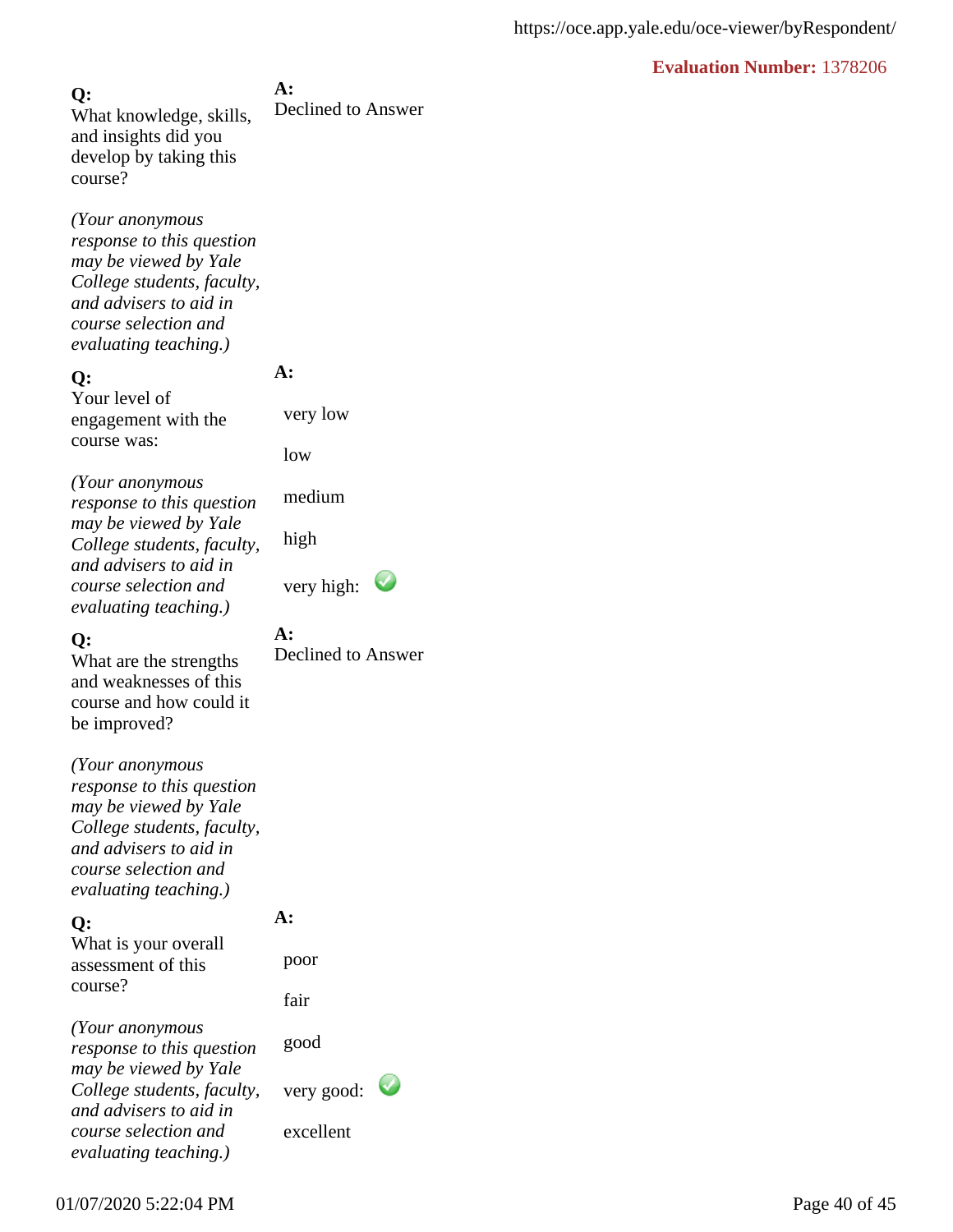**A:** Declined to Answer **Q:** What knowledge, skills, and insights did you develop by taking this course?

*(Your anonymous response to this question may be viewed by Yale College students, faculty, and advisers to aid in course selection and evaluating teaching.)*

#### **Q:**

Your level of engagement with the course was:

*(Your anonymous response to this question may be viewed by Yale College students, faculty, and advisers to aid in course selection and evaluating teaching.)*

### **Q:**

What are the strengths and weaknesses of this course and how could it be improved?

*(Your anonymous response to this question may be viewed by Yale College students, faculty, and advisers to aid in course selection and evaluating teaching.)*

### **Q:**

What is your overall assessment of this course?

**A:**  poor

**A:**

**A:** 

very low

medium

low

high

Declined to Answer

very high:  $\bullet$ 

fair

*(Your anonymous response to this question may be viewed by Yale College students, faculty, and advisers to aid in course selection and evaluating teaching.)*

good

very good:

excellent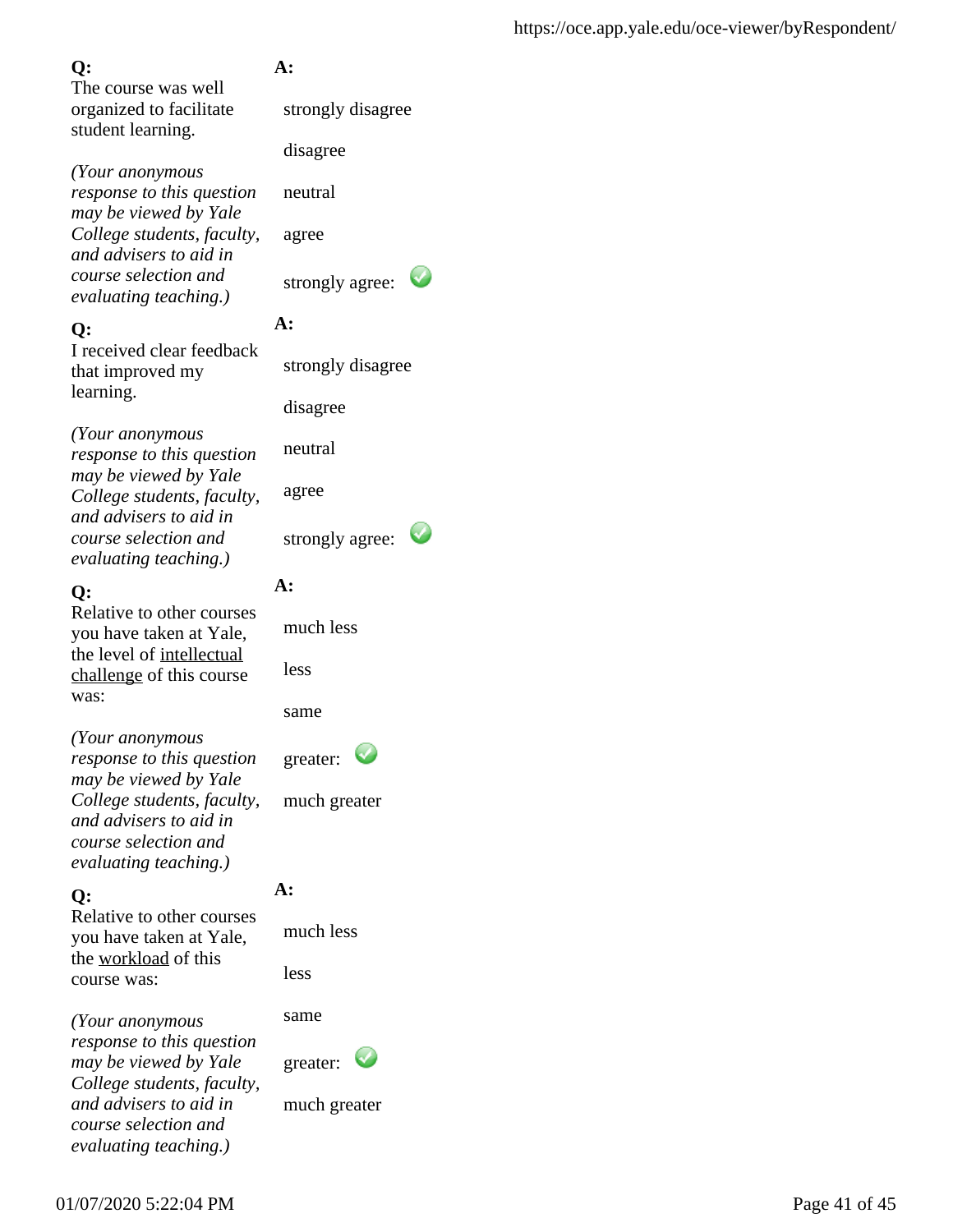The course was well organized to facilitate student learning.

*(Your anonymous response to this question may be viewed by Yale College students, faculty, and advisers to aid in course selection and evaluating teaching.)*

### **Q:**

I received clear feedback that improved my learning.

*(Your anonymous response to this question may be viewed by Yale College students, faculty, and advisers to aid in course selection and evaluating teaching.)*

### **Q:**

Relative to other courses you have taken at Yale, the level of intellectual challenge of this course was:

*(Your anonymous response to this question may be viewed by Yale College students, faculty, and advisers to aid in course selection and evaluating teaching.)*

## **Q:**

Relative to other courses you have taken at Yale, the workload of this course was:

*(Your anonymous response to this question may be viewed by Yale College students, faculty, and advisers to aid in course selection and evaluating teaching.)*

## **A:**

strongly disagree

disagree

neutral

agree

strongly agree:

## **A:**

strongly disagree

disagree

neutral

agree

strongly agree:

## **A:**

much less

less

same

greater:

much greater

## **A:**

much less

less

same

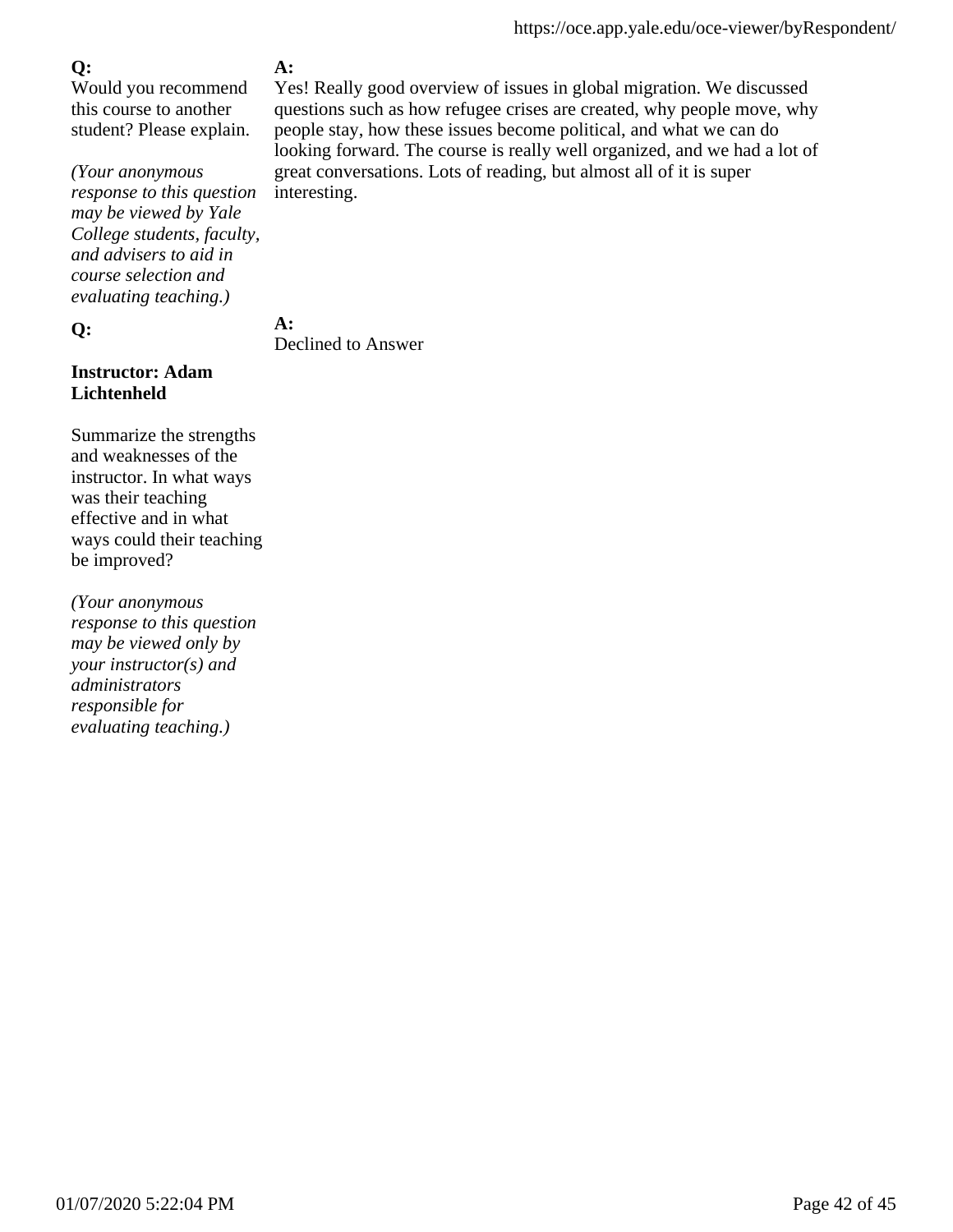Would you recommend this course to another student? Please explain.

*(Your anonymous response to this question may be viewed by Yale College students, faculty, and advisers to aid in course selection and evaluating teaching.)*

**Q:**

### **Instructor: Adam Lichtenheld**

Summarize the strengths and weaknesses of the instructor. In what ways was their teaching effective and in what ways could their teaching be improved?

*(Your anonymous response to this question may be viewed only by your instructor(s) and administrators responsible for evaluating teaching.)*

## **A:**

Yes! Really good overview of issues in global migration. We discussed questions such as how refugee crises are created, why people move, why people stay, how these issues become political, and what we can do looking forward. The course is really well organized, and we had a lot of great conversations. Lots of reading, but almost all of it is super interesting.

**A:**

Declined to Answer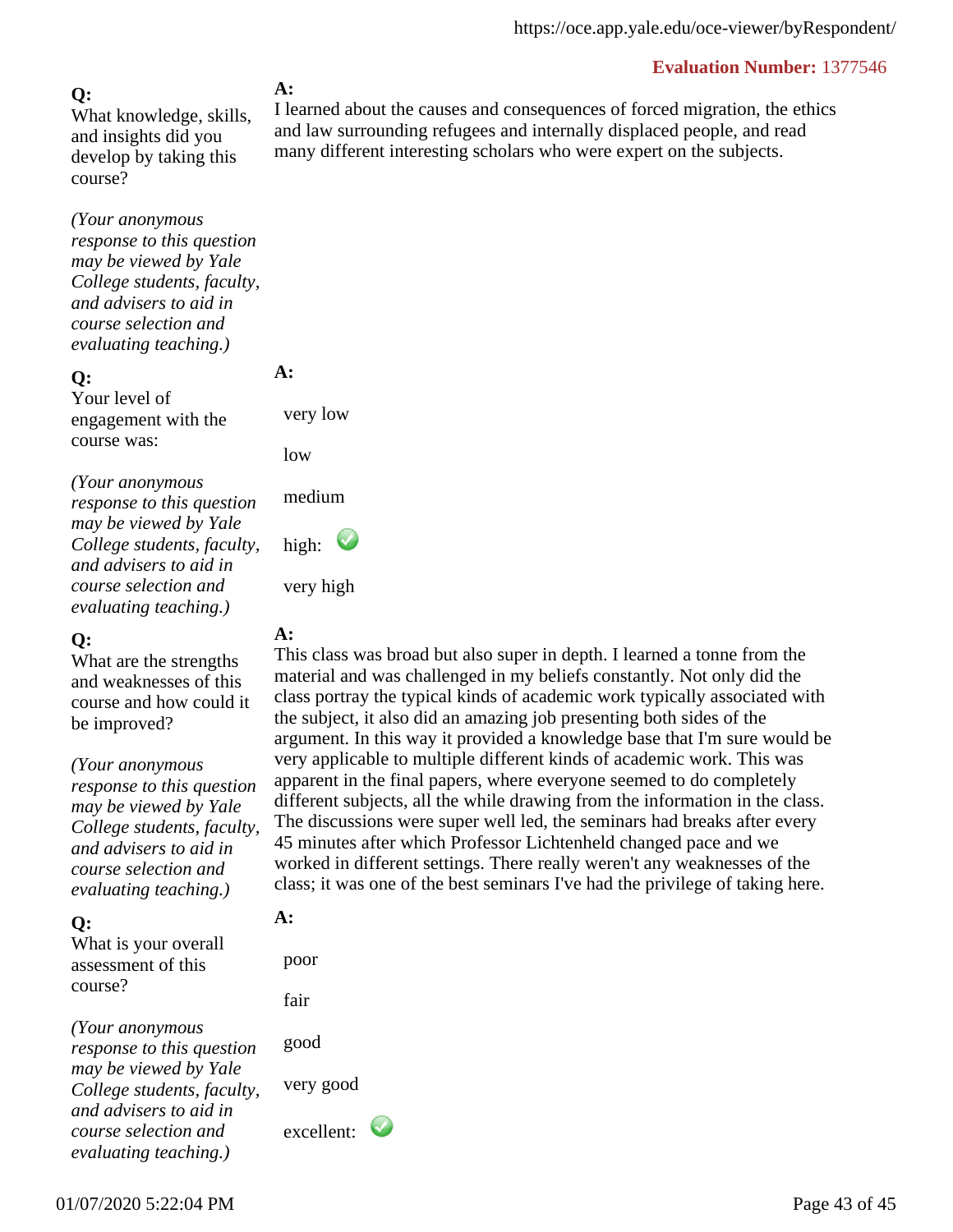**Q:** What knowledge, skills, and insights did you develop by taking this course?

*(Your anonymous response to this question may be viewed by Yale College students, faculty, and advisers to aid in course selection and evaluating teaching.)*

#### **Q:**

Your level of engagement with the course was:

*(Your anonymous response to this question may be viewed by Yale College students, faculty, and advisers to aid in course selection and evaluating teaching.)*

#### **Q:**

What are the strengths and weaknesses of this course and how could it be improved?

*(Your anonymous*

*response to this question may be viewed by Yale College students, faculty, and advisers to aid in course selection and evaluating teaching.)*

### **Q:**

What is your overall assessment of this course?

*(Your anonymous response to this question may be viewed by Yale College students, faculty, and advisers to aid in course selection and evaluating teaching.)*

### **A:**

I learned about the causes and consequences of forced migration, the ethics and law surrounding refugees and internally displaced people, and read many different interesting scholars who were expert on the subjects.

## **A:**

**A:** 

very low

medium

high:

very high

low

This class was broad but also super in depth. I learned a tonne from the material and was challenged in my beliefs constantly. Not only did the class portray the typical kinds of academic work typically associated with the subject, it also did an amazing job presenting both sides of the argument. In this way it provided a knowledge base that I'm sure would be very applicable to multiple different kinds of academic work. This was apparent in the final papers, where everyone seemed to do completely different subjects, all the while drawing from the information in the class. The discussions were super well led, the seminars had breaks after every 45 minutes after which Professor Lichtenheld changed pace and we worked in different settings. There really weren't any weaknesses of the class; it was one of the best seminars I've had the privilege of taking here.

## **A:**

 poor fair good very good excellent: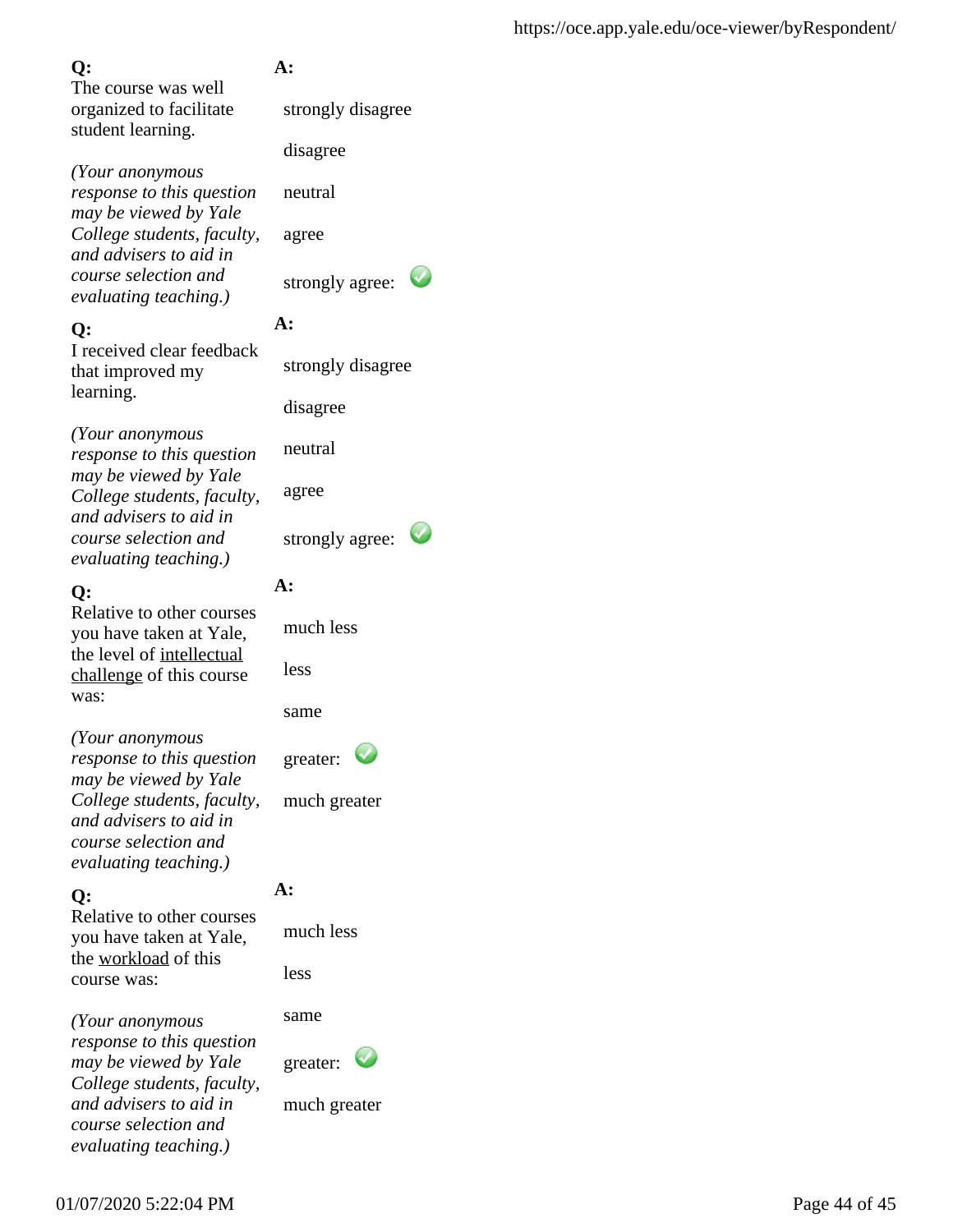The course was well organized to facilitate student learning.

*(Your anonymous response to this question may be viewed by Yale College students, faculty, and advisers to aid in course selection and evaluating teaching.)*

## **Q:**

I received clear feedback that improved my learning.

*(Your anonymous response to this question may be viewed by Yale College students, faculty, and advisers to aid in course selection and evaluating teaching.)*

## **Q:**

Relative to other courses you have taken at Yale, the level of intellectual challenge of this course was:

*(Your anonymous response to this question may be viewed by Yale College students, faculty, and advisers to aid in course selection and evaluating teaching.)*

## **Q:**

Relative to other courses you have taken at Yale, the workload of this course was:

*(Your anonymous response to this question may be viewed by Yale College students, faculty, and advisers to aid in course selection and evaluating teaching.)*

## **A:**

strongly disagree

disagree

neutral

agree

strongly agree:

## **A:**

strongly disagree

disagree

neutral

agree

strongly agree:

## **A:**

much less

less

same

greater:

much greater

## **A:**

much less

less

same